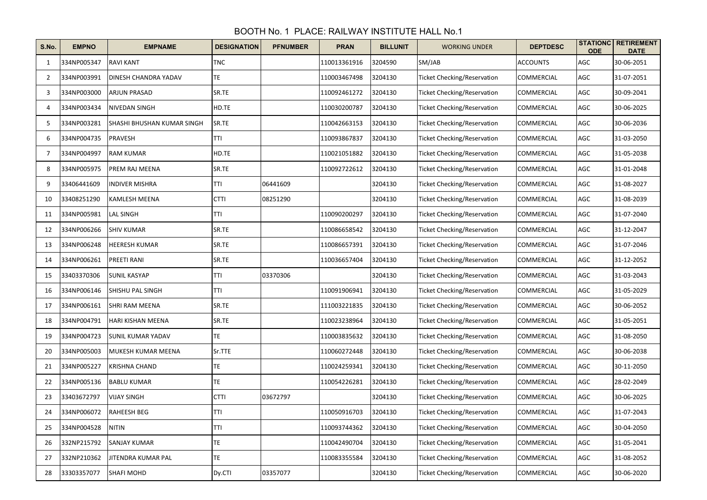## BOOTH No. 1 PLACE: RAILWAY INSTITUTE HALL No.1

| S.No. | <b>EMPNO</b> | <b>EMPNAME</b>             | <b>DESIGNATION</b> | <b>PFNUMBER</b> | <b>PRAN</b>  | <b>BILLUNIT</b> | <b>WORKING UNDER</b>               | <b>DEPTDESC</b>   | <b>ODE</b> | <b>STATIONC RETIREMENT</b><br><b>DATE</b> |
|-------|--------------|----------------------------|--------------------|-----------------|--------------|-----------------|------------------------------------|-------------------|------------|-------------------------------------------|
| 1     | 334NP005347  | <b>RAVI KANT</b>           | <b>TNC</b>         |                 | 110013361916 | 3204590         | SM/JAB                             | <b>ACCOUNTS</b>   | AGC        | 30-06-2051                                |
| 2     | 334NP003991  | DINESH CHANDRA YADAV       | TE                 |                 | 110003467498 | 3204130         | <b>Ticket Checking/Reservation</b> | COMMERCIAL        | AGC        | 31-07-2051                                |
| 3     | 334NP003000  | ARJUN PRASAD               | SR.TE              |                 | 110092461272 | 3204130         | <b>Ticket Checking/Reservation</b> | <b>COMMERCIAL</b> | AGC        | 30-09-2041                                |
| 4     | 334NP003434  | NIVEDAN SINGH              | HD.TE              |                 | 110030200787 | 3204130         | <b>Ticket Checking/Reservation</b> | COMMERCIAL        | AGC        | 30-06-2025                                |
| 5     | 334NP003281  | SHASHI BHUSHAN KUMAR SINGH | SR.TE              |                 | 110042663153 | 3204130         | <b>Ticket Checking/Reservation</b> | COMMERCIAL        | AGC        | 30-06-2036                                |
| 6     | 334NP004735  | PRAVESH                    | <b>TTI</b>         |                 | 110093867837 | 3204130         | <b>Ticket Checking/Reservation</b> | COMMERCIAL        | AGC        | 31-03-2050                                |
| 7     | 334NP004997  | <b>RAM KUMAR</b>           | HD.TE              |                 | 110021051882 | 3204130         | <b>Ticket Checking/Reservation</b> | COMMERCIAL        | AGC        | 31-05-2038                                |
| 8     | 334NP005975  | PREM RAJ MEENA             | SR.TE              |                 | 110092722612 | 3204130         | <b>Ticket Checking/Reservation</b> | COMMERCIAL        | AGC        | 31-01-2048                                |
| 9     | 33406441609  | INDIVER MISHRA             | TTI                | 06441609        |              | 3204130         | <b>Ticket Checking/Reservation</b> | COMMERCIAL        | AGC        | 31-08-2027                                |
| 10    | 33408251290  | KAMLESH MEENA              | <b>CTTI</b>        | 08251290        |              | 3204130         | <b>Ticket Checking/Reservation</b> | COMMERCIAL        | AGC        | 31-08-2039                                |
| 11    | 334NP005981  | <b>LAL SINGH</b>           | TTI                |                 | 110090200297 | 3204130         | Ticket Checking/Reservation        | COMMERCIAL        | AGC        | 31-07-2040                                |
| 12    | 334NP006266  | <b>SHIV KUMAR</b>          | SR.TE              |                 | 110086658542 | 3204130         | Ticket Checking/Reservation        | COMMERCIAL        | AGC        | 31-12-2047                                |
| 13    | 334NP006248  | <b>HEERESH KUMAR</b>       | SR.TE              |                 | 110086657391 | 3204130         | Ticket Checking/Reservation        | COMMERCIAL        | AGC        | 31-07-2046                                |
| 14    | 334NP006261  | PREETI RANI                | SR.TE              |                 | 110036657404 | 3204130         | Ticket Checking/Reservation        | COMMERCIAL        | AGC        | 31-12-2052                                |
| 15    | 33403370306  | <b>SUNIL KASYAP</b>        | TTI                | 03370306        |              | 3204130         | <b>Ticket Checking/Reservation</b> | COMMERCIAL        | AGC        | 31-03-2043                                |
| 16    | 334NP006146  | SHISHU PAL SINGH           | TTI                |                 | 110091906941 | 3204130         | Ticket Checking/Reservation        | COMMERCIAL        | AGC        | 31-05-2029                                |
| 17    | 334NP006161  | SHRI RAM MEENA             | SR.TE              |                 | 111003221835 | 3204130         | Ticket Checking/Reservation        | COMMERCIAL        | AGC        | 30-06-2052                                |
| 18    | 334NP004791  | HARI KISHAN MEENA          | SR.TE              |                 | 110023238964 | 3204130         | <b>Ticket Checking/Reservation</b> | COMMERCIAL        | AGC        | 31-05-2051                                |
| 19    | 334NP004723  | SUNIL KUMAR YADAV          | TE.                |                 | 110003835632 | 3204130         | <b>Ticket Checking/Reservation</b> | COMMERCIAL        | AGC        | 31-08-2050                                |
| 20    | 334NP005003  | MUKESH KUMAR MEENA         | Sr.TTE             |                 | 110060272448 | 3204130         | <b>Ticket Checking/Reservation</b> | COMMERCIAL        | AGC        | 30-06-2038                                |
| 21    | 334NP005227  | KRISHNA CHAND              | <b>TE</b>          |                 | 110024259341 | 3204130         | <b>Ticket Checking/Reservation</b> | COMMERCIAL        | AGC        | 30-11-2050                                |
| 22    | 334NP005136  | <b>BABLU KUMAR</b>         | TE                 |                 | 110054226281 | 3204130         | Ticket Checking/Reservation        | COMMERCIAL        | AGC        | 28-02-2049                                |
| 23    | 33403672797  | VIJAY SINGH                | <b>CTTI</b>        | 03672797        |              | 3204130         | Ticket Checking/Reservation        | COMMERCIAL        | AGC        | 30-06-2025                                |
| 24    | 334NP006072  | <b>RAHEESH BEG</b>         | TTI                |                 | 110050916703 | 3204130         | Ticket Checking/Reservation        | COMMERCIAL        | AGC        | 31-07-2043                                |
| 25    | 334NP004528  | <b>NITIN</b>               | <b>TTI</b>         |                 | 110093744362 | 3204130         | Ticket Checking/Reservation        | COMMERCIAL        | AGC        | 30-04-2050                                |
| 26    | 332NP215792  | SANJAY KUMAR               | TE                 |                 | 110042490704 | 3204130         | Ticket Checking/Reservation        | COMMERCIAL        | AGC        | 31-05-2041                                |
| 27    | 332NP210362  | JITENDRA KUMAR PAL         | TE                 |                 | 110083355584 | 3204130         | <b>Ticket Checking/Reservation</b> | COMMERCIAL        | AGC        | 31-08-2052                                |
| 28    | 33303357077  | <b>SHAFI MOHD</b>          | Dy.CTI             | 03357077        |              | 3204130         | Ticket Checking/Reservation        | COMMERCIAL        | AGC        | 30-06-2020                                |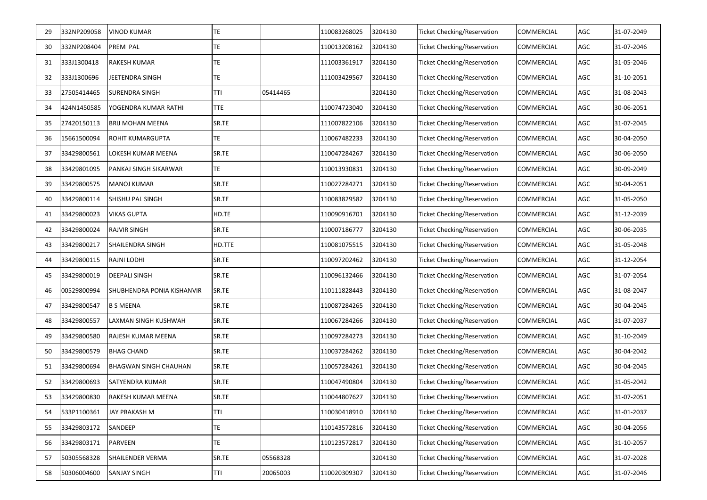| 29 | 332NP209058 | <b>VINOD KUMAR</b>         | TE         |          | 110083268025 | 3204130 | Ticket Checking/Reservation        | COMMERCIAL        | AGC | 31-07-2049 |
|----|-------------|----------------------------|------------|----------|--------------|---------|------------------------------------|-------------------|-----|------------|
| 30 | 332NP208404 | PREM PAL                   | TE         |          | 110013208162 | 3204130 | Ticket Checking/Reservation        | <b>COMMERCIAL</b> | AGC | 31-07-2046 |
| 31 | 333J1300418 | <b>RAKESH KUMAR</b>        | TE         |          | 111003361917 | 3204130 | Ticket Checking/Reservation        | <b>COMMERCIAL</b> | AGC | 31-05-2046 |
| 32 | 333J1300696 | JEETENDRA SINGH            | TE         |          | 111003429567 | 3204130 | <b>Ticket Checking/Reservation</b> | <b>COMMERCIAL</b> | AGC | 31-10-2051 |
| 33 | 27505414465 | SURENDRA SINGH             | <b>TTI</b> | 05414465 |              | 3204130 | <b>Ticket Checking/Reservation</b> | COMMERCIAL        | AGC | 31-08-2043 |
| 34 | 424N1450585 | YOGENDRA KUMAR RATHI       | <b>TTE</b> |          | 110074723040 | 3204130 | <b>Ticket Checking/Reservation</b> | <b>COMMERCIAL</b> | AGC | 30-06-2051 |
| 35 | 27420150113 | <b>BRIJ MOHAN MEENA</b>    | SR.TE      |          | 111007822106 | 3204130 | <b>Ticket Checking/Reservation</b> | COMMERCIAL        | AGC | 31-07-2045 |
| 36 | 15661500094 | ROHIT KUMARGUPTA           | TE         |          | 110067482233 | 3204130 | <b>Ticket Checking/Reservation</b> | <b>COMMERCIAL</b> | AGC | 30-04-2050 |
| 37 | 33429800561 | LOKESH KUMAR MEENA         | SR.TE      |          | 110047284267 | 3204130 | <b>Ticket Checking/Reservation</b> | <b>COMMERCIAL</b> | AGC | 30-06-2050 |
| 38 | 33429801095 | PANKAJ SINGH SIKARWAR      | TE         |          | 110013930831 | 3204130 | <b>Ticket Checking/Reservation</b> | <b>COMMERCIAL</b> | AGC | 30-09-2049 |
| 39 | 33429800575 | <b>MANOJ KUMAR</b>         | SR.TE      |          | 110027284271 | 3204130 | <b>Ticket Checking/Reservation</b> | <b>COMMERCIAL</b> | AGC | 30-04-2051 |
| 40 | 33429800114 | SHISHU PAL SINGH           | SR.TE      |          | 110083829582 | 3204130 | <b>Ticket Checking/Reservation</b> | <b>COMMERCIAL</b> | AGC | 31-05-2050 |
| 41 | 33429800023 | <b>VIKAS GUPTA</b>         | HD.TE      |          | 110090916701 | 3204130 | Ticket Checking/Reservation        | COMMERCIAL        | AGC | 31-12-2039 |
| 42 | 33429800024 | <b>RAJVIR SINGH</b>        | SR.TE      |          | 110007186777 | 3204130 | Ticket Checking/Reservation        | COMMERCIAL        | AGC | 30-06-2035 |
| 43 | 33429800217 | SHAILENDRA SINGH           | HD.TTE     |          | 110081075515 | 3204130 | Ticket Checking/Reservation        | COMMERCIAL        | AGC | 31-05-2048 |
| 44 | 33429800115 | RAJNI LODHI                | SR.TE      |          | 110097202462 | 3204130 | Ticket Checking/Reservation        | COMMERCIAL        | AGC | 31-12-2054 |
| 45 | 33429800019 | DEEPALI SINGH              | SR.TE      |          | 110096132466 | 3204130 | <b>Ticket Checking/Reservation</b> | COMMERCIAL        | AGC | 31-07-2054 |
| 46 | 00529800994 | SHUBHENDRA PONIA KISHANVIR | SR.TE      |          | 110111828443 | 3204130 | <b>Ticket Checking/Reservation</b> | COMMERCIAL        | AGC | 31-08-2047 |
| 47 | 33429800547 | <b>B S MEENA</b>           | SR.TE      |          | 110087284265 | 3204130 | Ticket Checking/Reservation        | COMMERCIAL        | AGC | 30-04-2045 |
| 48 | 33429800557 | LAXMAN SINGH KUSHWAH       | SR.TE      |          | 110067284266 | 3204130 | Ticket Checking/Reservation        | COMMERCIAL        | AGC | 31-07-2037 |
| 49 | 33429800580 | RAJESH KUMAR MEENA         | SR.TE      |          | 110097284273 | 3204130 | Ticket Checking/Reservation        | COMMERCIAL        | AGC | 31-10-2049 |
| 50 | 33429800579 | <b>BHAG CHAND</b>          | SR.TE      |          | 110037284262 | 3204130 | <b>Ticket Checking/Reservation</b> | COMMERCIAL        | AGC | 30-04-2042 |
| 51 | 33429800694 | BHAGWAN SINGH CHAUHAN      | SR.TE      |          | 110057284261 | 3204130 | Ticket Checking/Reservation        | COMMERCIAL        | AGC | 30-04-2045 |
| 52 | 33429800693 | SATYENDRA KUMAR            | SR.TE      |          | 110047490804 | 3204130 | <b>Ticket Checking/Reservation</b> | COMMERCIAL        | AGC | 31-05-2042 |
| 53 | 33429800830 | RAKESH KUMAR MEENA         | SR.TE      |          | 110044807627 | 3204130 | Ticket Checking/Reservation        | <b>COMMERCIAL</b> | AGC | 31-07-2051 |
| 54 | 533P1100361 | JAY PRAKASH M              | TTI        |          | 110030418910 | 3204130 | <b>Ticket Checking/Reservation</b> | COMMERCIAL        | AGC | 31-01-2037 |
| 55 | 33429803172 | SANDEEP                    | TE         |          | 110143572816 | 3204130 | <b>Ticket Checking/Reservation</b> | COMMERCIAL        | AGC | 30-04-2056 |
| 56 | 33429803171 | PARVEEN                    | TE         |          | 110123572817 | 3204130 | <b>Ticket Checking/Reservation</b> | COMMERCIAL        | AGC | 31-10-2057 |
| 57 | 50305568328 | SHAILENDER VERMA           | SR.TE      | 05568328 |              | 3204130 | <b>Ticket Checking/Reservation</b> | COMMERCIAL        | AGC | 31-07-2028 |
| 58 | 50306004600 | SANJAY SINGH               | TTI        | 20065003 | 110020309307 | 3204130 | <b>Ticket Checking/Reservation</b> | COMMERCIAL        | AGC | 31-07-2046 |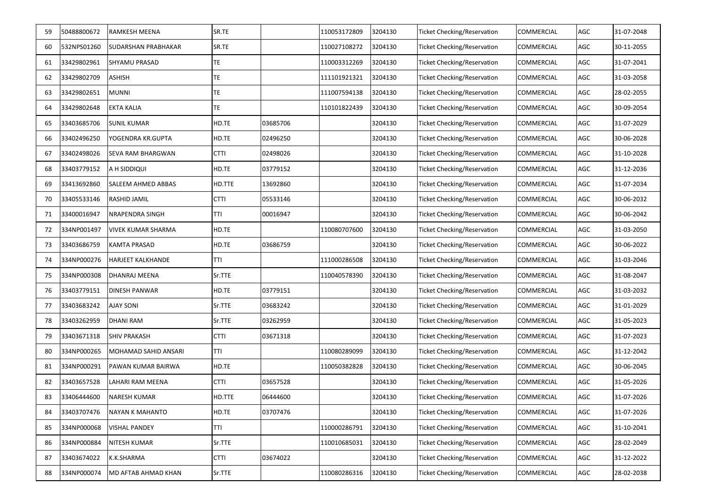| 59  | 50488800672 | RAMKESH MEENA             | SR.TE       |          | 110053172809 | 3204130 | <b>Ticket Checking/Reservation</b> | <b>COMMERCIAL</b> | AGC | 31-07-2048 |
|-----|-------------|---------------------------|-------------|----------|--------------|---------|------------------------------------|-------------------|-----|------------|
| 60  | 532NPS01260 | SUDARSHAN PRABHAKAR       | SR.TE       |          | 110027108272 | 3204130 | <b>Ticket Checking/Reservation</b> | <b>COMMERCIAL</b> | AGC | 30-11-2055 |
| 61  | 33429802961 | <b>SHYAMU PRASAD</b>      | <b>TE</b>   |          | 110003312269 | 3204130 | <b>Ticket Checking/Reservation</b> | <b>COMMERCIAL</b> | AGC | 31-07-2041 |
| 62  | 33429802709 | ASHISH                    | TE          |          | 111101921321 | 3204130 | <b>Ticket Checking/Reservation</b> | <b>COMMERCIAL</b> | AGC | 31-03-2058 |
| 63  | 33429802651 | <b>MUNNI</b>              | TE          |          | 111007594138 | 3204130 | <b>Ticket Checking/Reservation</b> | <b>COMMERCIAL</b> | AGC | 28-02-2055 |
| 64  | 33429802648 | <b>EKTA KALIA</b>         | <b>TE</b>   |          | 110101822439 | 3204130 | <b>Ticket Checking/Reservation</b> | <b>COMMERCIAL</b> | AGC | 30-09-2054 |
| 65  | 33403685706 | <b>SUNIL KUMAR</b>        | HD.TE       | 03685706 |              | 3204130 | <b>Ticket Checking/Reservation</b> | <b>COMMERCIAL</b> | AGC | 31-07-2029 |
| 66  | 33402496250 | YOGENDRA KR.GUPTA         | HD.TE       | 02496250 |              | 3204130 | <b>Ticket Checking/Reservation</b> | <b>COMMERCIAL</b> | AGC | 30-06-2028 |
| 67  | 33402498026 | <b>SEVA RAM BHARGWAN</b>  | <b>CTTI</b> | 02498026 |              | 3204130 | <b>Ticket Checking/Reservation</b> | <b>COMMERCIAL</b> | AGC | 31-10-2028 |
| 68  | 33403779152 | A H SIDDIQUI              | HD.TE       | 03779152 |              | 3204130 | <b>Ticket Checking/Reservation</b> | <b>COMMERCIAL</b> | AGC | 31-12-2036 |
| 69  | 33413692860 | SALEEM AHMED ABBAS        | HD.TTE      | 13692860 |              | 3204130 | Ticket Checking/Reservation        | <b>COMMERCIAL</b> | AGC | 31-07-2034 |
| 70  | 33405533146 | RASHID JAMIL              | <b>CTTI</b> | 05533146 |              | 3204130 | Ticket Checking/Reservation        | <b>COMMERCIAL</b> | AGC | 30-06-2032 |
| 71  | 33400016947 | NRAPENDRA SINGH           | TTI         | 00016947 |              | 3204130 | Ticket Checking/Reservation        | COMMERCIAL        | AGC | 30-06-2042 |
| 72  | 334NP001497 | <b>VIVEK KUMAR SHARMA</b> | HD.TE       |          | 110080707600 | 3204130 | Ticket Checking/Reservation        | COMMERCIAL        | AGC | 31-03-2050 |
| 73  | 33403686759 | KAMTA PRASAD              | HD.TE       | 03686759 |              | 3204130 | Ticket Checking/Reservation        | COMMERCIAL        | AGC | 30-06-2022 |
| 74  | 334NP000276 | <b>HARJEET KALKHANDE</b>  | TTI         |          | 111000286508 | 3204130 | Ticket Checking/Reservation        | <b>COMMERCIAL</b> | AGC | 31-03-2046 |
| 75  | 334NP000308 | DHANRAJ MEENA             | Sr.TTE      |          | 110040578390 | 3204130 | <b>Ticket Checking/Reservation</b> | <b>COMMERCIAL</b> | AGC | 31-08-2047 |
| 76  | 33403779151 | <b>DINESH PANWAR</b>      | HD.TE       | 03779151 |              | 3204130 | Ticket Checking/Reservation        | COMMERCIAL        | AGC | 31-03-2032 |
| 77  | 33403683242 | <b>AJAY SONI</b>          | Sr.TTE      | 03683242 |              | 3204130 | <b>Ticket Checking/Reservation</b> | <b>COMMERCIAL</b> | AGC | 31-01-2029 |
| 78  | 33403262959 | <b>DHANI RAM</b>          | Sr.TTE      | 03262959 |              | 3204130 | <b>Ticket Checking/Reservation</b> | <b>COMMERCIAL</b> | AGC | 31-05-2023 |
| 79  | 33403671318 | <b>SHIV PRAKASH</b>       | <b>CTTI</b> | 03671318 |              | 3204130 | Ticket Checking/Reservation        | <b>COMMERCIAL</b> | AGC | 31-07-2023 |
| 80  | 334NP000265 | MOHAMAD SAHID ANSARI      | TTI         |          | 110080289099 | 3204130 | <b>Ticket Checking/Reservation</b> | COMMERCIAL        | AGC | 31-12-2042 |
| 81  | 334NP000291 | PAWAN KUMAR BAIRWA        | HD.TE       |          | 110050382828 | 3204130 | Ticket Checking/Reservation        | COMMERCIAL        | AGC | 30-06-2045 |
| 82  | 33403657528 | LAHARI RAM MEENA          | CTTI        | 03657528 |              | 3204130 | Ticket Checking/Reservation        | COMMERCIAL        | AGC | 31-05-2026 |
| 83  | 33406444600 | NARESH KUMAR              | HD.TTE      | 06444600 |              | 3204130 | <b>Ticket Checking/Reservation</b> | <b>COMMERCIAL</b> | AGC | 31-07-2026 |
| 84  | 33403707476 | <b>NAYAN K MAHANTO</b>    | HD.TE       | 03707476 |              | 3204130 | <b>Ticket Checking/Reservation</b> | COMMERCIAL        | AGC | 31-07-2026 |
| 85  | 334NP000068 | VISHAL PANDEY             | <b>TTI</b>  |          | 110000286791 | 3204130 | <b>Ticket Checking/Reservation</b> | COMMERCIAL        | AGC | 31-10-2041 |
| 86  | 334NP000884 | NITESH KUMAR              | Sr.TTE      |          | 110010685031 | 3204130 | <b>Ticket Checking/Reservation</b> | COMMERCIAL        | AGC | 28-02-2049 |
| -87 | 33403674022 | K.K.SHARMA                | <b>CTTI</b> | 03674022 |              | 3204130 | Ticket Checking/Reservation        | COMMERCIAL        | AGC | 31-12-2022 |
| 88  | 334NP000074 | MD AFTAB AHMAD KHAN       | Sr.TTE      |          | 110080286316 | 3204130 | <b>Ticket Checking/Reservation</b> | COMMERCIAL        | AGC | 28-02-2038 |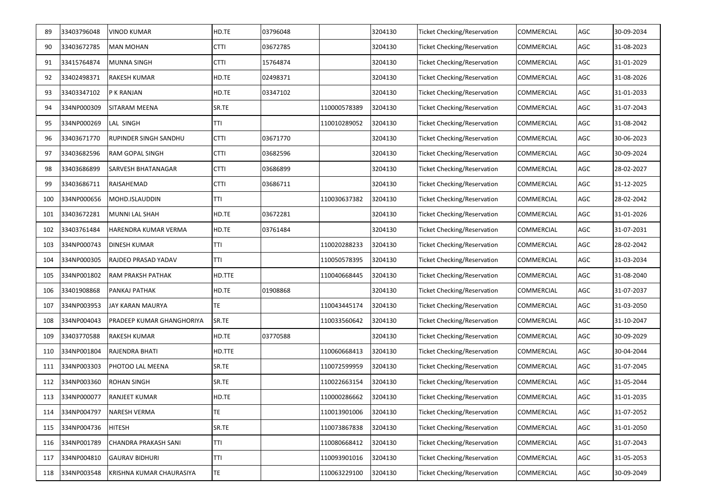| 89  | 33403796048 | <b>VINOD KUMAR</b>           | HD.TE       | 03796048 |              | 3204130 | <b>Ticket Checking/Reservation</b> | <b>COMMERCIAL</b> | AGC | 30-09-2034 |
|-----|-------------|------------------------------|-------------|----------|--------------|---------|------------------------------------|-------------------|-----|------------|
| 90  | 33403672785 | <b>MAN MOHAN</b>             | <b>CTTI</b> | 03672785 |              | 3204130 | <b>Ticket Checking/Reservation</b> | <b>COMMERCIAL</b> | AGC | 31-08-2023 |
| 91  | 33415764874 | <b>MUNNA SINGH</b>           | <b>CTTI</b> | 15764874 |              | 3204130 | <b>Ticket Checking/Reservation</b> | COMMERCIAL        | AGC | 31-01-2029 |
| 92  | 33402498371 | <b>RAKESH KUMAR</b>          | HD.TE       | 02498371 |              | 3204130 | <b>Ticket Checking/Reservation</b> | <b>COMMERCIAL</b> | AGC | 31-08-2026 |
| 93  | 33403347102 | P K RANJAN                   | HD.TE       | 03347102 |              | 3204130 | <b>Ticket Checking/Reservation</b> | <b>COMMERCIAL</b> | AGC | 31-01-2033 |
| 94  | 334NP000309 | <b>SITARAM MEENA</b>         | SR.TE       |          | 110000578389 | 3204130 | <b>Ticket Checking/Reservation</b> | <b>COMMERCIAL</b> | AGC | 31-07-2043 |
| 95  | 334NP000269 | LAL SINGH                    | TTI         |          | 110010289052 | 3204130 | <b>Ticket Checking/Reservation</b> | <b>COMMERCIAL</b> | AGC | 31-08-2042 |
| 96  | 33403671770 | <b>RUPINDER SINGH SANDHU</b> | <b>CTTI</b> | 03671770 |              | 3204130 | <b>Ticket Checking/Reservation</b> | <b>COMMERCIAL</b> | AGC | 30-06-2023 |
| 97  | 33403682596 | RAM GOPAL SINGH              | <b>CTTI</b> | 03682596 |              | 3204130 | <b>Ticket Checking/Reservation</b> | COMMERCIAL        | AGC | 30-09-2024 |
| 98  | 33403686899 | SARVESH BHATANAGAR           | <b>CTTI</b> | 03686899 |              | 3204130 | <b>Ticket Checking/Reservation</b> | COMMERCIAL        | AGC | 28-02-2027 |
| 99  | 33403686711 | RAISAHEMAD                   | <b>CTTI</b> | 03686711 |              | 3204130 | Ticket Checking/Reservation        | COMMERCIAL        | AGC | 31-12-2025 |
| 100 | 334NP000656 | MOHD.ISLAUDDIN               | TTI         |          | 110030637382 | 3204130 | Ticket Checking/Reservation        | COMMERCIAL        | AGC | 28-02-2042 |
| 101 | 33403672281 | MUNNI LAL SHAH               | HD.TE       | 03672281 |              | 3204130 | Ticket Checking/Reservation        | COMMERCIAL        | AGC | 31-01-2026 |
| 102 | 33403761484 | HARENDRA KUMAR VERMA         | HD.TE       | 03761484 |              | 3204130 | Ticket Checking/Reservation        | COMMERCIAL        | AGC | 31-07-2031 |
| 103 | 334NP000743 | DINESH KUMAR                 | TTI         |          | 110020288233 | 3204130 | Ticket Checking/Reservation        | COMMERCIAL        | AGC | 28-02-2042 |
| 104 | 334NP000305 | RAJDEO PRASAD YADAV          | TTI         |          | 110050578395 | 3204130 | Ticket Checking/Reservation        | <b>COMMERCIAL</b> | AGC | 31-03-2034 |
| 105 | 334NP001802 | RAM PRAKSH PATHAK            | HD.TTE      |          | 110040668445 | 3204130 | <b>Ticket Checking/Reservation</b> | <b>COMMERCIAL</b> | AGC | 31-08-2040 |
| 106 | 33401908868 | PANKAJ PATHAK                | HD.TE       | 01908868 |              | 3204130 | Ticket Checking/Reservation        | COMMERCIAL        | AGC | 31-07-2037 |
| 107 | 334NP003953 | <b>JAY KARAN MAURYA</b>      | <b>TE</b>   |          | 110043445174 | 3204130 | <b>Ticket Checking/Reservation</b> | COMMERCIAL        | AGC | 31-03-2050 |
| 108 | 334NP004043 | PRADEEP KUMAR GHANGHORIYA    | SR.TE       |          | 110033560642 | 3204130 | Ticket Checking/Reservation        | COMMERCIAL        | AGC | 31-10-2047 |
| 109 | 33403770588 | RAKESH KUMAR                 | HD.TE       | 03770588 |              | 3204130 | Ticket Checking/Reservation        | COMMERCIAL        | AGC | 30-09-2029 |
| 110 | 334NP001804 | RAJENDRA BHATI               | HD.TTE      |          | 110060668413 | 3204130 | <b>Ticket Checking/Reservation</b> | COMMERCIAL        | AGC | 30-04-2044 |
| 111 | 334NP003303 | PHOTOO LAL MEENA             | SR.TE       |          | 110072599959 | 3204130 | Ticket Checking/Reservation        | <b>COMMERCIAL</b> | AGC | 31-07-2045 |
| 112 | 334NP003360 | <b>ROHAN SINGH</b>           | SR.TE       |          | 110022663154 | 3204130 | Ticket Checking/Reservation        | COMMERCIAL        | AGC | 31-05-2044 |
| 113 | 334NP000077 | <b>RANJEET KUMAR</b>         | HD.TE       |          | 110000286662 | 3204130 | <b>Ticket Checking/Reservation</b> | <b>COMMERCIAL</b> | AGC | 31-01-2035 |
| 114 | 334NP004797 | NARESH VERMA                 | TE          |          | 110013901006 | 3204130 | <b>Ticket Checking/Reservation</b> | COMMERCIAL        | AGC | 31-07-2052 |
| 115 | 334NP004736 | <b>HITESH</b>                | SR.TE       |          | 110073867838 | 3204130 | <b>Ticket Checking/Reservation</b> | COMMERCIAL        | AGC | 31-01-2050 |
| 116 | 334NP001789 | <b>CHANDRA PRAKASH SANI</b>  | <b>TTI</b>  |          | 110080668412 | 3204130 | <b>Ticket Checking/Reservation</b> | COMMERCIAL        | AGC | 31-07-2043 |
| 117 | 334NP004810 | <b>GAURAV BIDHURI</b>        | TTI         |          | 110093901016 | 3204130 | Ticket Checking/Reservation        | COMMERCIAL        | AGC | 31-05-2053 |
| 118 | 334NP003548 | KRISHNA KUMAR CHAURASIYA     | TE.         |          | 110063229100 | 3204130 | <b>Ticket Checking/Reservation</b> | COMMERCIAL        | AGC | 30-09-2049 |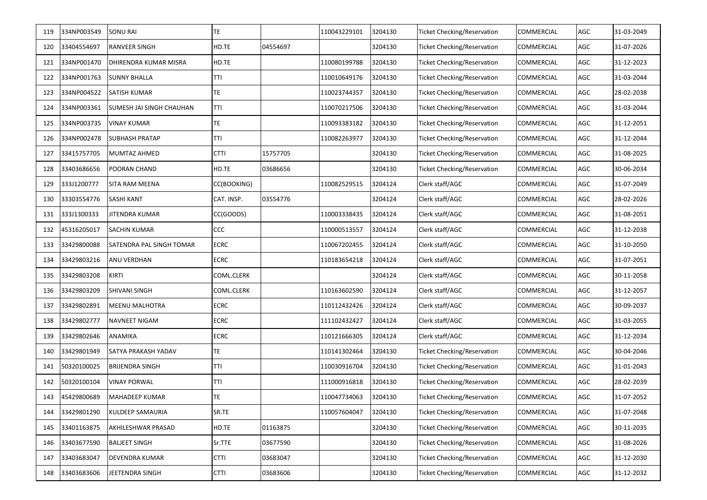| 119 | 334NP003549 | <b>SONU RAI</b>          | <b>TE</b>   |          | 110043229101 | 3204130 | <b>Ticket Checking/Reservation</b> | <b>COMMERCIAL</b> | AGC | 31-03-2049 |
|-----|-------------|--------------------------|-------------|----------|--------------|---------|------------------------------------|-------------------|-----|------------|
| 120 | 33404554697 | RANVEER SINGH            | HD.TE       | 04554697 |              | 3204130 | <b>Ticket Checking/Reservation</b> | <b>COMMERCIAL</b> | AGC | 31-07-2026 |
| 121 | 334NP001470 | DHIRENDRA KUMAR MISRA    | HD.TE       |          | 110080199788 | 3204130 | <b>Ticket Checking/Reservation</b> | <b>COMMERCIAL</b> | AGC | 31-12-2023 |
| 122 | 334NP001763 | <b>SUNNY BHALLA</b>      | TTI         |          | 110010649176 | 3204130 | <b>Ticket Checking/Reservation</b> | <b>COMMERCIAL</b> | AGC | 31-03-2044 |
| 123 | 334NP004522 | <b>SATISH KUMAR</b>      | TE          |          | 110023744357 | 3204130 | <b>Ticket Checking/Reservation</b> | <b>COMMERCIAL</b> | AGC | 28-02-2038 |
| 124 | 334NP003361 | SUMESH JAI SINGH CHAUHAN | <b>TTI</b>  |          | 110070217506 | 3204130 | <b>Ticket Checking/Reservation</b> | <b>COMMERCIAL</b> | AGC | 31-03-2044 |
| 125 | 334NP003735 | <b>VINAY KUMAR</b>       | TE          |          | 110093383182 | 3204130 | <b>Ticket Checking/Reservation</b> | <b>COMMERCIAL</b> | AGC | 31-12-2051 |
| 126 | 334NP002478 | <b>SUBHASH PRATAP</b>    | TTI         |          | 110082263977 | 3204130 | <b>Ticket Checking/Reservation</b> | <b>COMMERCIAL</b> | AGC | 31-12-2044 |
| 127 | 33415757705 | MUMTAZ AHMED             | <b>CTTI</b> | 15757705 |              | 3204130 | Ticket Checking/Reservation        | <b>COMMERCIAL</b> | AGC | 31-08-2025 |
| 128 | 33403686656 | POORAN CHAND             | HD.TE       | 03686656 |              | 3204130 | Ticket Checking/Reservation        | COMMERCIAL        | AGC | 30-06-2034 |
| 129 | 333J1200777 | SITA RAM MEENA           | CC(BOOKING) |          | 110082529515 | 3204124 | Clerk staff/AGC                    | COMMERCIAL        | AGC | 31-07-2049 |
| 130 | 33303554776 | <b>SASHI KANT</b>        | CAT. INSP.  | 03554776 |              | 3204124 | Clerk staff/AGC                    | COMMERCIAL        | AGC | 28-02-2026 |
| 131 | 333J1300333 | JITENDRA KUMAR           | CC(GOODS)   |          | 110003338435 | 3204124 | Clerk staff/AGC                    | COMMERCIAL        | AGC | 31-08-2051 |
| 132 | 45316205017 | <b>SACHIN KUMAR</b>      | CCC         |          | 110000513557 | 3204124 | Clerk staff/AGC                    | COMMERCIAL        | AGC | 31-12-2038 |
| 133 | 33429800088 | SATENDRA PAL SINGH TOMAR | <b>ECRC</b> |          | 110067202455 | 3204124 | Clerk staff/AGC                    | COMMERCIAL        | AGC | 31-10-2050 |
| 134 | 33429803216 | ANU VERDHAN              | <b>ECRC</b> |          | 110183654218 | 3204124 | Clerk staff/AGC                    | COMMERCIAL        | AGC | 31-07-2051 |
| 135 | 33429803208 | KIRTI                    | COML.CLERK  |          |              | 3204124 | Clerk staff/AGC                    | COMMERCIAL        | AGC | 30-11-2058 |
| 136 | 33429803209 | SHIVANI SINGH            | COML.CLERK  |          | 110163602590 | 3204124 | Clerk staff/AGC                    | COMMERCIAL        | AGC | 31-12-2057 |
| 137 | 33429802891 | <b>MEENU MALHOTRA</b>    | <b>ECRC</b> |          | 110112432426 | 3204124 | Clerk staff/AGC                    | COMMERCIAL        | AGC | 30-09-2037 |
| 138 | 33429802777 | <b>NAVNEET NIGAM</b>     | <b>ECRC</b> |          | 111102432427 | 3204124 | Clerk staff/AGC                    | COMMERCIAL        | AGC | 31-03-2055 |
| 139 | 33429802646 | ANAMIKA                  | <b>ECRC</b> |          | 110121666305 | 3204124 | Clerk staff/AGC                    | <b>COMMERCIAL</b> | AGC | 31-12-2034 |
| 140 | 33429801949 | SATYA PRAKASH YADAV      | <b>TE</b>   |          | 110141302464 | 3204130 | <b>Ticket Checking/Reservation</b> | COMMERCIAL        | AGC | 30-04-2046 |
| 141 | 50320100025 | <b>BRIJENDRA SINGH</b>   | TTI         |          | 110030916704 | 3204130 | Ticket Checking/Reservation        | <b>COMMERCIAL</b> | AGC | 31-01-2043 |
| 142 | 50320100104 | <b>VINAY PORWAL</b>      | TTI         |          | 111000916818 | 3204130 | Ticket Checking/Reservation        | COMMERCIAL        | AGC | 28-02-2039 |
| 143 | 45429800689 | MAHADEEP KUMAR           | <b>TE</b>   |          | 110047734063 | 3204130 | <b>Ticket Checking/Reservation</b> | <b>COMMERCIAL</b> | AGC | 31-07-2052 |
| 144 | 33429801290 | KULDEEP SAMAURIA         | SR.TE       |          | 110057604047 | 3204130 | <b>Ticket Checking/Reservation</b> | COMMERCIAL        | AGC | 31-07-2048 |
| 145 | 33401163875 | AKHILESHWAR PRASAD       | HD.TE       | 01163875 |              | 3204130 | <b>Ticket Checking/Reservation</b> | COMMERCIAL        | AGC | 30-11-2035 |
| 146 | 33403677590 | <b>BALJEET SINGH</b>     | Sr.TTE      | 03677590 |              | 3204130 | <b>Ticket Checking/Reservation</b> | COMMERCIAL        | AGC | 31-08-2026 |
| 147 | 33403683047 | DEVENDRA KUMAR           | <b>CTTI</b> | 03683047 |              | 3204130 | Ticket Checking/Reservation        | COMMERCIAL        | AGC | 31-12-2030 |
| 148 | 33403683606 | JEETENDRA SINGH          | <b>CTTI</b> | 03683606 |              | 3204130 | <b>Ticket Checking/Reservation</b> | COMMERCIAL        | AGC | 31-12-2032 |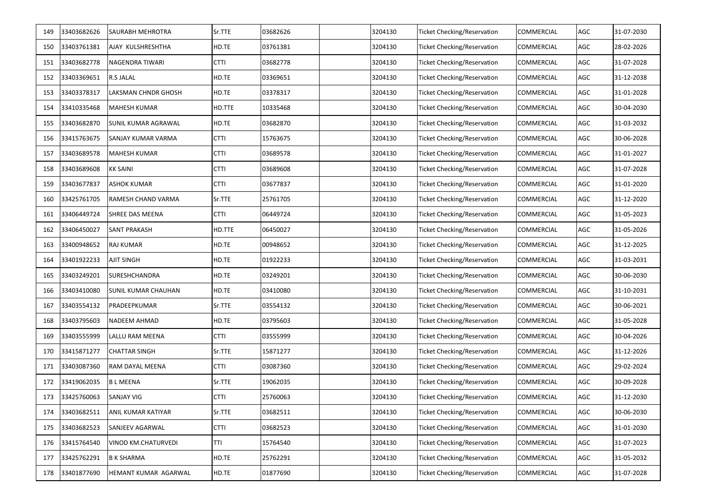| 149 | 33403682626 | <b>SAURABH MEHROTRA</b>    | Sr.TTE      | 03682626 | 3204130 | <b>Ticket Checking/Reservation</b> | <b>COMMERCIAL</b> | AGC | 31-07-2030 |
|-----|-------------|----------------------------|-------------|----------|---------|------------------------------------|-------------------|-----|------------|
| 150 | 33403761381 | AJAY KULSHRESHTHA          | HD.TE       | 03761381 | 3204130 | <b>Ticket Checking/Reservation</b> | <b>COMMERCIAL</b> | AGC | 28-02-2026 |
| 151 | 33403682778 | NAGENDRA TIWARI            | <b>CTTI</b> | 03682778 | 3204130 | <b>Ticket Checking/Reservation</b> | COMMERCIAL        | AGC | 31-07-2028 |
| 152 | 33403369651 | <b>R.S JALAL</b>           | HD.TE       | 03369651 | 3204130 | <b>Ticket Checking/Reservation</b> | <b>COMMERCIAL</b> | AGC | 31-12-2038 |
| 153 | 33403378317 | LAKSMAN CHNDR GHOSH        | HD.TE       | 03378317 | 3204130 | <b>Ticket Checking/Reservation</b> | <b>COMMERCIAL</b> | AGC | 31-01-2028 |
| 154 | 33410335468 | <b>MAHESH KUMAR</b>        | HD.TTE      | 10335468 | 3204130 | <b>Ticket Checking/Reservation</b> | <b>COMMERCIAL</b> | AGC | 30-04-2030 |
| 155 | 33403682870 | <b>SUNIL KUMAR AGRAWAL</b> | HD.TE       | 03682870 | 3204130 | <b>Ticket Checking/Reservation</b> | <b>COMMERCIAL</b> | AGC | 31-03-2032 |
| 156 | 33415763675 | SANJAY KUMAR VARMA         | <b>CTTI</b> | 15763675 | 3204130 | <b>Ticket Checking/Reservation</b> | <b>COMMERCIAL</b> | AGC | 30-06-2028 |
| 157 | 33403689578 | <b>MAHESH KUMAR</b>        | <b>CTTI</b> | 03689578 | 3204130 | <b>Ticket Checking/Reservation</b> | COMMERCIAL        | AGC | 31-01-2027 |
| 158 | 33403689608 | <b>KK SAINI</b>            | <b>CTTI</b> | 03689608 | 3204130 | <b>Ticket Checking/Reservation</b> | COMMERCIAL        | AGC | 31-07-2028 |
| 159 | 33403677837 | <b>ASHOK KUMAR</b>         | <b>CTTI</b> | 03677837 | 3204130 | Ticket Checking/Reservation        | COMMERCIAL        | AGC | 31-01-2020 |
| 160 | 33425761705 | RAMESH CHAND VARMA         | Sr.TTE      | 25761705 | 3204130 | Ticket Checking/Reservation        | COMMERCIAL        | AGC | 31-12-2020 |
| 161 | 33406449724 | SHREE DAS MEENA            | <b>CTTI</b> | 06449724 | 3204130 | Ticket Checking/Reservation        | COMMERCIAL        | AGC | 31-05-2023 |
| 162 | 33406450027 | <b>SANT PRAKASH</b>        | HD.TTE      | 06450027 | 3204130 | Ticket Checking/Reservation        | COMMERCIAL        | AGC | 31-05-2026 |
| 163 | 33400948652 | RAJ KUMAR                  | HD.TE       | 00948652 | 3204130 | Ticket Checking/Reservation        | COMMERCIAL        | AGC | 31-12-2025 |
| 164 | 33401922233 | <b>AJIT SINGH</b>          | HD.TE       | 01922233 | 3204130 | Ticket Checking/Reservation        | <b>COMMERCIAL</b> | AGC | 31-03-2031 |
| 165 | 33403249201 | SURESHCHANDRA              | HD.TE       | 03249201 | 3204130 | Ticket Checking/Reservation        | <b>COMMERCIAL</b> | AGC | 30-06-2030 |
| 166 | 33403410080 | SUNIL KUMAR CHAUHAN        | HD.TE       | 03410080 | 3204130 | Ticket Checking/Reservation        | COMMERCIAL        | AGC | 31-10-2031 |
| 167 | 33403554132 | PRADEEPKUMAR               | Sr.TTE      | 03554132 | 3204130 | <b>Ticket Checking/Reservation</b> | COMMERCIAL        | AGC | 30-06-2021 |
| 168 | 33403795603 | <b>NADEEM AHMAD</b>        | HD.TE       | 03795603 | 3204130 | <b>Ticket Checking/Reservation</b> | COMMERCIAL        | AGC | 31-05-2028 |
| 169 | 33403555999 | LALLU RAM MEENA            | <b>CTTI</b> | 03555999 | 3204130 | Ticket Checking/Reservation        | COMMERCIAL        | AGC | 30-04-2026 |
| 170 | 33415871277 | <b>CHATTAR SINGH</b>       | Sr.TTE      | 15871277 | 3204130 | <b>Ticket Checking/Reservation</b> | COMMERCIAL        | AGC | 31-12-2026 |
| 171 | 33403087360 | RAM DAYAL MEENA            | CTTI        | 03087360 | 3204130 | Ticket Checking/Reservation        | COMMERCIAL        | AGC | 29-02-2024 |
| 172 | 33419062035 | <b>BLMEENA</b>             | Sr.TTE      | 19062035 | 3204130 | Ticket Checking/Reservation        | COMMERCIAL        | AGC | 30-09-2028 |
| 173 | 33425760063 | <b>SANJAY VIG</b>          | <b>CTTI</b> | 25760063 | 3204130 | Ticket Checking/Reservation        | <b>COMMERCIAL</b> | AGC | 31-12-2030 |
| 174 | 33403682511 | ANIL KUMAR KATIYAR         | Sr.TTE      | 03682511 | 3204130 | <b>Ticket Checking/Reservation</b> | COMMERCIAL        | AGC | 30-06-2030 |
| 175 | 33403682523 | SANJEEV AGARWAL            | <b>CTTI</b> | 03682523 | 3204130 | <b>Ticket Checking/Reservation</b> | COMMERCIAL        | AGC | 31-01-2030 |
| 176 | 33415764540 | VINOD KM.CHATURVEDI        | TTI         | 15764540 | 3204130 | Ticket Checking/Reservation        | COMMERCIAL        | AGC | 31-07-2023 |
| 177 | 33425762291 | <b>B K SHARMA</b>          | HD.TE       | 25762291 | 3204130 | Ticket Checking/Reservation        | COMMERCIAL        | AGC | 31-05-2032 |
| 178 | 33401877690 | HEMANT KUMAR AGARWAL       | HD.TE       | 01877690 | 3204130 | <b>Ticket Checking/Reservation</b> | COMMERCIAL        | AGC | 31-07-2028 |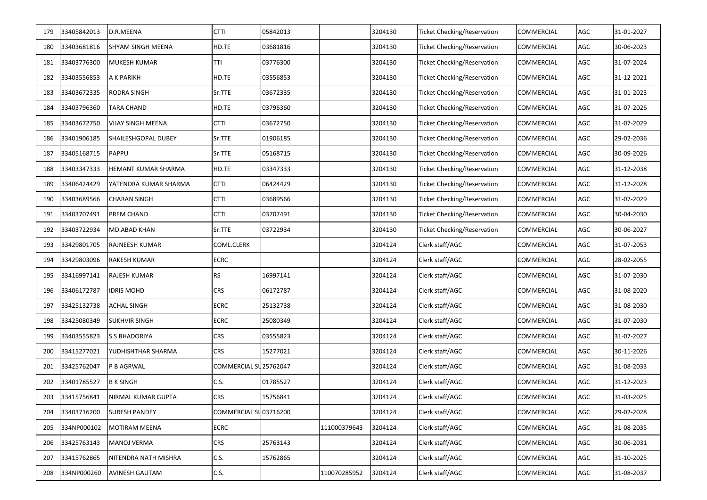| 179 | 33405842013 | D.R.MEENA                | <b>CTTI</b>            | 05842013 |              | 3204130 | Ticket Checking/Reservation        | COMMERCIAL        | AGC | 31-01-2027 |
|-----|-------------|--------------------------|------------------------|----------|--------------|---------|------------------------------------|-------------------|-----|------------|
| 180 | 33403681816 | SHYAM SINGH MEENA        | HD.TE                  | 03681816 |              | 3204130 | <b>Ticket Checking/Reservation</b> | COMMERCIAL        | AGC | 30-06-2023 |
| 181 | 33403776300 | <b>MUKESH KUMAR</b>      | TTI                    | 03776300 |              | 3204130 | <b>Ticket Checking/Reservation</b> | COMMERCIAL        | AGC | 31-07-2024 |
| 182 | 33403556853 | A K PARIKH               | HD.TE                  | 03556853 |              | 3204130 | <b>Ticket Checking/Reservation</b> | COMMERCIAL        | AGC | 31-12-2021 |
| 183 | 33403672335 | <b>RODRA SINGH</b>       | Sr.TTE                 | 03672335 |              | 3204130 | <b>Ticket Checking/Reservation</b> | COMMERCIAL        | AGC | 31-01-2023 |
| 184 | 33403796360 | TARA CHAND               | HD.TE                  | 03796360 |              | 3204130 | <b>Ticket Checking/Reservation</b> | COMMERCIAL        | AGC | 31-07-2026 |
| 185 | 33403672750 | <b>VIJAY SINGH MEENA</b> | <b>CTTI</b>            | 03672750 |              | 3204130 | <b>Ticket Checking/Reservation</b> | COMMERCIAL        | AGC | 31-07-2029 |
| 186 | 33401906185 | SHAILESHGOPAL DUBEY      | Sr.TTE                 | 01906185 |              | 3204130 | <b>Ticket Checking/Reservation</b> | COMMERCIAL        | AGC | 29-02-2036 |
| 187 | 33405168715 | PAPPU                    | Sr.TTE                 | 05168715 |              | 3204130 | Ticket Checking/Reservation        | COMMERCIAL        | AGC | 30-09-2026 |
| 188 | 33403347333 | HEMANT KUMAR SHARMA      | HD.TE                  | 03347333 |              | 3204130 | <b>Ticket Checking/Reservation</b> | COMMERCIAL        | AGC | 31-12-2038 |
| 189 | 33406424429 | YATENDRA KUMAR SHARMA    | <b>CTTI</b>            | 06424429 |              | 3204130 | <b>Ticket Checking/Reservation</b> | COMMERCIAL        | AGC | 31-12-2028 |
| 190 | 33403689566 | <b>CHARAN SINGH</b>      | <b>CTTI</b>            | 03689566 |              | 3204130 | <b>Ticket Checking/Reservation</b> | COMMERCIAL        | AGC | 31-07-2029 |
| 191 | 33403707491 | PREM CHAND               | CTTI                   | 03707491 |              | 3204130 | Ticket Checking/Reservation        | COMMERCIAL        | AGC | 30-04-2030 |
| 192 | 33403722934 | MD.ABAD KHAN             | Sr.TTE                 | 03722934 |              | 3204130 | <b>Ticket Checking/Reservation</b> | COMMERCIAL        | AGC | 30-06-2027 |
| 193 | 33429801705 | RAJNEESH KUMAR           | COML.CLERK             |          |              | 3204124 | Clerk staff/AGC                    | COMMERCIAL        | AGC | 31-07-2053 |
| 194 | 33429803096 | RAKESH KUMAR             | <b>ECRC</b>            |          |              | 3204124 | Clerk staff/AGC                    | COMMERCIAL        | AGC | 28-02-2055 |
| 195 | 33416997141 | RAJESH KUMAR             | <b>RS</b>              | 16997141 |              | 3204124 | Clerk staff/AGC                    | COMMERCIAL        | AGC | 31-07-2030 |
| 196 | 33406172787 | <b>IDRIS MOHD</b>        | CRS                    | 06172787 |              | 3204124 | Clerk staff/AGC                    | COMMERCIAL        | AGC | 31-08-2020 |
| 197 | 33425132738 | ACHAL SINGH              | ECRC                   | 25132738 |              | 3204124 | Clerk staff/AGC                    | COMMERCIAL        | AGC | 31-08-2030 |
| 198 | 33425080349 | <b>SUKHVIR SINGH</b>     | ECRC                   | 25080349 |              | 3204124 | Clerk staff/AGC                    | COMMERCIAL        | AGC | 31-07-2030 |
| 199 | 33403555823 | <b>S S BHADORIYA</b>     | <b>CRS</b>             | 03555823 |              | 3204124 | Clerk staff/AGC                    | COMMERCIAL        | AGC | 31-07-2027 |
| 200 | 33415277021 | YUDHISHTHAR SHARMA       | CRS                    | 15277021 |              | 3204124 | Clerk staff/AGC                    | COMMERCIAL        | AGC | 30-11-2026 |
| 201 | 33425762047 | P B AGRWAL               | COMMERCIAL SU 25762047 |          |              | 3204124 | Clerk staff/AGC                    | COMMERCIAL        | AGC | 31-08-2033 |
| 202 | 33401785527 | <b>B K SINGH</b>         | C.S.                   | 01785527 |              | 3204124 | Clerk staff/AGC                    | COMMERCIAL        | AGC | 31-12-2023 |
| 203 | 33415756841 | NIRMAL KUMAR GUPTA       | <b>CRS</b>             | 15756841 |              | 3204124 | Clerk staff/AGC                    | <b>COMMERCIAL</b> | AGC | 31-03-2025 |
| 204 | 33403716200 | <b>SURESH PANDEY</b>     | COMMERCIAL SU03716200  |          |              | 3204124 | Clerk staff/AGC                    | COMMERCIAL        | AGC | 29-02-2028 |
| 205 | 334NP000102 | <b>MOTIRAM MEENA</b>     | ECRC                   |          | 111000379643 | 3204124 | Clerk staff/AGC                    | COMMERCIAL        | AGC | 31-08-2035 |
| 206 | 33425763143 | <b>MANOJ VERMA</b>       | CRS                    | 25763143 |              | 3204124 | Clerk staff/AGC                    | COMMERCIAL        | AGC | 30-06-2031 |
| 207 | 33415762865 | NITENDRA NATH MISHRA     | C.S.                   | 15762865 |              | 3204124 | Clerk staff/AGC                    | COMMERCIAL        | AGC | 31-10-2025 |
| 208 | 334NP000260 | AVINESH GAUTAM           | C.S.                   |          | 110070285952 | 3204124 | Clerk staff/AGC                    | COMMERCIAL        | AGC | 31-08-2037 |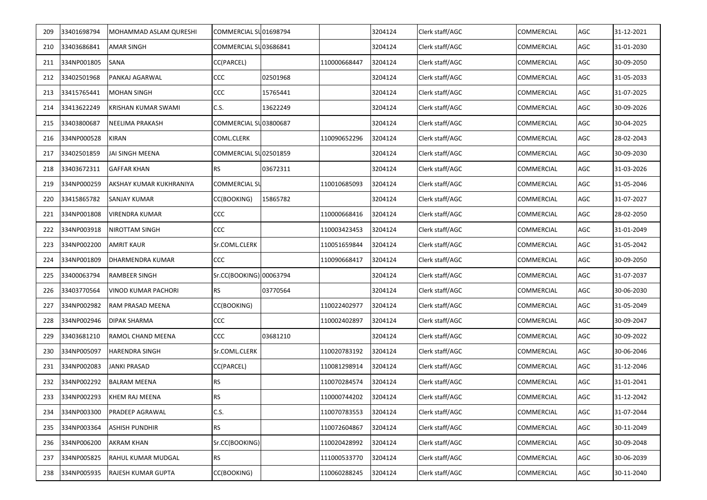| 209 | 33401698794 | MOHAMMAD ASLAM QURESHI  | COMMERCIAL SU01698794   |          |              | 3204124 | Clerk staff/AGC | COMMERCIAL        | AGC | 31-12-2021 |
|-----|-------------|-------------------------|-------------------------|----------|--------------|---------|-----------------|-------------------|-----|------------|
| 210 | 33403686841 | <b>AMAR SINGH</b>       | COMMERCIAL SU03686841   |          |              | 3204124 | Clerk staff/AGC | COMMERCIAL        | AGC | 31-01-2030 |
| 211 | 334NP001805 | <b>SANA</b>             | CC(PARCEL)              |          | 110000668447 | 3204124 | Clerk staff/AGC | COMMERCIAL        | AGC | 30-09-2050 |
| 212 | 33402501968 | PANKAJ AGARWAL          | CCC                     | 02501968 |              | 3204124 | Clerk staff/AGC | COMMERCIAL        | AGC | 31-05-2033 |
| 213 | 33415765441 | <b>MOHAN SINGH</b>      | CCC                     | 15765441 |              | 3204124 | Clerk staff/AGC | COMMERCIAL        | AGC | 31-07-2025 |
| 214 | 33413622249 | KRISHAN KUMAR SWAMI     | C.S.                    | 13622249 |              | 3204124 | Clerk staff/AGC | COMMERCIAL        | AGC | 30-09-2026 |
| 215 | 33403800687 | <b>NEELIMA PRAKASH</b>  | COMMERCIAL SU03800687   |          |              | 3204124 | Clerk staff/AGC | COMMERCIAL        | AGC | 30-04-2025 |
| 216 | 334NP000528 | <b>KIRAN</b>            | COML.CLERK              |          | 110090652296 | 3204124 | Clerk staff/AGC | COMMERCIAL        | AGC | 28-02-2043 |
| 217 | 33402501859 | JAI SINGH MEENA         | COMMERCIAL SU02501859   |          |              | 3204124 | Clerk staff/AGC | COMMERCIAL        | AGC | 30-09-2030 |
| 218 | 33403672311 | <b>GAFFAR KHAN</b>      | <b>RS</b>               | 03672311 |              | 3204124 | Clerk staff/AGC | COMMERCIAL        | AGC | 31-03-2026 |
| 219 | 334NP000259 | AKSHAY KUMAR KUKHRANIYA | <b>COMMERCIAL SL</b>    |          | 110010685093 | 3204124 | Clerk staff/AGC | COMMERCIAL        | AGC | 31-05-2046 |
| 220 | 33415865782 | SANJAY KUMAR            | CC(BOOKING)             | 15865782 |              | 3204124 | Clerk staff/AGC | COMMERCIAL        | AGC | 31-07-2027 |
| 221 | 334NP001808 | VIRENDRA KUMAR          | CCC                     |          | 110000668416 | 3204124 | Clerk staff/AGC | COMMERCIAL        | AGC | 28-02-2050 |
| 222 | 334NP003918 | NIROTTAM SINGH          | CCC                     |          | 110003423453 | 3204124 | Clerk staff/AGC | COMMERCIAL        | AGC | 31-01-2049 |
| 223 | 334NP002200 | <b>AMRIT KAUR</b>       | Sr.COML.CLERK           |          | 110051659844 | 3204124 | Clerk staff/AGC | COMMERCIAL        | AGC | 31-05-2042 |
| 224 | 334NP001809 | DHARMENDRA KUMAR        | CCC                     |          | 110090668417 | 3204124 | Clerk staff/AGC | COMMERCIAL        | AGC | 30-09-2050 |
| 225 | 33400063794 | <b>RAMBEER SINGH</b>    | Sr.CC(BOOKING) 00063794 |          |              | 3204124 | Clerk staff/AGC | COMMERCIAL        | AGC | 31-07-2037 |
| 226 | 33403770564 | VINOD KUMAR PACHORI     | <b>RS</b>               | 03770564 |              | 3204124 | Clerk staff/AGC | COMMERCIAL        | AGC | 30-06-2030 |
| 227 | 334NP002982 | RAM PRASAD MEENA        | CC(BOOKING)             |          | 110022402977 | 3204124 | Clerk staff/AGC | COMMERCIAL        | AGC | 31-05-2049 |
| 228 | 334NP002946 | DIPAK SHARMA            | CCC                     |          | 110002402897 | 3204124 | Clerk staff/AGC | COMMERCIAL        | AGC | 30-09-2047 |
| 229 | 33403681210 | RAMOL CHAND MEENA       | CCC                     | 03681210 |              | 3204124 | Clerk staff/AGC | COMMERCIAL        | AGC | 30-09-2022 |
| 230 | 334NP005097 | <b>HARENDRA SINGH</b>   | Sr.COML.CLERK           |          | 110020783192 | 3204124 | Clerk staff/AGC | COMMERCIAL        | AGC | 30-06-2046 |
| 231 | 334NP002083 | <b>JANKI PRASAD</b>     | CC(PARCEL)              |          | 110081298914 | 3204124 | Clerk staff/AGC | COMMERCIAL        | AGC | 31-12-2046 |
| 232 | 334NP002292 | <b>BALRAM MEENA</b>     | <b>RS</b>               |          | 110070284574 | 3204124 | Clerk staff/AGC | COMMERCIAL        | AGC | 31-01-2041 |
| 233 | 334NP002293 | <b>KHEM RAJ MEENA</b>   | <b>RS</b>               |          | 110000744202 | 3204124 | Clerk staff/AGC | <b>COMMERCIAL</b> | AGC | 31-12-2042 |
| 234 | 334NP003300 | PRADEEP AGRAWAL         | C.S.                    |          | 110070783553 | 3204124 | Clerk staff/AGC | COMMERCIAL        | AGC | 31-07-2044 |
| 235 | 334NP003364 | <b>ASHISH PUNDHIR</b>   | <b>RS</b>               |          | 110072604867 | 3204124 | Clerk staff/AGC | COMMERCIAL        | AGC | 30-11-2049 |
| 236 | 334NP006200 | AKRAM KHAN              | Sr.CC(BOOKING)          |          | 110020428992 | 3204124 | Clerk staff/AGC | COMMERCIAL        | AGC | 30-09-2048 |
| 237 | 334NP005825 | RAHUL KUMAR MUDGAL      | <b>RS</b>               |          | 111000533770 | 3204124 | Clerk staff/AGC | COMMERCIAL        | AGC | 30-06-2039 |
| 238 | 334NP005935 | RAJESH KUMAR GUPTA      | CC(BOOKING)             |          | 110060288245 | 3204124 | Clerk staff/AGC | COMMERCIAL        | AGC | 30-11-2040 |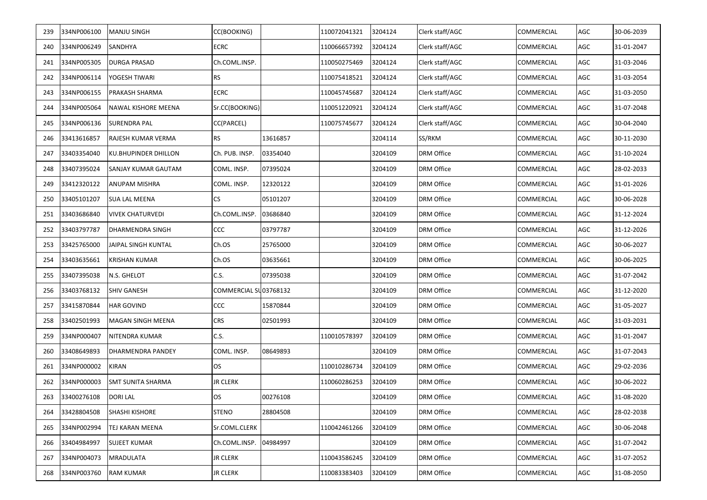| 239 | 334NP006100 | MANJU SINGH          | CC(BOOKING)           |          | 110072041321 | 3204124 | Clerk staff/AGC   | COMMERCIAL | AGC | 30-06-2039 |
|-----|-------------|----------------------|-----------------------|----------|--------------|---------|-------------------|------------|-----|------------|
| 240 | 334NP006249 | SANDHYA              | ECRC                  |          | 110066657392 | 3204124 | Clerk staff/AGC   | COMMERCIAL | AGC | 31-01-2047 |
| 241 | 334NP005305 | <b>DURGA PRASAD</b>  | Ch.COML.INSP.         |          | 110050275469 | 3204124 | Clerk staff/AGC   | COMMERCIAL | AGC | 31-03-2046 |
| 242 | 334NP006114 | YOGESH TIWARI        | <b>RS</b>             |          | 110075418521 | 3204124 | Clerk staff/AGC   | COMMERCIAL | AGC | 31-03-2054 |
| 243 | 334NP006155 | PRAKASH SHARMA       | <b>ECRC</b>           |          | 110045745687 | 3204124 | Clerk staff/AGC   | COMMERCIAL | AGC | 31-03-2050 |
| 244 | 334NP005064 | NAWAL KISHORE MEENA  | Sr.CC(BOOKING)        |          | 110051220921 | 3204124 | Clerk staff/AGC   | COMMERCIAL | AGC | 31-07-2048 |
| 245 | 334NP006136 | SURENDRA PAL         | CC(PARCEL)            |          | 110075745677 | 3204124 | Clerk staff/AGC   | COMMERCIAL | AGC | 30-04-2040 |
| 246 | 33413616857 | RAJESH KUMAR VERMA   | <b>RS</b>             | 13616857 |              | 3204114 | SS/RKM            | COMMERCIAL | AGC | 30-11-2030 |
| 247 | 33403354040 | KU.BHUPINDER DHILLON | Ch. PUB. INSP.        | 03354040 |              | 3204109 | <b>DRM Office</b> | COMMERCIAL | AGC | 31-10-2024 |
| 248 | 33407395024 | SANJAY KUMAR GAUTAM  | COML. INSP.           | 07395024 |              | 3204109 | <b>DRM Office</b> | COMMERCIAL | AGC | 28-02-2033 |
| 249 | 33412320122 | ANUPAM MISHRA        | COML. INSP.           | 12320122 |              | 3204109 | <b>DRM Office</b> | COMMERCIAL | AGC | 31-01-2026 |
| 250 | 33405101207 | SUA LAL MEENA        | CS                    | 05101207 |              | 3204109 | <b>DRM Office</b> | COMMERCIAL | AGC | 30-06-2028 |
| 251 | 33403686840 | VIVEK CHATURVEDI     | Ch.COML.INSP.         | 03686840 |              | 3204109 | <b>DRM Office</b> | COMMERCIAL | AGC | 31-12-2024 |
| 252 | 33403797787 | DHARMENDRA SINGH     | ccc                   | 03797787 |              | 3204109 | <b>DRM Office</b> | COMMERCIAL | AGC | 31-12-2026 |
| 253 | 33425765000 | JAIPAL SINGH KUNTAL  | Ch.OS                 | 25765000 |              | 3204109 | <b>DRM Office</b> | COMMERCIAL | AGC | 30-06-2027 |
| 254 | 33403635661 | KRISHAN KUMAR        | Ch.OS                 | 03635661 |              | 3204109 | DRM Office        | COMMERCIAL | AGC | 30-06-2025 |
| 255 | 33407395038 | N.S. GHELOT          | C.S.                  | 07395038 |              | 3204109 | DRM Office        | COMMERCIAL | AGC | 31-07-2042 |
| 256 | 33403768132 | SHIV GANESH          | COMMERCIAL SU03768132 |          |              | 3204109 | DRM Office        | COMMERCIAL | AGC | 31-12-2020 |
| 257 | 33415870844 | HAR GOVIND           | ccc                   | 15870844 |              | 3204109 | <b>DRM Office</b> | COMMERCIAL | AGC | 31-05-2027 |
| 258 | 33402501993 | MAGAN SINGH MEENA    | <b>CRS</b>            | 02501993 |              | 3204109 | <b>DRM Office</b> | COMMERCIAL | AGC | 31-03-2031 |
| 259 | 334NP000407 | NITENDRA KUMAR       | C.S.                  |          | 110010578397 | 3204109 | DRM Office        | COMMERCIAL | AGC | 31-01-2047 |
| 260 | 33408649893 | DHARMENDRA PANDEY    | COML. INSP.           | 08649893 |              | 3204109 | DRM Office        | COMMERCIAL | AGC | 31-07-2043 |
| 261 | 334NP000002 | KIRAN                | OS.                   |          | 110010286734 | 3204109 | DRM Office        | COMMERCIAL | AGC | 29-02-2036 |
| 262 | 334NP000003 | SMT SUNITA SHARMA    | <b>JR CLERK</b>       |          | 110060286253 | 3204109 | <b>DRM Office</b> | COMMERCIAL | AGC | 30-06-2022 |
| 263 | 33400276108 | <b>DORI LAL</b>      | OS                    | 00276108 |              | 3204109 | <b>DRM Office</b> | COMMERCIAL | AGC | 31-08-2020 |
| 264 | 33428804508 | SHASHI KISHORE       | <b>STENO</b>          | 28804508 |              | 3204109 | <b>DRM Office</b> | COMMERCIAL | AGC | 28-02-2038 |
| 265 | 334NP002994 | TEJ KARAN MEENA      | Sr.COML.CLERK         |          | 110042461266 | 3204109 | <b>DRM Office</b> | COMMERCIAL | AGC | 30-06-2048 |
| 266 | 33404984997 | SUJEET KUMAR         | Ch.COML.INSP.         | 04984997 |              | 3204109 | <b>DRM Office</b> | COMMERCIAL | AGC | 31-07-2042 |
| 267 | 334NP004073 | MRADULATA            | <b>JR CLERK</b>       |          | 110043586245 | 3204109 | <b>DRM Office</b> | COMMERCIAL | AGC | 31-07-2052 |
| 268 | 334NP003760 | RAM KUMAR            | JR CLERK              |          | 110083383403 | 3204109 | <b>DRM Office</b> | COMMERCIAL | AGC | 31-08-2050 |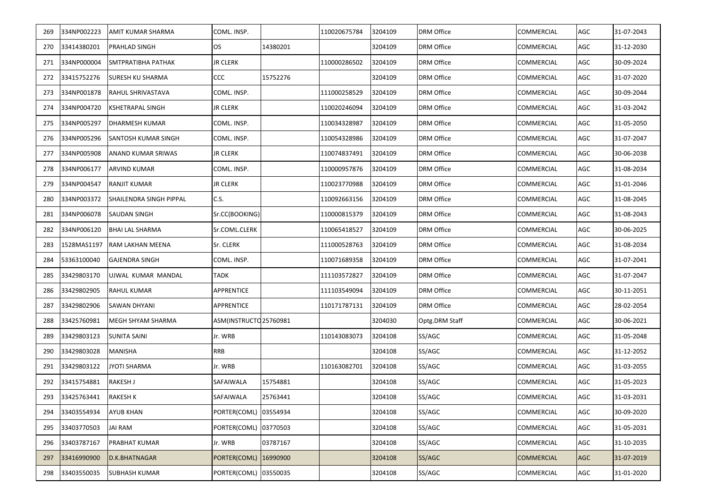| 269 | 334NP002223     | AMIT KUMAR SHARMA          | COML. INSP.            |          | 110020675784 | 3204109 | <b>DRM Office</b> | <b>COMMERCIAL</b> | AGC        | 31-07-2043 |
|-----|-----------------|----------------------------|------------------------|----------|--------------|---------|-------------------|-------------------|------------|------------|
| 270 | 33414380201     | PRAHLAD SINGH              | OS                     | 14380201 |              | 3204109 | <b>DRM Office</b> | <b>COMMERCIAL</b> | AGC        | 31-12-2030 |
| 271 | 334NP000004     | SMTPRATIBHA PATHAK         | <b>JR CLERK</b>        |          | 110000286502 | 3204109 | <b>DRM Office</b> | COMMERCIAL        | AGC        | 30-09-2024 |
| 272 | 33415752276     | <b>SURESH KU SHARMA</b>    | ccc                    | 15752276 |              | 3204109 | <b>DRM Office</b> | <b>COMMERCIAL</b> | AGC        | 31-07-2020 |
| 273 | 334NP001878     | <b>RAHUL SHRIVASTAVA</b>   | COML. INSP.            |          | 111000258529 | 3204109 | <b>DRM Office</b> | <b>COMMERCIAL</b> | AGC        | 30-09-2044 |
| 274 | 334NP004720     | <b>KSHETRAPAL SINGH</b>    | <b>JR CLERK</b>        |          | 110020246094 | 3204109 | <b>DRM Office</b> | <b>COMMERCIAL</b> | AGC        | 31-03-2042 |
| 275 | 334NP005297     | <b>DHARMESH KUMAR</b>      | COML. INSP.            |          | 110034328987 | 3204109 | <b>DRM Office</b> | <b>COMMERCIAL</b> | AGC        | 31-05-2050 |
| 276 | 334NP005296     | <b>SANTOSH KUMAR SINGH</b> | COML. INSP.            |          | 110054328986 | 3204109 | <b>DRM Office</b> | <b>COMMERCIAL</b> | AGC        | 31-07-2047 |
| 277 | 334NP005908     | ANAND KUMAR SRIWAS         | <b>JR CLERK</b>        |          | 110074837491 | 3204109 | <b>DRM Office</b> | COMMERCIAL        | AGC        | 30-06-2038 |
| 278 | 334NP006177     | <b>ARVIND KUMAR</b>        | COML. INSP.            |          | 110000957876 | 3204109 | DRM Office        | COMMERCIAL        | AGC        | 31-08-2034 |
| 279 | 334NP004547     | RANJIT KUMAR               | <b>JR CLERK</b>        |          | 110023770988 | 3204109 | <b>DRM Office</b> | COMMERCIAL        | AGC        | 31-01-2046 |
| 280 | 334NP003372     | SHAILENDRA SINGH PIPPAL    | C.S.                   |          | 110092663156 | 3204109 | DRM Office        | <b>COMMERCIAL</b> | AGC        | 31-08-2045 |
| 281 | 334NP006078     | <b>SAUDAN SINGH</b>        | Sr.CC(BOOKING)         |          | 110000815379 | 3204109 | DRM Office        | COMMERCIAL        | AGC        | 31-08-2043 |
| 282 | 334NP006120     | <b>BHAI LAL SHARMA</b>     | Sr.COML.CLERK          |          | 110065418527 | 3204109 | DRM Office        | COMMERCIAL        | AGC        | 30-06-2025 |
| 283 | 1528MAS1197     | RAM LAKHAN MEENA           | Sr. CLERK              |          | 111000528763 | 3204109 | DRM Office        | COMMERCIAL        | AGC        | 31-08-2034 |
| 284 | 53363100040     | <b>GAJENDRA SINGH</b>      | COML. INSP.            |          | 110071689358 | 3204109 | DRM Office        | COMMERCIAL        | AGC        | 31-07-2041 |
| 285 | 33429803170     | UJWAL KUMAR MANDAL         | <b>TADK</b>            |          | 111103572827 | 3204109 | DRM Office        | COMMERCIAL        | AGC        | 31-07-2047 |
| 286 | 33429802905     | <b>RAHUL KUMAR</b>         | APPRENTICE             |          | 111103549094 | 3204109 | DRM Office        | COMMERCIAL        | AGC        | 30-11-2051 |
| 287 | 33429802906     | SAWAN DHYANI               | APPRENTICE             |          | 110171787131 | 3204109 | <b>DRM Office</b> | COMMERCIAL        | AGC        | 28-02-2054 |
| 288 | 33425760981     | MEGH SHYAM SHARMA          | ASM(INSTRUCTO 25760981 |          |              | 3204030 | Optg.DRM Staff    | COMMERCIAL        | AGC        | 30-06-2021 |
| 289 | 33429803123     | <b>SUNITA SAINI</b>        | Jr. WRB                |          | 110143083073 | 3204108 | SS/AGC            | <b>COMMERCIAL</b> | AGC        | 31-05-2048 |
| 290 | 33429803028     | MANISHA                    | <b>RRB</b>             |          |              | 3204108 | SS/AGC            | COMMERCIAL        | AGC        | 31-12-2052 |
| 291 | 33429803122     | <b>JYOTI SHARMA</b>        | Jr. WRB                |          | 110163082701 | 3204108 | SS/AGC            | COMMERCIAL        | AGC        | 31-03-2055 |
| 292 | 33415754881     | <b>RAKESH J</b>            | SAFAIWALA              | 15754881 |              | 3204108 | SS/AGC            | COMMERCIAL        | AGC        | 31-05-2023 |
|     | 293 33425763441 | <b>RAKESH K</b>            | SAFAIWALA              | 25763441 |              | 3204108 | SS/AGC            | <b>COMMERCIAL</b> | AGC        | 31-03-2031 |
| 294 | 33403554934     | AYUB KHAN                  | PORTER(COML)           | 03554934 |              | 3204108 | SS/AGC            | COMMERCIAL        | AGC        | 30-09-2020 |
| 295 | 33403770503     | <b>JAI RAM</b>             | PORTER(COML) 03770503  |          |              | 3204108 | SS/AGC            | COMMERCIAL        | AGC        | 31-05-2031 |
| 296 | 33403787167     | PRABHAT KUMAR              | Jr. WRB                | 03787167 |              | 3204108 | SS/AGC            | <b>COMMERCIAL</b> | AGC        | 31-10-2035 |
| 297 | 33416990900     | D.K.BHATNAGAR              | PORTER(COML)           | 16990900 |              | 3204108 | SS/AGC            | <b>COMMERCIAL</b> | <b>AGC</b> | 31-07-2019 |
| 298 | 33403550035     | <b>SUBHASH KUMAR</b>       | PORTER(COML)           | 03550035 |              | 3204108 | SS/AGC            | <b>COMMERCIAL</b> | AGC        | 31-01-2020 |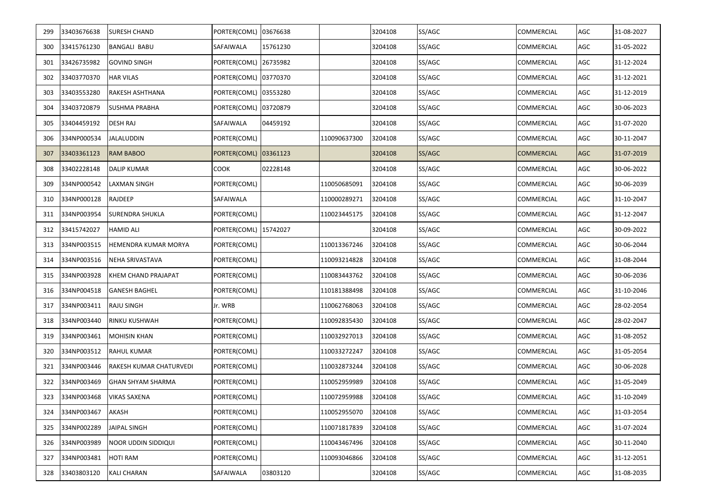| 299 | 33403676638 | <b>SURESH CHAND</b>      | PORTER(COML) 03676638 |          |              | 3204108 | SS/AGC | <b>COMMERCIAL</b> | AGC | 31-08-2027 |
|-----|-------------|--------------------------|-----------------------|----------|--------------|---------|--------|-------------------|-----|------------|
| 300 | 33415761230 | <b>BANGALI BABU</b>      | SAFAIWALA             | 15761230 |              | 3204108 | SS/AGC | <b>COMMERCIAL</b> | AGC | 31-05-2022 |
| 301 | 33426735982 | <b>GOVIND SINGH</b>      | PORTER(COML)          | 26735982 |              | 3204108 | SS/AGC | COMMERCIAL        | AGC | 31-12-2024 |
| 302 | 33403770370 | <b>HAR VILAS</b>         | PORTER(COML) 03770370 |          |              | 3204108 | SS/AGC | <b>COMMERCIAL</b> | AGC | 31-12-2021 |
| 303 | 33403553280 | RAKESH ASHTHANA          | PORTER(COML) 03553280 |          |              | 3204108 | SS/AGC | <b>COMMERCIAL</b> | AGC | 31-12-2019 |
| 304 | 33403720879 | <b>SUSHMA PRABHA</b>     | PORTER(COML) 03720879 |          |              | 3204108 | SS/AGC | <b>COMMERCIAL</b> | AGC | 30-06-2023 |
| 305 | 33404459192 | <b>DESH RAJ</b>          | SAFAIWALA             | 04459192 |              | 3204108 | SS/AGC | <b>COMMERCIAL</b> | AGC | 31-07-2020 |
| 306 | 334NP000534 | <b>JALALUDDIN</b>        | PORTER(COML)          |          | 110090637300 | 3204108 | SS/AGC | COMMERCIAL        | AGC | 30-11-2047 |
| 307 | 33403361123 | <b>RAM BABOO</b>         | PORTER(COML)          | 03361123 |              | 3204108 | SS/AGC | <b>COMMERCIAL</b> | AGC | 31-07-2019 |
| 308 | 33402228148 | <b>DALIP KUMAR</b>       | COOK                  | 02228148 |              | 3204108 | SS/AGC | COMMERCIAL        | AGC | 30-06-2022 |
| 309 | 334NP000542 | LAXMAN SINGH             | PORTER(COML)          |          | 110050685091 | 3204108 | SS/AGC | COMMERCIAL        | AGC | 30-06-2039 |
| 310 | 334NP000128 | <b>RAJDEEP</b>           | SAFAIWALA             |          | 110000289271 | 3204108 | SS/AGC | COMMERCIAL        | AGC | 31-10-2047 |
| 311 | 334NP003954 | <b>SURENDRA SHUKLA</b>   | PORTER(COML)          |          | 110023445175 | 3204108 | SS/AGC | COMMERCIAL        | AGC | 31-12-2047 |
| 312 | 33415742027 | <b>HAMID ALI</b>         | PORTER(COML) 15742027 |          |              | 3204108 | SS/AGC | COMMERCIAL        | AGC | 30-09-2022 |
| 313 | 334NP003515 | HEMENDRA KUMAR MORYA     | PORTER(COML)          |          | 110013367246 | 3204108 | SS/AGC | COMMERCIAL        | AGC | 30-06-2044 |
| 314 | 334NP003516 | <b>NEHA SRIVASTAVA</b>   | PORTER(COML)          |          | 110093214828 | 3204108 | SS/AGC | COMMERCIAL        | AGC | 31-08-2044 |
| 315 | 334NP003928 | KHEM CHAND PRAJAPAT      | PORTER(COML)          |          | 110083443762 | 3204108 | SS/AGC | <b>COMMERCIAL</b> | AGC | 30-06-2036 |
| 316 | 334NP004518 | <b>GANESH BAGHEL</b>     | PORTER(COML)          |          | 110181388498 | 3204108 | SS/AGC | COMMERCIAL        | AGC | 31-10-2046 |
| 317 | 334NP003411 | <b>RAJU SINGH</b>        | Jr. WRB               |          | 110062768063 | 3204108 | SS/AGC | COMMERCIAL        | AGC | 28-02-2054 |
| 318 | 334NP003440 | <b>RINKU KUSHWAH</b>     | PORTER(COML)          |          | 110092835430 | 3204108 | SS/AGC | COMMERCIAL        | AGC | 28-02-2047 |
| 319 | 334NP003461 | <b>MOHISIN KHAN</b>      | PORTER(COML)          |          | 110032927013 | 3204108 | SS/AGC | COMMERCIAL        | AGC | 31-08-2052 |
| 320 | 334NP003512 | <b>RAHUL KUMAR</b>       | PORTER(COML)          |          | 110033272247 | 3204108 | SS/AGC | COMMERCIAL        | AGC | 31-05-2054 |
| 321 | 334NP003446 | RAKESH KUMAR CHATURVEDI  | PORTER(COML)          |          | 110032873244 | 3204108 | SS/AGC | COMMERCIAL        | AGC | 30-06-2028 |
| 322 | 334NP003469 | <b>GHAN SHYAM SHARMA</b> | PORTER(COML)          |          | 110052959989 | 3204108 | SS/AGC | COMMERCIAL        | AGC | 31-05-2049 |
| 323 | 334NP003468 | <b>VIKAS SAXENA</b>      | PORTER(COML)          |          | 110072959988 | 3204108 | SS/AGC | <b>COMMERCIAL</b> | AGC | 31-10-2049 |
| 324 | 334NP003467 | AKASH                    | PORTER(COML)          |          | 110052955070 | 3204108 | SS/AGC | COMMERCIAL        | AGC | 31-03-2054 |
| 325 | 334NP002289 | JAIPAL SINGH             | PORTER(COML)          |          | 110071817839 | 3204108 | SS/AGC | COMMERCIAL        | AGC | 31-07-2024 |
| 326 | 334NP003989 | NOOR UDDIN SIDDIQUI      | PORTER(COML)          |          | 110043467496 | 3204108 | SS/AGC | <b>COMMERCIAL</b> | AGC | 30-11-2040 |
| 327 | 334NP003481 | <b>HOTI RAM</b>          | PORTER(COML)          |          | 110093046866 | 3204108 | SS/AGC | COMMERCIAL        | AGC | 31-12-2051 |
| 328 | 33403803120 | <b>KALI CHARAN</b>       | <b>SAFAIWALA</b>      | 03803120 |              | 3204108 | SS/AGC | <b>COMMERCIAL</b> | AGC | 31-08-2035 |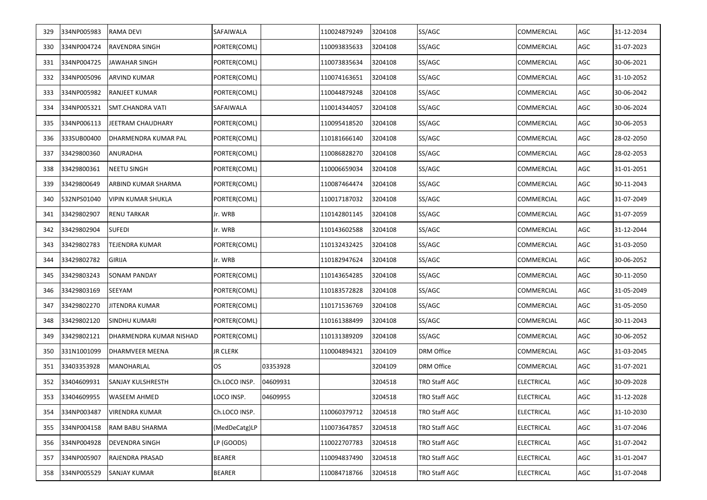| 329 | 334NP005983 | <b>RAMA DEVI</b>         | SAFAIWALA        |          | 110024879249 | 3204108 | SS/AGC               | COMMERCIAL        | AGC | 31-12-2034 |
|-----|-------------|--------------------------|------------------|----------|--------------|---------|----------------------|-------------------|-----|------------|
| 330 | 334NP004724 | <b>RAVENDRA SINGH</b>    | PORTER(COML)     |          | 110093835633 | 3204108 | SS/AGC               | COMMERCIAL        | AGC | 31-07-2023 |
| 331 | 334NP004725 | <b>JAWAHAR SINGH</b>     | PORTER(COML)     |          | 110073835634 | 3204108 | SS/AGC               | COMMERCIAL        | AGC | 30-06-2021 |
| 332 | 334NP005096 | <b>ARVIND KUMAR</b>      | PORTER(COML)     |          | 110074163651 | 3204108 | SS/AGC               | COMMERCIAL        | AGC | 31-10-2052 |
| 333 | 334NP005982 | <b>RANJEET KUMAR</b>     | PORTER(COML)     |          | 110044879248 | 3204108 | SS/AGC               | COMMERCIAL        | AGC | 30-06-2042 |
| 334 | 334NP005321 | <b>SMT.CHANDRA VATI</b>  | <b>SAFAIWALA</b> |          | 110014344057 | 3204108 | SS/AGC               | COMMERCIAL        | AGC | 30-06-2024 |
| 335 | 334NP006113 | <b>JEETRAM CHAUDHARY</b> | PORTER(COML)     |          | 110095418520 | 3204108 | SS/AGC               | COMMERCIAL        | AGC | 30-06-2053 |
| 336 | 333SUB00400 | DHARMENDRA KUMAR PAL     | PORTER(COML)     |          | 110181666140 | 3204108 | SS/AGC               | COMMERCIAL        | AGC | 28-02-2050 |
| 337 | 33429800360 | ANURADHA                 | PORTER(COML)     |          | 110086828270 | 3204108 | SS/AGC               | COMMERCIAL        | AGC | 28-02-2053 |
| 338 | 33429800361 | <b>NEETU SINGH</b>       | PORTER(COML)     |          | 110006659034 | 3204108 | SS/AGC               | COMMERCIAL        | AGC | 31-01-2051 |
| 339 | 33429800649 | ARBIND KUMAR SHARMA      | PORTER(COML)     |          | 110087464474 | 3204108 | SS/AGC               | COMMERCIAL        | AGC | 30-11-2043 |
| 340 | 532NPS01040 | VIPIN KUMAR SHUKLA       | PORTER(COML)     |          | 110017187032 | 3204108 | SS/AGC               | COMMERCIAL        | AGC | 31-07-2049 |
| 341 | 33429802907 | <b>RENU TARKAR</b>       | Jr. WRB          |          | 110142801145 | 3204108 | SS/AGC               | COMMERCIAL        | AGC | 31-07-2059 |
| 342 | 33429802904 | <b>SUFEDI</b>            | Jr. WRB          |          | 110143602588 | 3204108 | SS/AGC               | COMMERCIAL        | AGC | 31-12-2044 |
| 343 | 33429802783 | TEJENDRA KUMAR           | PORTER(COML)     |          | 110132432425 | 3204108 | SS/AGC               | COMMERCIAL        | AGC | 31-03-2050 |
| 344 | 33429802782 | <b>GIRIJA</b>            | Jr. WRB          |          | 110182947624 | 3204108 | SS/AGC               | COMMERCIAL        | AGC | 30-06-2052 |
| 345 | 33429803243 | <b>SONAM PANDAY</b>      | PORTER(COML)     |          | 110143654285 | 3204108 | SS/AGC               | COMMERCIAL        | AGC | 30-11-2050 |
| 346 | 33429803169 | SEEYAM                   | PORTER(COML)     |          | 110183572828 | 3204108 | SS/AGC               | COMMERCIAL        | AGC | 31-05-2049 |
| 347 | 33429802270 | <b>JITENDRA KUMAR</b>    | PORTER(COML)     |          | 110171536769 | 3204108 | SS/AGC               | COMMERCIAL        | AGC | 31-05-2050 |
| 348 | 33429802120 | SINDHU KUMARI            | PORTER(COML)     |          | 110161388499 | 3204108 | SS/AGC               | COMMERCIAL        | AGC | 30-11-2043 |
| 349 | 33429802121 | DHARMENDRA KUMAR NISHAD  | PORTER(COML)     |          | 110131389209 | 3204108 | SS/AGC               | COMMERCIAL        | AGC | 30-06-2052 |
| 350 | 331N1001099 | DHARMVEER MEENA          | <b>JR CLERK</b>  |          | 110004894321 | 3204109 | <b>DRM Office</b>    | COMMERCIAL        | AGC | 31-03-2045 |
| 351 | 33403353928 | MANOHARLAL               | <b>OS</b>        | 03353928 |              | 3204109 | <b>DRM Office</b>    | COMMERCIAL        | AGC | 31-07-2021 |
| 352 | 33404609931 | SANJAY KULSHRESTH        | Ch.LOCO INSP.    | 04609931 |              | 3204518 | TRO Staff AGC        | ELECTRICAL        | AGC | 30-09-2028 |
| 353 | 33404609955 | <b>WASEEM AHMED</b>      | LOCO INSP.       | 04609955 |              | 3204518 | TRO Staff AGC        | <b>ELECTRICAL</b> | AGC | 31-12-2028 |
| 354 | 334NP003487 | VIRENDRA KUMAR           | Ch.LOCO INSP.    |          | 110060379712 | 3204518 | TRO Staff AGC        | ELECTRICAL        | AGC | 31-10-2030 |
| 355 | 334NP004158 | RAM BABU SHARMA          | (MedDeCatg)LP    |          | 110073647857 | 3204518 | <b>TRO Staff AGC</b> | ELECTRICAL        | AGC | 31-07-2046 |
| 356 | 334NP004928 | DEVENDRA SINGH           | LP (GOODS)       |          | 110022707783 | 3204518 | TRO Staff AGC        | ELECTRICAL        | AGC | 31-07-2042 |
| 357 | 334NP005907 | RAJENDRA PRASAD          | <b>BEARER</b>    |          | 110094837490 | 3204518 | TRO Staff AGC        | ELECTRICAL        | AGC | 31-01-2047 |
| 358 | 334NP005529 | <b>SANJAY KUMAR</b>      | <b>BEARER</b>    |          | 110084718766 | 3204518 | TRO Staff AGC        | ELECTRICAL        | AGC | 31-07-2048 |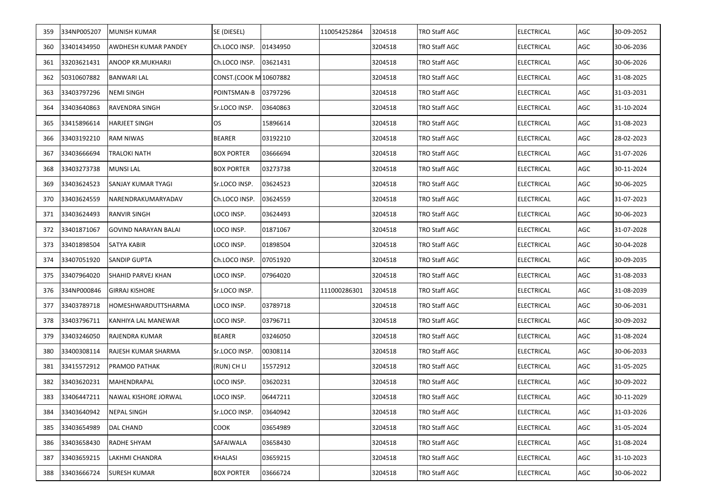| 359 | 334NP005207     | <b>MUNISH KUMAR</b>         | SE (DIESEL)            |          | 110054252864 | 3204518 | TRO Staff AGC        | <b>ELECTRICAL</b> | AGC | 30-09-2052 |
|-----|-----------------|-----------------------------|------------------------|----------|--------------|---------|----------------------|-------------------|-----|------------|
| 360 | 33401434950     | AWDHESH KUMAR PANDEY        | Ch.LOCO INSP.          | 01434950 |              | 3204518 | TRO Staff AGC        | <b>ELECTRICAL</b> | AGC | 30-06-2036 |
| 361 | 33203621431     | ANOOP KR.MUKHARJI           | Ch.LOCO INSP.          | 03621431 |              | 3204518 | TRO Staff AGC        | <b>ELECTRICAL</b> | AGC | 30-06-2026 |
| 362 | 50310607882     | <b>BANWARI LAL</b>          | CONST.(COOK M 10607882 |          |              | 3204518 | TRO Staff AGC        | <b>ELECTRICAL</b> | AGC | 31-08-2025 |
| 363 | 33403797296     | <b>NEMI SINGH</b>           | POINTSMAN-B            | 03797296 |              | 3204518 | TRO Staff AGC        | <b>ELECTRICAL</b> | AGC | 31-03-2031 |
| 364 | 33403640863     | RAVENDRA SINGH              | Sr.LOCO INSP.          | 03640863 |              | 3204518 | TRO Staff AGC        | <b>ELECTRICAL</b> | AGC | 31-10-2024 |
| 365 | 33415896614     | <b>HARJEET SINGH</b>        | OS                     | 15896614 |              | 3204518 | TRO Staff AGC        | <b>ELECTRICAL</b> | AGC | 31-08-2023 |
| 366 | 33403192210     | <b>RAM NIWAS</b>            | <b>BEARER</b>          | 03192210 |              | 3204518 | TRO Staff AGC        | <b>ELECTRICAL</b> | AGC | 28-02-2023 |
| 367 | 33403666694     | TRALOKI NATH                | <b>BOX PORTER</b>      | 03666694 |              | 3204518 | TRO Staff AGC        | <b>ELECTRICAL</b> | AGC | 31-07-2026 |
| 368 | 33403273738     | <b>MUNSILAL</b>             | <b>BOX PORTER</b>      | 03273738 |              | 3204518 | TRO Staff AGC        | <b>ELECTRICAL</b> | AGC | 30-11-2024 |
| 369 | 33403624523     | SANJAY KUMAR TYAGI          | Sr.LOCO INSP.          | 03624523 |              | 3204518 | TRO Staff AGC        | <b>ELECTRICAL</b> | AGC | 30-06-2025 |
| 370 | 33403624559     | NARENDRAKUMARYADAV          | Ch.LOCO INSP.          | 03624559 |              | 3204518 | TRO Staff AGC        | <b>ELECTRICAL</b> | AGC | 31-07-2023 |
| 371 | 33403624493     | RANVIR SINGH                | LOCO INSP.             | 03624493 |              | 3204518 | TRO Staff AGC        | <b>ELECTRICAL</b> | AGC | 30-06-2023 |
| 372 | 33401871067     | <b>GOVIND NARAYAN BALAI</b> | LOCO INSP.             | 01871067 |              | 3204518 | TRO Staff AGC        | <b>ELECTRICAL</b> | AGC | 31-07-2028 |
| 373 | 33401898504     | SATYA KABIR                 | LOCO INSP.             | 01898504 |              | 3204518 | TRO Staff AGC        | <b>ELECTRICAL</b> | AGC | 30-04-2028 |
| 374 | 33407051920     | SANDIP GUPTA                | Ch.LOCO INSP.          | 07051920 |              | 3204518 | TRO Staff AGC        | <b>ELECTRICAL</b> | AGC | 30-09-2035 |
| 375 | 33407964020     | SHAHID PARVEJ KHAN          | LOCO INSP.             | 07964020 |              | 3204518 | TRO Staff AGC        | <b>ELECTRICAL</b> | AGC | 31-08-2033 |
| 376 | 334NP000846     | <b>GIRRAJ KISHORE</b>       | Sr.LOCO INSP.          |          | 111000286301 | 3204518 | TRO Staff AGC        | <b>ELECTRICAL</b> | AGC | 31-08-2039 |
| 377 | 33403789718     | HOMESHWARDUTTSHARMA         | LOCO INSP.             | 03789718 |              | 3204518 | TRO Staff AGC        | <b>ELECTRICAL</b> | AGC | 30-06-2031 |
| 378 | 33403796711     | KANHIYA LAL MANEWAR         | LOCO INSP.             | 03796711 |              | 3204518 | TRO Staff AGC        | <b>ELECTRICAL</b> | AGC | 30-09-2032 |
| 379 | 33403246050     | RAJENDRA KUMAR              | <b>BEARER</b>          | 03246050 |              | 3204518 | TRO Staff AGC        | <b>ELECTRICAL</b> | AGC | 31-08-2024 |
| 380 | 33400308114     | RAJESH KUMAR SHARMA         | Sr.LOCO INSP.          | 00308114 |              | 3204518 | TRO Staff AGC        | <b>ELECTRICAL</b> | AGC | 30-06-2033 |
| 381 | 33415572912     | <b>PRAMOD PATHAK</b>        | (RUN) CH LI            | 15572912 |              | 3204518 | TRO Staff AGC        | <b>ELECTRICAL</b> | AGC | 31-05-2025 |
| 382 | 33403620231     | MAHENDRAPAL                 | LOCO INSP.             | 03620231 |              | 3204518 | TRO Staff AGC        | <b>ELECTRICAL</b> | AGC | 30-09-2022 |
|     | 383 33406447211 | NAWAL KISHORE JORWAL        | LOCO INSP.             | 06447211 |              | 3204518 | <b>TRO Staff AGC</b> | <b>ELECTRICAL</b> | AGC | 30-11-2029 |
| 384 | 33403640942     | <b>NEPAL SINGH</b>          | Sr.LOCO INSP.          | 03640942 |              | 3204518 | <b>TRO Staff AGC</b> | <b>ELECTRICAL</b> | AGC | 31-03-2026 |
| 385 | 33403654989     | DAL CHAND                   | COOK                   | 03654989 |              | 3204518 | <b>TRO Staff AGC</b> | <b>ELECTRICAL</b> | AGC | 31-05-2024 |
| 386 | 33403658430     | RADHE SHYAM                 | SAFAIWALA              | 03658430 |              | 3204518 | TRO Staff AGC        | <b>ELECTRICAL</b> | AGC | 31-08-2024 |
| 387 | 33403659215     | <b>LAKHMI CHANDRA</b>       | KHALASI                | 03659215 |              | 3204518 | TRO Staff AGC        | <b>ELECTRICAL</b> | AGC | 31-10-2023 |
| 388 | 33403666724     | <b>SURESH KUMAR</b>         | <b>BOX PORTER</b>      | 03666724 |              | 3204518 | TRO Staff AGC        | <b>ELECTRICAL</b> | AGC | 30-06-2022 |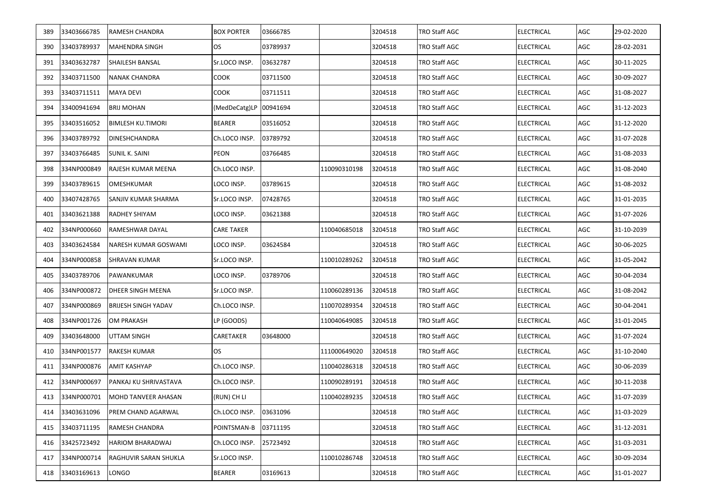| 389 | 33403666785     | RAMESH CHANDRA             | <b>BOX PORTER</b> | 03666785 |              | 3204518 | TRO Staff AGC        | <b>ELECTRICAL</b> | AGC | 29-02-2020 |
|-----|-----------------|----------------------------|-------------------|----------|--------------|---------|----------------------|-------------------|-----|------------|
| 390 | 33403789937     | <b>MAHENDRA SINGH</b>      | <b>OS</b>         | 03789937 |              | 3204518 | TRO Staff AGC        | <b>ELECTRICAL</b> | AGC | 28-02-2031 |
| 391 | 33403632787     | <b>SHAILESH BANSAL</b>     | Sr.LOCO INSP.     | 03632787 |              | 3204518 | TRO Staff AGC        | <b>ELECTRICAL</b> | AGC | 30-11-2025 |
| 392 | 33403711500     | <b>NANAK CHANDRA</b>       | COOK              | 03711500 |              | 3204518 | TRO Staff AGC        | ELECTRICAL        | AGC | 30-09-2027 |
| 393 | 33403711511     | <b>MAYA DEVI</b>           | COOK              | 03711511 |              | 3204518 | TRO Staff AGC        | ELECTRICAL        | AGC | 31-08-2027 |
| 394 | 33400941694     | <b>BRIJ MOHAN</b>          | (MedDeCatg)LP     | 00941694 |              | 3204518 | TRO Staff AGC        | ELECTRICAL        | AGC | 31-12-2023 |
| 395 | 33403516052     | <b>BIMLESH KU.TIMORI</b>   | <b>BEARER</b>     | 03516052 |              | 3204518 | TRO Staff AGC        | ELECTRICAL        | AGC | 31-12-2020 |
| 396 | 33403789792     | <b>DINESHCHANDRA</b>       | Ch.LOCO INSP.     | 03789792 |              | 3204518 | <b>TRO Staff AGC</b> | ELECTRICAL        | AGC | 31-07-2028 |
| 397 | 33403766485     | SUNIL K. SAINI             | PEON              | 03766485 |              | 3204518 | TRO Staff AGC        | ELECTRICAL        | AGC | 31-08-2033 |
| 398 | 334NP000849     | RAJESH KUMAR MEENA         | Ch.LOCO INSP.     |          | 110090310198 | 3204518 | TRO Staff AGC        | ELECTRICAL        | AGC | 31-08-2040 |
| 399 | 33403789615     | OMESHKUMAR                 | LOCO INSP.        | 03789615 |              | 3204518 | TRO Staff AGC        | ELECTRICAL        | AGC | 31-08-2032 |
| 400 | 33407428765     | SANJIV KUMAR SHARMA        | Sr.LOCO INSP.     | 07428765 |              | 3204518 | TRO Staff AGC        | ELECTRICAL        | AGC | 31-01-2035 |
| 401 | 33403621388     | RADHEY SHIYAM              | LOCO INSP.        | 03621388 |              | 3204518 | TRO Staff AGC        | ELECTRICAL        | AGC | 31-07-2026 |
| 402 | 334NP000660     | RAMESHWAR DAYAL            | <b>CARE TAKER</b> |          | 110040685018 | 3204518 | TRO Staff AGC        | ELECTRICAL        | AGC | 31-10-2039 |
| 403 | 33403624584     | NARESH KUMAR GOSWAMI       | LOCO INSP.        | 03624584 |              | 3204518 | TRO Staff AGC        | ELECTRICAL        | AGC | 30-06-2025 |
| 404 | 334NP000858     | SHRAVAN KUMAR              | Sr.LOCO INSP.     |          | 110010289262 | 3204518 | TRO Staff AGC        | ELECTRICAL        | AGC | 31-05-2042 |
| 405 | 33403789706     | PAWANKUMAR                 | LOCO INSP.        | 03789706 |              | 3204518 | TRO Staff AGC        | ELECTRICAL        | AGC | 30-04-2034 |
| 406 | 334NP000872     | DHEER SINGH MEENA          | Sr.LOCO INSP.     |          | 110060289136 | 3204518 | TRO Staff AGC        | ELECTRICAL        | AGC | 31-08-2042 |
| 407 | 334NP000869     | <b>BRIJESH SINGH YADAV</b> | Ch.LOCO INSP.     |          | 110070289354 | 3204518 | TRO Staff AGC        | ELECTRICAL        | AGC | 30-04-2041 |
| 408 | 334NP001726     | <b>OM PRAKASH</b>          | LP (GOODS)        |          | 110040649085 | 3204518 | TRO Staff AGC        | ELECTRICAL        | AGC | 31-01-2045 |
| 409 | 33403648000     | <b>UTTAM SINGH</b>         | CARETAKER         | 03648000 |              | 3204518 | TRO Staff AGC        | ELECTRICAL        | AGC | 31-07-2024 |
| 410 | 334NP001577     | RAKESH KUMAR               | OS                |          | 111000649020 | 3204518 | TRO Staff AGC        | ELECTRICAL        | AGC | 31-10-2040 |
| 411 | 334NP000876     | AMIT KASHYAP               | Ch.LOCO INSP.     |          | 110040286318 | 3204518 | TRO Staff AGC        | ELECTRICAL        | AGC | 30-06-2039 |
| 412 | 334NP000697     | PANKAJ KU SHRIVASTAVA      | Ch.LOCO INSP.     |          | 110090289191 | 3204518 | TRO Staff AGC        | ELECTRICAL        | AGC | 30-11-2038 |
|     | 413 334NP000701 | MOHD TANVEER AHASAN        | (RUN) CH LI       |          | 110040289235 | 3204518 | TRO Staff AGC        | <b>ELECTRICAL</b> | AGC | 31-07-2039 |
| 414 | 33403631096     | PREM CHAND AGARWAL         | Ch.LOCO INSP.     | 03631096 |              | 3204518 | <b>TRO Staff AGC</b> | <b>ELECTRICAL</b> | AGC | 31-03-2029 |
| 415 | 33403711195     | <b>RAMESH CHANDRA</b>      | POINTSMAN-B       | 03711195 |              | 3204518 | TRO Staff AGC        | ELECTRICAL        | AGC | 31-12-2031 |
| 416 | 33425723492     | <b>HARIOM BHARADWAJ</b>    | Ch.LOCO INSP.     | 25723492 |              | 3204518 | TRO Staff AGC        | ELECTRICAL        | AGC | 31-03-2031 |
| 417 | 334NP000714     | RAGHUVIR SARAN SHUKLA      | Sr.LOCO INSP.     |          | 110010286748 | 3204518 | TRO Staff AGC        | ELECTRICAL        | AGC | 30-09-2034 |
| 418 | 33403169613     | LONGO                      | <b>BEARER</b>     | 03169613 |              | 3204518 | TRO Staff AGC        | <b>ELECTRICAL</b> | AGC | 31-01-2027 |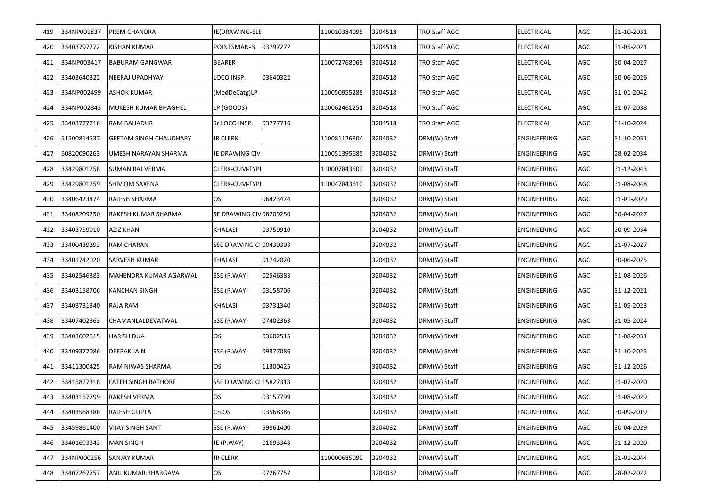| 419 | 334NP001837 | PREM CHANDRA                  | JE(DRAWING-ELE          |          | 110010384095 | 3204518 | TRO Staff AGC | <b>ELECTRICAL</b> | <b>AGC</b> | 31-10-2031 |
|-----|-------------|-------------------------------|-------------------------|----------|--------------|---------|---------------|-------------------|------------|------------|
| 420 | 33403797272 | KISHAN KUMAR                  | POINTSMAN-B             | 03797272 |              | 3204518 | TRO Staff AGC | <b>ELECTRICAL</b> | AGC        | 31-05-2021 |
| 421 | 334NP003417 | <b>BABURAM GANGWAR</b>        | <b>BEARER</b>           |          | 110072768068 | 3204518 | TRO Staff AGC | <b>ELECTRICAL</b> | AGC        | 30-04-2027 |
| 422 | 33403640322 | NEERAJ UPADHYAY               | LOCO INSP.              | 03640322 |              | 3204518 | TRO Staff AGC | <b>ELECTRICAL</b> | AGC        | 30-06-2026 |
| 423 | 334NP002499 | ASHOK KUMAR                   | (MedDeCatg)LP           |          | 110050955288 | 3204518 | TRO Staff AGC | <b>ELECTRICAL</b> | AGC        | 31-01-2042 |
| 424 | 334NP002843 | MUKESH KUMAR BHAGHEL          | LP (GOODS)              |          | 110062461251 | 3204518 | TRO Staff AGC | ELECTRICAL        | AGC        | 31-07-2038 |
| 425 | 33403777716 | RAM BAHADUR                   | Sr.LOCO INSP.           | 03777716 |              | 3204518 | TRO Staff AGC | ELECTRICAL        | AGC        | 31-10-2024 |
| 426 | 51500814537 | <b>GEETAM SINGH CHAUDHARY</b> | <b>JR CLERK</b>         |          | 110081126804 | 3204032 | DRM(W) Staff  | ENGINEERING       | AGC        | 31-10-2051 |
| 427 | 50820090263 | UMESH NARAYAN SHARMA          | JE DRAWING CIV          |          | 110051395685 | 3204032 | DRM(W) Staff  | ENGINEERING       | AGC        | 28-02-2034 |
| 428 | 33429801258 | <b>SUMAN RAJ VERMA</b>        | CLERK-CUM-TYPI          |          | 110007843609 | 3204032 | DRM(W) Staff  | ENGINEERING       | AGC        | 31-12-2043 |
| 429 | 33429801259 | SHIV OM SAXENA                | CLERK-CUM-TYPI          |          | 110047843610 | 3204032 | DRM(W) Staff  | ENGINEERING       | AGC        | 31-08-2048 |
| 430 | 33406423474 | RAJESH SHARMA                 | <b>OS</b>               | 06423474 |              | 3204032 | DRM(W) Staff  | ENGINEERING       | AGC        | 31-01-2029 |
| 431 | 33408209250 | RAKESH KUMAR SHARMA           | SE DRAWING CIV08209250  |          |              | 3204032 | DRM(W) Staff  | ENGINEERING       | AGC        | 30-04-2027 |
| 432 | 33403759910 | AZIZ KHAN                     | KHALASI                 | 03759910 |              | 3204032 | DRM(W) Staff  | ENGINEERING       | AGC        | 30-09-2034 |
| 433 | 33400439393 | <b>RAM CHARAN</b>             | SSE DRAWING CI 00439393 |          |              | 3204032 | DRM(W) Staff  | ENGINEERING       | AGC        | 31-07-2027 |
| 434 | 33401742020 | SARVESH KUMAR                 | <b>KHALASI</b>          | 01742020 |              | 3204032 | DRM(W) Staff  | ENGINEERING       | AGC        | 30-06-2025 |
| 435 | 33402546383 | MAHENDRA KUMAR AGARWAL        | SSE (P.WAY)             | 02546383 |              | 3204032 | DRM(W) Staff  | ENGINEERING       | AGC        | 31-08-2026 |
| 436 | 33403158706 | KANCHAN SINGH                 | SSE (P.WAY)             | 03158706 |              | 3204032 | DRM(W) Staff  | ENGINEERING       | AGC        | 31-12-2021 |
| 437 | 33403731340 | RAJA RAM                      | <b>KHALASI</b>          | 03731340 |              | 3204032 | DRM(W) Staff  | ENGINEERING       | AGC        | 31-05-2023 |
| 438 | 33407402363 | CHAMANLALDEVATWAL             | SSE (P.WAY)             | 07402363 |              | 3204032 | DRM(W) Staff  | ENGINEERING       | AGC        | 31-05-2024 |
| 439 | 33403602515 | <b>HARISH DUA</b>             | <b>OS</b>               | 03602515 |              | 3204032 | DRM(W) Staff  | ENGINEERING       | AGC        | 31-08-2031 |
| 440 | 33409377086 | <b>DEEPAK JAIN</b>            | SSE (P.WAY)             | 09377086 |              | 3204032 | DRM(W) Staff  | ENGINEERING       | AGC        | 31-10-2025 |
| 441 | 33411300425 | RAM NIWAS SHARMA              | OS.                     | 11300425 |              | 3204032 | DRM(W) Staff  | ENGINEERING       | AGC        | 31-12-2026 |
| 442 | 33415827318 | <b>FATEH SINGH RATHORE</b>    | SSE DRAWING CI 15827318 |          |              | 3204032 | DRM(W) Staff  | ENGINEERING       | AGC        | 31-07-2020 |
| 443 | 33403157799 | <b>RAKESH VERMA</b>           | <b>OS</b>               | 03157799 |              | 3204032 | DRM(W) Staff  | ENGINEERING       | AGC        | 31-08-2029 |
| 444 | 33403568386 | <b>RAJESH GUPTA</b>           | Ch.OS                   | 03568386 |              | 3204032 | DRM(W) Staff  | ENGINEERING       | AGC        | 30-09-2019 |
| 445 | 33459861400 | VIJAY SINGH SANT              | SSE (P.WAY)             | 59861400 |              | 3204032 | DRM(W) Staff  | ENGINEERING       | AGC        | 30-04-2029 |
| 446 | 33401693343 | MAN SINGH                     | JE (P.WAY)              | 01693343 |              | 3204032 | DRM(W) Staff  | ENGINEERING       | AGC        | 31-12-2020 |
| 447 | 334NP000256 | SANJAY KUMAR                  | JR CLERK                |          | 110000685099 | 3204032 | DRM(W) Staff  | ENGINEERING       | AGC        | 31-01-2044 |
| 448 | 33407267757 | ANIL KUMAR BHARGAVA           | OS                      | 07267757 |              | 3204032 | DRM(W) Staff  | ENGINEERING       | AGC        | 28-02-2022 |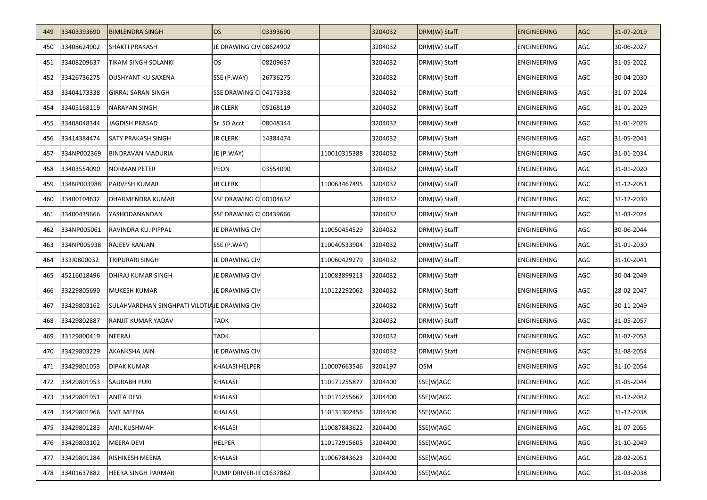| 449 | 33403393690 | <b>BIMLENDRA SINGH</b>                       | <b>OS</b>                | 03393690 |              | 3204032 | DRM(W) Staff | <b>ENGINEERING</b> | <b>AGC</b> | 31-07-2019 |
|-----|-------------|----------------------------------------------|--------------------------|----------|--------------|---------|--------------|--------------------|------------|------------|
| 450 | 33408624902 | <b>SHAKTI PRAKASH</b>                        | JE DRAWING CIV 08624902  |          |              | 3204032 | DRM(W) Staff | ENGINEERING        | AGC        | 30-06-2027 |
| 451 | 33408209637 | TIKAM SINGH SOLANKI                          | <b>OS</b>                | 08209637 |              | 3204032 | DRM(W) Staff | ENGINEERING        | AGC        | 31-05-2022 |
| 452 | 33426736275 | DUSHYANT KU SAXENA                           | SSE (P.WAY)              | 26736275 |              | 3204032 | DRM(W) Staff | <b>ENGINEERING</b> | AGC        | 30-04-2030 |
| 453 | 33404173338 | <b>GIRRAJ SARAN SINGH</b>                    | SSE DRAWING CI 04173338  |          |              | 3204032 | DRM(W) Staff | ENGINEERING        | AGC        | 31-07-2024 |
| 454 | 33405168119 | <b>NARAYAN SINGH</b>                         | <b>JR CLERK</b>          | 05168119 |              | 3204032 | DRM(W) Staff | ENGINEERING        | AGC        | 31-01-2029 |
| 455 | 33408048344 | <b>JAGDISH PRASAD</b>                        | Sr. SO Acct              | 08048344 |              | 3204032 | DRM(W) Staff | <b>ENGINEERING</b> | AGC        | 31-01-2026 |
| 456 | 33414384474 | <b>SATY PRAKASH SINGH</b>                    | <b>JR CLERK</b>          | 14384474 |              | 3204032 | DRM(W) Staff | ENGINEERING        | AGC        | 31-05-2041 |
| 457 | 334NP002369 | <b>BINDRAVAN MADURIA</b>                     | JE (P.WAY)               |          | 110010315388 | 3204032 | DRM(W) Staff | ENGINEERING        | AGC        | 31-01-2034 |
| 458 | 33403554090 | <b>NORMAN PETER</b>                          | PEON                     | 03554090 |              | 3204032 | DRM(W) Staff | ENGINEERING        | AGC        | 31-01-2020 |
| 459 | 334NP003988 | PARVESH KUMAR                                | <b>JR CLERK</b>          |          | 110063467495 | 3204032 | DRM(W) Staff | ENGINEERING        | AGC        | 31-12-2051 |
| 460 | 33400104632 | DHARMENDRA KUMAR                             | SSE DRAWING CI 00104632  |          |              | 3204032 | DRM(W) Staff | ENGINEERING        | AGC        | 31-12-2030 |
| 461 | 33400439666 | YASHODANANDAN                                | SSE DRAWING CI 00439666  |          |              | 3204032 | DRM(W) Staff | ENGINEERING        | AGC        | 31-03-2024 |
| 462 | 334NP005061 | RAVINDRA KU. PIPPAL                          | JE DRAWING CIV           |          | 110050454529 | 3204032 | DRM(W) Staff | ENGINEERING        | AGC        | 30-06-2044 |
| 463 | 334NP005938 | RAJEEV RANJAN                                | SSE (P.WAY)              |          | 110040533904 | 3204032 | DRM(W) Staff | ENGINEERING        | AGC        | 31-01-2030 |
| 464 | 333J0800032 | <b>TRIPURARI SINGH</b>                       | JE DRAWING CIV           |          | 110060429279 | 3204032 | DRM(W) Staff | ENGINEERING        | AGC        | 31-10-2041 |
| 465 | 45216018496 | DHIRAJ KUMAR SINGH                           | JE DRAWING CIV           |          | 110083899213 | 3204032 | DRM(W) Staff | ENGINEERING        | AGC        | 30-04-2049 |
| 466 | 33229805690 | <b>MUKESH KUMAR</b>                          | JE DRAWING CIV           |          | 110122292062 | 3204032 | DRM(W) Staff | ENGINEERING        | AGC        | 28-02-2047 |
| 467 | 33429803162 | SULAHVARDHAN SINGHPATI VILOTIAJE DRAWING CIV |                          |          |              | 3204032 | DRM(W) Staff | ENGINEERING        | AGC        | 30-11-2049 |
| 468 | 33429802887 | RANJIT KUMAR YADAV                           | <b>TADK</b>              |          |              | 3204032 | DRM(W) Staff | ENGINEERING        | AGC        | 31-05-2057 |
| 469 | 33129800419 | NEERAJ                                       | <b>TADK</b>              |          |              | 3204032 | DRM(W) Staff | ENGINEERING        | AGC        | 31-07-2053 |
| 470 | 33429803229 | AKANKSHA JAIN                                | JE DRAWING CIV           |          |              | 3204032 | DRM(W) Staff | ENGINEERING        | AGC        | 31-08-2054 |
| 471 | 33429801053 | DIPAK KUMAR                                  | KHALASI HELPER           |          | 110007663546 | 3204197 | OSM          | ENGINEERING        | AGC        | 31-10-2054 |
| 472 | 33429801953 | <b>SAURABH PURI</b>                          | KHALASI                  |          | 110171255877 | 3204400 | SSE(W)AGC    | ENGINEERING        | AGC        | 31-05-2044 |
| 473 | 33429801951 | <b>ANITA DEVI</b>                            | <b>KHALASI</b>           |          | 110171255667 | 3204400 | SSE(W)AGC    | ENGINEERING        | AGC        | 31-12-2047 |
| 474 | 33429801966 | <b>SMT MEENA</b>                             | KHALASI                  |          | 110131302456 | 3204400 | SSE(W)AGC    | ENGINEERING        | AGC        | 31-12-2038 |
| 475 | 33429801283 | ANIL KUSHWAH                                 | KHALASI                  |          | 110087843622 | 3204400 | SSE(W)AGC    | ENGINEERING        | AGC        | 31-07-2055 |
| 476 | 33429803102 | MEERA DEVI                                   | <b>HELPER</b>            |          | 110172915605 | 3204400 | SSE(W)AGC    | <b>ENGINEERING</b> | AGC        | 31-10-2049 |
| 477 | 33429801284 | RISHIKESH MEENA                              | KHALASI                  |          | 110067843623 | 3204400 | SSE(W)AGC    | ENGINEERING        | AGC        | 28-02-2051 |
| 478 | 33401637882 | <b>HEERA SINGH PARMAR</b>                    | PUMP DRIVER-III 01637882 |          |              | 3204400 | SSE(W)AGC    | ENGINEERING        | AGC        | 31-03-2038 |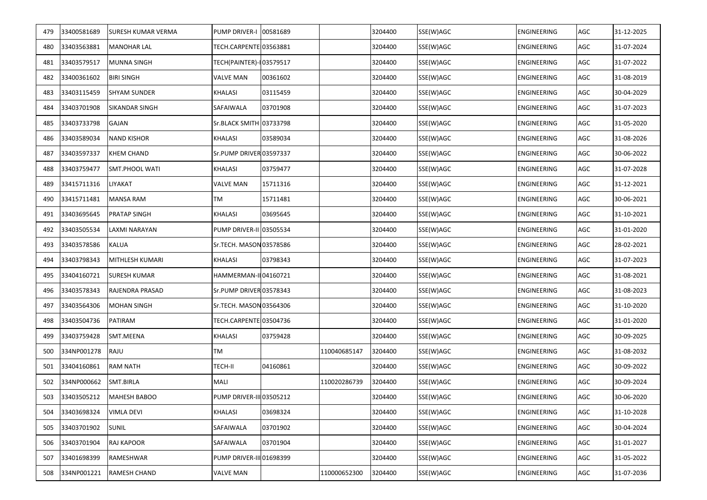| 479 | 33400581689 | SURESH KUMAR VERMA  | <b>PUMP DRIVER-I</b>     | 00581689 |              | 3204400 | SSE(W)AGC | ENGINEERING        | AGC | 31-12-2025 |
|-----|-------------|---------------------|--------------------------|----------|--------------|---------|-----------|--------------------|-----|------------|
| 480 | 33403563881 | <b>MANOHAR LAL</b>  | TECH.CARPENTE 03563881   |          |              | 3204400 | SSE(W)AGC | <b>ENGINEERING</b> | AGC | 31-07-2024 |
| 481 | 33403579517 | <b>MUNNA SINGH</b>  | TECH(PAINTER)-103579517  |          |              | 3204400 | SSE(W)AGC | ENGINEERING        | AGC | 31-07-2022 |
| 482 | 33400361602 | <b>BIRI SINGH</b>   | VALVE MAN                | 00361602 |              | 3204400 | SSE(W)AGC | ENGINEERING        | AGC | 31-08-2019 |
| 483 | 33403115459 | <b>SHYAM SUNDER</b> | KHALASI                  | 03115459 |              | 3204400 | SSE(W)AGC | ENGINEERING        | AGC | 30-04-2029 |
| 484 | 33403701908 | SIKANDAR SINGH      | SAFAIWALA                | 03701908 |              | 3204400 | SSE(W)AGC | ENGINEERING        | AGC | 31-07-2023 |
| 485 | 33403733798 | GAJAN               | Sr.BLACK SMITH 03733798  |          |              | 3204400 | SSE(W)AGC | ENGINEERING        | AGC | 31-05-2020 |
| 486 | 33403589034 | <b>NAND KISHOR</b>  | KHALASI                  | 03589034 |              | 3204400 | SSE(W)AGC | ENGINEERING        | AGC | 31-08-2026 |
| 487 | 33403597337 | <b>KHEM CHAND</b>   | Sr.PUMP DRIVER 03597337  |          |              | 3204400 | SSE(W)AGC | ENGINEERING        | AGC | 30-06-2022 |
| 488 | 33403759477 | SMT.PHOOL WATI      | KHALASI                  | 03759477 |              | 3204400 | SSE(W)AGC | ENGINEERING        | AGC | 31-07-2028 |
| 489 | 33415711316 | LIYAKAT             | VALVE MAN                | 15711316 |              | 3204400 | SSE(W)AGC | ENGINEERING        | AGC | 31-12-2021 |
| 490 | 33415711481 | <b>MANSA RAM</b>    | TM                       | 15711481 |              | 3204400 | SSE(W)AGC | ENGINEERING        | AGC | 30-06-2021 |
| 491 | 33403695645 | <b>PRATAP SINGH</b> | KHALASI                  | 03695645 |              | 3204400 | SSE(W)AGC | ENGINEERING        | AGC | 31-10-2021 |
| 492 | 33403505534 | LAXMI NARAYAN       | PUMP DRIVER-II 03505534  |          |              | 3204400 | SSE(W)AGC | ENGINEERING        | AGC | 31-01-2020 |
| 493 | 33403578586 | <b>KALUA</b>        | Sr.TECH. MASON 03578586  |          |              | 3204400 | SSE(W)AGC | ENGINEERING        | AGC | 28-02-2021 |
| 494 | 33403798343 | MITHLESH KUMARI     | KHALASI                  | 03798343 |              | 3204400 | SSE(W)AGC | ENGINEERING        | AGC | 31-07-2023 |
| 495 | 33404160721 | <b>SURESH KUMAR</b> | HAMMERMAN-II 04160721    |          |              | 3204400 | SSE(W)AGC | ENGINEERING        | AGC | 31-08-2021 |
| 496 | 33403578343 | RAJENDRA PRASAD     | Sr.PUMP DRIVER 03578343  |          |              | 3204400 | SSE(W)AGC | ENGINEERING        | AGC | 31-08-2023 |
| 497 | 33403564306 | <b>MOHAN SINGH</b>  | Sr.TECH. MASON 03564306  |          |              | 3204400 | SSE(W)AGC | ENGINEERING        | AGC | 31-10-2020 |
| 498 | 33403504736 | PATIRAM             | TECH.CARPENTE 03504736   |          |              | 3204400 | SSE(W)AGC | ENGINEERING        | AGC | 31-01-2020 |
| 499 | 33403759428 | SMT.MEENA           | KHALASI                  | 03759428 |              | 3204400 | SSE(W)AGC | ENGINEERING        | AGC | 30-09-2025 |
| 500 | 334NP001278 | RAJU                | ТM                       |          | 110040685147 | 3204400 | SSE(W)AGC | ENGINEERING        | AGC | 31-08-2032 |
| 501 | 33404160861 | <b>RAM NATH</b>     | TECH-II                  | 04160861 |              | 3204400 | SSE(W)AGC | ENGINEERING        | AGC | 30-09-2022 |
| 502 | 334NP000662 | SMT.BIRLA           | MALI                     |          | 110020286739 | 3204400 | SSE(W)AGC | ENGINEERING        | AGC | 30-09-2024 |
| 503 | 33403505212 | MAHESH BABOO        | PUMP DRIVER-III 03505212 |          |              | 3204400 | SSE(W)AGC | <b>ENGINEERING</b> | AGC | 30-06-2020 |
| 504 | 33403698324 | VIMLA DEVI          | KHALASI                  | 03698324 |              | 3204400 | SSE(W)AGC | ENGINEERING        | AGC | 31-10-2028 |
| 505 | 33403701902 | <b>SUNIL</b>        | SAFAIWALA                | 03701902 |              | 3204400 | SSE(W)AGC | ENGINEERING        | AGC | 30-04-2024 |
| 506 | 33403701904 | RAJ KAPOOR          | SAFAIWALA                | 03701904 |              | 3204400 | SSE(W)AGC | ENGINEERING        | AGC | 31-01-2027 |
| 507 | 33401698399 | RAMESHWAR           | PUMP DRIVER-III 01698399 |          |              | 3204400 | SSE(W)AGC | ENGINEERING        | AGC | 31-05-2022 |
| 508 | 334NP001221 | RAMESH CHAND        | VALVE MAN                |          | 110000652300 | 3204400 | SSE(W)AGC | ENGINEERING        | AGC | 31-07-2036 |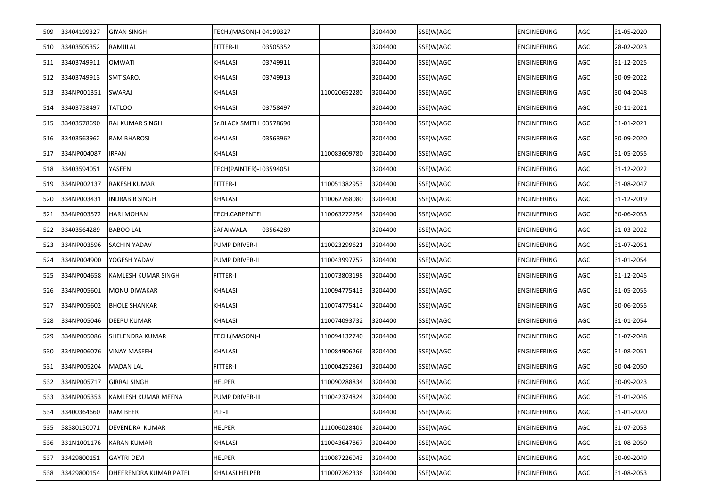| 509 | 33404199327 | <b>GIYAN SINGH</b>            | TECH.(MASON)-I 04199327  |          |              | 3204400 | SSE(W)AGC | <b>ENGINEERING</b> | AGC | 31-05-2020 |
|-----|-------------|-------------------------------|--------------------------|----------|--------------|---------|-----------|--------------------|-----|------------|
| 510 | 33403505352 | RAMJILAL                      | FITTER-II                | 03505352 |              | 3204400 | SSE(W)AGC | <b>ENGINEERING</b> | AGC | 28-02-2023 |
| 511 | 33403749911 | <b>OMWATI</b>                 | KHALASI                  | 03749911 |              | 3204400 | SSE(W)AGC | ENGINEERING        | AGC | 31-12-2025 |
| 512 | 33403749913 | <b>SMT SAROJ</b>              | KHALASI                  | 03749913 |              | 3204400 | SSE(W)AGC | ENGINEERING        | AGC | 30-09-2022 |
| 513 | 334NP001351 | SWARAJ                        | <b>KHALASI</b>           |          | 110020652280 | 3204400 | SSE(W)AGC | ENGINEERING        | AGC | 30-04-2048 |
| 514 | 33403758497 | TATLOO                        | KHALASI                  | 03758497 |              | 3204400 | SSE(W)AGC | ENGINEERING        | AGC | 30-11-2021 |
| 515 | 33403578690 | RAJ KUMAR SINGH               | Sr.BLACK SMITH 03578690  |          |              | 3204400 | SSE(W)AGC | <b>ENGINEERING</b> | AGC | 31-01-2021 |
| 516 | 33403563962 | <b>RAM BHAROSI</b>            | KHALASI                  | 03563962 |              | 3204400 | SSE(W)AGC | ENGINEERING        | AGC | 30-09-2020 |
| 517 | 334NP004087 | <b>IRFAN</b>                  | KHALASI                  |          | 110083609780 | 3204400 | SSE(W)AGC | ENGINEERING        | AGC | 31-05-2055 |
| 518 | 33403594051 | YASEEN                        | TECH(PAINTER)-I 03594051 |          |              | 3204400 | SSE(W)AGC | ENGINEERING        | AGC | 31-12-2022 |
| 519 | 334NP002137 | RAKESH KUMAR                  | FITTER-I                 |          | 110051382953 | 3204400 | SSE(W)AGC | ENGINEERING        | AGC | 31-08-2047 |
| 520 | 334NP003431 | <b>INDRABIR SINGH</b>         | KHALASI                  |          | 110062768080 | 3204400 | SSE(W)AGC | ENGINEERING        | AGC | 31-12-2019 |
| 521 | 334NP003572 | <b>HARI MOHAN</b>             | TECH.CARPENTE            |          | 110063272254 | 3204400 | SSE(W)AGC | ENGINEERING        | AGC | 30-06-2053 |
| 522 | 33403564289 | <b>BABOO LAL</b>              | SAFAIWALA                | 03564289 |              | 3204400 | SSE(W)AGC | ENGINEERING        | AGC | 31-03-2022 |
| 523 | 334NP003596 | SACHIN YADAV                  | PUMP DRIVER-I            |          | 110023299621 | 3204400 | SSE(W)AGC | ENGINEERING        | AGC | 31-07-2051 |
| 524 | 334NP004900 | YOGESH YADAV                  | <b>PUMP DRIVER-II</b>    |          | 110043997757 | 3204400 | SSE(W)AGC | ENGINEERING        | AGC | 31-01-2054 |
| 525 | 334NP004658 | KAMLESH KUMAR SINGH           | FITTER-I                 |          | 110073803198 | 3204400 | SSE(W)AGC | ENGINEERING        | AGC | 31-12-2045 |
| 526 | 334NP005601 | <b>MONU DIWAKAR</b>           | KHALASI                  |          | 110094775413 | 3204400 | SSE(W)AGC | ENGINEERING        | AGC | 31-05-2055 |
| 527 | 334NP005602 | <b>BHOLE SHANKAR</b>          | KHALASI                  |          | 110074775414 | 3204400 | SSE(W)AGC | ENGINEERING        | AGC | 30-06-2055 |
| 528 | 334NP005046 | DEEPU KUMAR                   | KHALASI                  |          | 110074093732 | 3204400 | SSE(W)AGC | ENGINEERING        | AGC | 31-01-2054 |
| 529 | 334NP005086 | SHELENDRA KUMAR               | TECH.(MASON)-I           |          | 110094132740 | 3204400 | SSE(W)AGC | ENGINEERING        | AGC | 31-07-2048 |
| 530 | 334NP006076 | VINAY MASEEH                  | KHALASI                  |          | 110084906266 | 3204400 | SSE(W)AGC | ENGINEERING        | AGC | 31-08-2051 |
| 531 | 334NP005204 | <b>MADAN LAL</b>              | FITTER-I                 |          | 110004252861 | 3204400 | SSE(W)AGC | ENGINEERING        | AGC | 30-04-2050 |
| 532 | 334NP005717 | <b>GIRRAJ SINGH</b>           | HELPER                   |          | 110090288834 | 3204400 | SSE(W)AGC | ENGINEERING        | AGC | 30-09-2023 |
| 533 | 334NP005353 | KAMLESH KUMAR MEENA           | PUMP DRIVER-III          |          | 110042374824 | 3204400 | SSE(W)AGC | <b>ENGINEERING</b> | AGC | 31-01-2046 |
| 534 | 33400364660 | RAM BEER                      | PLF-II                   |          |              | 3204400 | SSE(W)AGC | <b>ENGINEERING</b> | AGC | 31-01-2020 |
| 535 | 58580150071 | DEVENDRA KUMAR                | <b>HELPER</b>            |          | 111006028406 | 3204400 | SSE(W)AGC | ENGINEERING        | AGC | 31-07-2053 |
| 536 | 331N1001176 | <b>KARAN KUMAR</b>            | KHALASI                  |          | 110043647867 | 3204400 | SSE(W)AGC | ENGINEERING        | AGC | 31-08-2050 |
| 537 | 33429800151 | <b>GAYTRI DEVI</b>            | HELPER                   |          | 110087226043 | 3204400 | SSE(W)AGC | ENGINEERING        | AGC | 30-09-2049 |
| 538 | 33429800154 | <b>DHEERENDRA KUMAR PATEL</b> | KHALASI HELPER           |          | 110007262336 | 3204400 | SSE(W)AGC | ENGINEERING        | AGC | 31-08-2053 |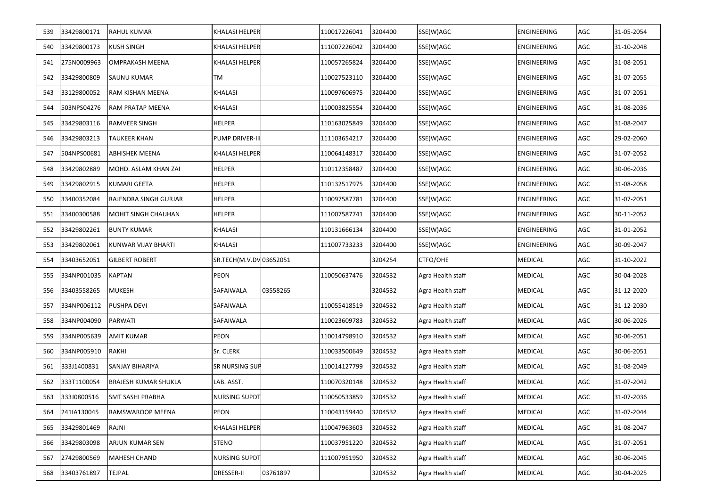| 539 | 33429800171 | RAHUL KUMAR                 | <b>KHALASI HELPER</b>   |          | 110017226041 | 3204400 | SSE(W)AGC         | <b>ENGINEERING</b> | AGC | 31-05-2054 |
|-----|-------------|-----------------------------|-------------------------|----------|--------------|---------|-------------------|--------------------|-----|------------|
| 540 | 33429800173 | KUSH SINGH                  | KHALASI HELPER          |          | 111007226042 | 3204400 | SSE(W)AGC         | <b>ENGINEERING</b> | AGC | 31-10-2048 |
| 541 | 275N0009963 | OMPRAKASH MEENA             | <b>KHALASI HELPER</b>   |          | 110057265824 | 3204400 | SSE(W)AGC         | ENGINEERING        | AGC | 31-08-2051 |
| 542 | 33429800809 | SAUNU KUMAR                 | TM                      |          | 110027523110 | 3204400 | SSE(W)AGC         | ENGINEERING        | AGC | 31-07-2055 |
| 543 | 33129800052 | RAM KISHAN MEENA            | <b>KHALASI</b>          |          | 110097606975 | 3204400 | SSE(W)AGC         | ENGINEERING        | AGC | 31-07-2051 |
| 544 | 503NPS04276 | RAM PRATAP MEENA            | <b>KHALASI</b>          |          | 110003825554 | 3204400 | SSE(W)AGC         | ENGINEERING        | AGC | 31-08-2036 |
| 545 | 33429803116 | RAMVEER SINGH               | <b>HELPER</b>           |          | 110163025849 | 3204400 | SSE(W)AGC         | ENGINEERING        | AGC | 31-08-2047 |
| 546 | 33429803213 | TAUKEER KHAN                | PUMP DRIVER-III         |          | 111103654217 | 3204400 | SSE(W)AGC         | ENGINEERING        | AGC | 29-02-2060 |
| 547 | 504NPS00681 | ABHISHEK MEENA              | KHALASI HELPER          |          | 110064148317 | 3204400 | SSE(W)AGC         | ENGINEERING        | AGC | 31-07-2052 |
| 548 | 33429802889 | MOHD. ASLAM KHAN ZAI        | <b>HELPER</b>           |          | 110112358487 | 3204400 | SSE(W)AGC         | ENGINEERING        | AGC | 30-06-2036 |
| 549 | 33429802915 | KUMARI GEETA                | <b>HELPER</b>           |          | 110132517975 | 3204400 | SSE(W)AGC         | ENGINEERING        | AGC | 31-08-2058 |
| 550 | 33400352084 | RAJENDRA SINGH GURJAR       | <b>HELPER</b>           |          | 110097587781 | 3204400 | SSE(W)AGC         | ENGINEERING        | AGC | 31-07-2051 |
| 551 | 33400300588 | MOHIT SINGH CHAUHAN         | <b>HELPER</b>           |          | 111007587741 | 3204400 | SSE(W)AGC         | ENGINEERING        | AGC | 30-11-2052 |
| 552 | 33429802261 | <b>BUNTY KUMAR</b>          | KHALASI                 |          | 110131666134 | 3204400 | SSE(W)AGC         | ENGINEERING        | AGC | 31-01-2052 |
| 553 | 33429802061 | KUNWAR VIJAY BHARTI         | KHALASI                 |          | 111007733233 | 3204400 | SSE(W)AGC         | ENGINEERING        | AGC | 30-09-2047 |
| 554 | 33403652051 | <b>GILBERT ROBERT</b>       | SR.TECH(M.V.DV 03652051 |          |              | 3204254 | CTFO/OHE          | <b>MEDICAL</b>     | AGC | 31-10-2022 |
| 555 | 334NP001035 | <b>KAPTAN</b>               | PEON                    |          | 110050637476 | 3204532 | Agra Health staff | <b>MEDICAL</b>     | AGC | 30-04-2028 |
| 556 | 33403558265 | MUKESH                      | SAFAIWALA               | 03558265 |              | 3204532 | Agra Health staff | <b>MEDICAL</b>     | AGC | 31-12-2020 |
| 557 | 334NP006112 | PUSHPA DEVI                 | SAFAIWALA               |          | 110055418519 | 3204532 | Agra Health staff | <b>MEDICAL</b>     | AGC | 31-12-2030 |
| 558 | 334NP004090 | PARWATI                     | SAFAIWALA               |          | 110023609783 | 3204532 | Agra Health staff | MEDICAL            | AGC | 30-06-2026 |
| 559 | 334NP005639 | AMIT KUMAR                  | PEON                    |          | 110014798910 | 3204532 | Agra Health staff | <b>MEDICAL</b>     | AGC | 30-06-2051 |
| 560 | 334NP005910 | RAKHI                       | Sr. CLERK               |          | 110033500649 | 3204532 | Agra Health staff | MEDICAL            | AGC | 30-06-2051 |
| 561 | 333J1400831 | SANJAY BIHARIYA             | <b>SR NURSING SUP</b>   |          | 110014127799 | 3204532 | Agra Health staff | <b>MEDICAL</b>     | AGC | 31-08-2049 |
| 562 | 333T1100054 | <b>BRAJESH KUMAR SHUKLA</b> | LAB. ASST.              |          | 110070320148 | 3204532 | Agra Health staff | MEDICAL            | AGC | 31-07-2042 |
| 563 | 333J0800516 | <b>SMT SASHI PRABHA</b>     | <b>NURSING SUPDT</b>    |          | 110050533859 | 3204532 | Agra Health staff | <b>MEDICAL</b>     | AGC | 31-07-2036 |
| 564 | 241IA130045 | RAMSWAROOP MEENA            | PEON                    |          | 110043159440 | 3204532 | Agra Health staff | <b>MEDICAL</b>     | AGC | 31-07-2044 |
| 565 | 33429801469 | RAJNI                       | <b>KHALASI HELPER</b>   |          | 110047963603 | 3204532 | Agra Health staff | <b>MEDICAL</b>     | AGC | 31-08-2047 |
| 566 | 33429803098 | ARJUN KUMAR SEN             | STENO                   |          | 110037951220 | 3204532 | Agra Health staff | <b>MEDICAL</b>     | AGC | 31-07-2051 |
| 567 | 27429800569 | MAHESH CHAND                | NURSING SUPDT           |          | 111007951950 | 3204532 | Agra Health staff | <b>MEDICAL</b>     | AGC | 30-06-2045 |
| 568 | 33403761897 | TEJPAL                      | <b>DRESSER-II</b>       | 03761897 |              | 3204532 | Agra Health staff | <b>MEDICAL</b>     | AGC | 30-04-2025 |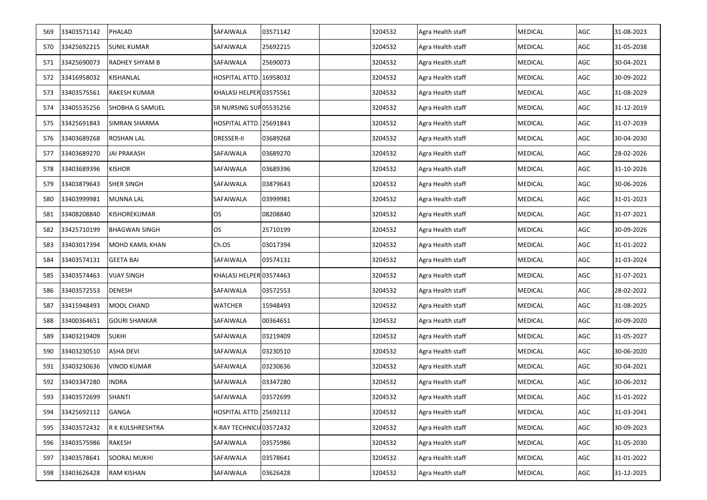| 569 | 33403571142     | PHALAD                | SAFAIWALA               | 03571142 | 3204532 | Agra Health staff | <b>MEDICAL</b> | AGC | 31-08-2023 |
|-----|-----------------|-----------------------|-------------------------|----------|---------|-------------------|----------------|-----|------------|
| 570 | 33425692215     | <b>SUNIL KUMAR</b>    | SAFAIWALA               | 25692215 | 3204532 | Agra Health staff | <b>MEDICAL</b> | AGC | 31-05-2038 |
| 571 | 33425690073     | <b>RADHEY SHYAM B</b> | SAFAIWALA               | 25690073 | 3204532 | Agra Health staff | <b>MEDICAL</b> | AGC | 30-04-2021 |
| 572 | 33416958032     | KISHANLAL             | HOSPITAL ATTD. 16958032 |          | 3204532 | Agra Health staff | <b>MEDICAL</b> | AGC | 30-09-2022 |
| 573 | 33403575561     | <b>RAKESH KUMAR</b>   | KHALASI HELPER 03575561 |          | 3204532 | Agra Health staff | <b>MEDICAL</b> | AGC | 31-08-2029 |
| 574 | 33405535256     | SHOBHA G SAMUEL       | SR NURSING SUP 05535256 |          | 3204532 | Agra Health staff | <b>MEDICAL</b> | AGC | 31-12-2019 |
| 575 | 33425691843     | SIMRAN SHARMA         | HOSPITAL ATTD. 25691843 |          | 3204532 | Agra Health staff | <b>MEDICAL</b> | AGC | 31-07-2039 |
| 576 | 33403689268     | <b>ROSHAN LAL</b>     | <b>DRESSER-II</b>       | 03689268 | 3204532 | Agra Health staff | <b>MEDICAL</b> | AGC | 30-04-2030 |
| 577 | 33403689270     | <b>JAI PRAKASH</b>    | SAFAIWALA               | 03689270 | 3204532 | Agra Health staff | <b>MEDICAL</b> | AGC | 28-02-2026 |
| 578 | 33403689396     | <b>KISHOR</b>         | SAFAIWALA               | 03689396 | 3204532 | Agra Health staff | <b>MEDICAL</b> | AGC | 31-10-2026 |
| 579 | 33403879643     | <b>SHER SINGH</b>     | SAFAIWALA               | 03879643 | 3204532 | Agra Health staff | <b>MEDICAL</b> | AGC | 30-06-2026 |
| 580 | 33403999981     | <b>MUNNA LAL</b>      | SAFAIWALA               | 03999981 | 3204532 | Agra Health staff | <b>MEDICAL</b> | AGC | 31-01-2023 |
| 581 | 33408208840     | KISHOREKUMAR          | OS                      | 08208840 | 3204532 | Agra Health staff | <b>MEDICAL</b> | AGC | 31-07-2021 |
| 582 | 33425710199     | <b>BHAGWAN SINGH</b>  | OS.                     | 25710199 | 3204532 | Agra Health staff | <b>MEDICAL</b> | AGC | 30-09-2026 |
| 583 | 33403017394     | MOHD KAMIL KHAN       | Ch.OS                   | 03017394 | 3204532 | Agra Health staff | <b>MEDICAL</b> | AGC | 31-01-2022 |
| 584 | 33403574131     | <b>GEETA BAI</b>      | SAFAIWALA               | 03574131 | 3204532 | Agra Health staff | <b>MEDICAL</b> | AGC | 31-03-2024 |
| 585 | 33403574463     | <b>VIJAY SINGH</b>    | KHALASI HELPER 03574463 |          | 3204532 | Agra Health staff | <b>MEDICAL</b> | AGC | 31-07-2021 |
| 586 | 33403572553     | <b>DENESH</b>         | SAFAIWALA               | 03572553 | 3204532 | Agra Health staff | <b>MEDICAL</b> | AGC | 28-02-2022 |
| 587 | 33415948493     | MOOL CHAND            | WATCHER                 | 15948493 | 3204532 | Agra Health staff | <b>MEDICAL</b> | AGC | 31-08-2025 |
| 588 | 33400364651     | <b>GOURI SHANKAR</b>  | SAFAIWALA               | 00364651 | 3204532 | Agra Health staff | <b>MEDICAL</b> | AGC | 30-09-2020 |
| 589 | 33403219409     | <b>SUKHI</b>          | SAFAIWALA               | 03219409 | 3204532 | Agra Health staff | <b>MEDICAL</b> | AGC | 31-05-2027 |
| 590 | 33403230510     | <b>ASHA DEVI</b>      | SAFAIWALA               | 03230510 | 3204532 | Agra Health staff | <b>MEDICAL</b> | AGC | 30-06-2020 |
| 591 | 33403230636     | <b>VINOD KUMAR</b>    | SAFAIWALA               | 03230636 | 3204532 | Agra Health staff | <b>MEDICAL</b> | AGC | 30-04-2021 |
| 592 | 33403347280     | <b>INDRA</b>          | SAFAIWALA               | 03347280 | 3204532 | Agra Health staff | <b>MEDICAL</b> | AGC | 30-06-2032 |
|     | 593 33403572699 | <b>SHANTI</b>         | SAFAIWALA               | 03572699 | 3204532 | Agra Health staff | <b>MEDICAL</b> | AGC | 31-01-2022 |
| 594 | 33425692112     | GANGA                 | HOSPITAL ATTD.          | 25692112 | 3204532 | Agra Health staff | <b>MEDICAL</b> | AGC | 31-03-2041 |
| 595 | 33403572432     | R K KULSHRESHTRA      | X-RAY TECHNICI403572432 |          | 3204532 | Agra Health staff | <b>MEDICAL</b> | AGC | 30-09-2023 |
| 596 | 33403575986     | <b>RAKESH</b>         | SAFAIWALA               | 03575986 | 3204532 | Agra Health staff | <b>MEDICAL</b> | AGC | 31-05-2030 |
| 597 | 33403578641     | <b>SOORAJ MUKHI</b>   | SAFAIWALA               | 03578641 | 3204532 | Agra Health staff | <b>MEDICAL</b> | AGC | 31-01-2022 |
| 598 | 33403626428     | <b>RAM KISHAN</b>     | SAFAIWALA               | 03626428 | 3204532 | Agra Health staff | <b>MEDICAL</b> | AGC | 31-12-2025 |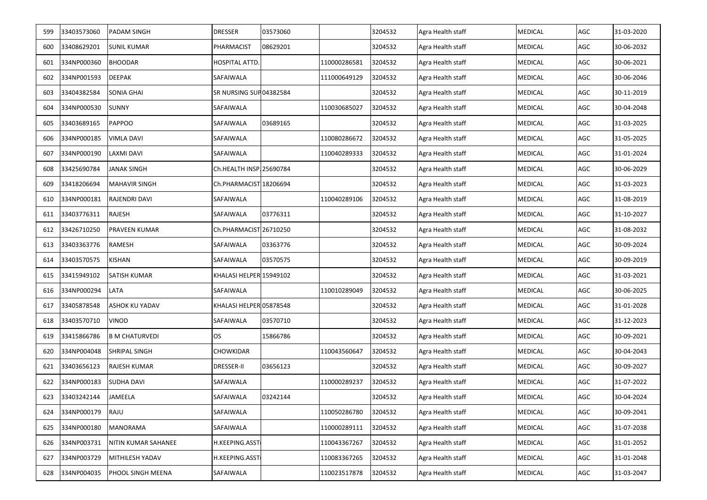| 599 | 33403573060 | <b>PADAM SINGH</b>    | <b>DRESSER</b>                | 03573060 |              | 3204532 | Agra Health staff | <b>MEDICAL</b> | AGC | 31-03-2020 |
|-----|-------------|-----------------------|-------------------------------|----------|--------------|---------|-------------------|----------------|-----|------------|
| 600 | 33408629201 | <b>SUNIL KUMAR</b>    | PHARMACIST                    | 08629201 |              | 3204532 | Agra Health staff | <b>MEDICAL</b> | AGC | 30-06-2032 |
| 601 | 334NP000360 | <b>BHOODAR</b>        | HOSPITAL ATTD.                |          | 110000286581 | 3204532 | Agra Health staff | <b>MEDICAL</b> | AGC | 30-06-2021 |
| 602 | 334NP001593 | <b>DEEPAK</b>         | SAFAIWALA                     |          | 111000649129 | 3204532 | Agra Health staff | <b>MEDICAL</b> | AGC | 30-06-2046 |
| 603 | 33404382584 | <b>SONIA GHAI</b>     | <b>SR NURSING SUP04382584</b> |          |              | 3204532 | Agra Health staff | <b>MEDICAL</b> | AGC | 30-11-2019 |
| 604 | 334NP000530 | <b>SUNNY</b>          | SAFAIWALA                     |          | 110030685027 | 3204532 | Agra Health staff | <b>MEDICAL</b> | AGC | 30-04-2048 |
| 605 | 33403689165 | <b>PAPPOO</b>         | SAFAIWALA                     | 03689165 |              | 3204532 | Agra Health staff | <b>MEDICAL</b> | AGC | 31-03-2025 |
| 606 | 334NP000185 | <b>VIMLA DAVI</b>     | SAFAIWALA                     |          | 110080286672 | 3204532 | Agra Health staff | <b>MEDICAL</b> | AGC | 31-05-2025 |
| 607 | 334NP000190 | LAXMI DAVI            | SAFAIWALA                     |          | 110040289333 | 3204532 | Agra Health staff | <b>MEDICAL</b> | AGC | 31-01-2024 |
| 608 | 33425690784 | JANAK SINGH           | Ch.HEALTH INSP. 25690784      |          |              | 3204532 | Agra Health staff | <b>MEDICAL</b> | AGC | 30-06-2029 |
| 609 | 33418206694 | <b>MAHAVIR SINGH</b>  | Ch.PHARMACIST 18206694        |          |              | 3204532 | Agra Health staff | <b>MEDICAL</b> | AGC | 31-03-2023 |
| 610 | 334NP000181 | RAJENDRI DAVI         | SAFAIWALA                     |          | 110040289106 | 3204532 | Agra Health staff | <b>MEDICAL</b> | AGC | 31-08-2019 |
| 611 | 33403776311 | RAJESH                | SAFAIWALA                     | 03776311 |              | 3204532 | Agra Health staff | <b>MEDICAL</b> | AGC | 31-10-2027 |
| 612 | 33426710250 | <b>PRAVEEN KUMAR</b>  | Ch.PHARMACIST 26710250        |          |              | 3204532 | Agra Health staff | <b>MEDICAL</b> | AGC | 31-08-2032 |
| 613 | 33403363776 | RAMESH                | SAFAIWALA                     | 03363776 |              | 3204532 | Agra Health staff | <b>MEDICAL</b> | AGC | 30-09-2024 |
| 614 | 33403570575 | KISHAN                | SAFAIWALA                     | 03570575 |              | 3204532 | Agra Health staff | <b>MEDICAL</b> | AGC | 30-09-2019 |
| 615 | 33415949102 | <b>SATISH KUMAR</b>   | KHALASI HELPER 15949102       |          |              | 3204532 | Agra Health staff | <b>MEDICAL</b> | AGC | 31-03-2021 |
| 616 | 334NP000294 | LATA                  | SAFAIWALA                     |          | 110010289049 | 3204532 | Agra Health staff | <b>MEDICAL</b> | AGC | 30-06-2025 |
| 617 | 33405878548 | ASHOK KU YADAV        | KHALASI HELPER 05878548       |          |              | 3204532 | Agra Health staff | <b>MEDICAL</b> | AGC | 31-01-2028 |
| 618 | 33403570710 | <b>VINOD</b>          | SAFAIWALA                     | 03570710 |              | 3204532 | Agra Health staff | <b>MEDICAL</b> | AGC | 31-12-2023 |
| 619 | 33415866786 | <b>B M CHATURVEDI</b> | <b>OS</b>                     | 15866786 |              | 3204532 | Agra Health staff | <b>MEDICAL</b> | AGC | 30-09-2021 |
| 620 | 334NP004048 | SHRIPAL SINGH         | CHOWKIDAR                     |          | 110043560647 | 3204532 | Agra Health staff | <b>MEDICAL</b> | AGC | 30-04-2043 |
| 621 | 33403656123 | RAJESH KUMAR          | <b>DRESSER-II</b>             | 03656123 |              | 3204532 | Agra Health staff | <b>MEDICAL</b> | AGC | 30-09-2027 |
| 622 | 334NP000183 | <b>SUDHA DAVI</b>     | SAFAIWALA                     |          | 110000289237 | 3204532 | Agra Health staff | <b>MEDICAL</b> | AGC | 31-07-2022 |
| 623 | 33403242144 | <b>JAMEELA</b>        | SAFAIWALA                     | 03242144 |              | 3204532 | Agra Health staff | <b>MEDICAL</b> | AGC | 30-04-2024 |
| 624 | 334NP000179 | RAJU                  | SAFAIWALA                     |          | 110050286780 | 3204532 | Agra Health staff | <b>MEDICAL</b> | AGC | 30-09-2041 |
| 625 | 334NP000180 | MANORAMA              | SAFAIWALA                     |          | 110000289111 | 3204532 | Agra Health staff | <b>MEDICAL</b> | AGC | 31-07-2038 |
| 626 | 334NP003731 | NITIN KUMAR SAHANEE   | H.KEEPING.ASST                |          | 110043367267 | 3204532 | Agra Health staff | <b>MEDICAL</b> | AGC | 31-01-2052 |
| 627 | 334NP003729 | MITHILESH YADAV       | H.KEEPING.ASST                |          | 110083367265 | 3204532 | Agra Health staff | <b>MEDICAL</b> | AGC | 31-01-2048 |
| 628 | 334NP004035 | PHOOL SINGH MEENA     | SAFAIWALA                     |          | 110023517878 | 3204532 | Agra Health staff | <b>MEDICAL</b> | AGC | 31-03-2047 |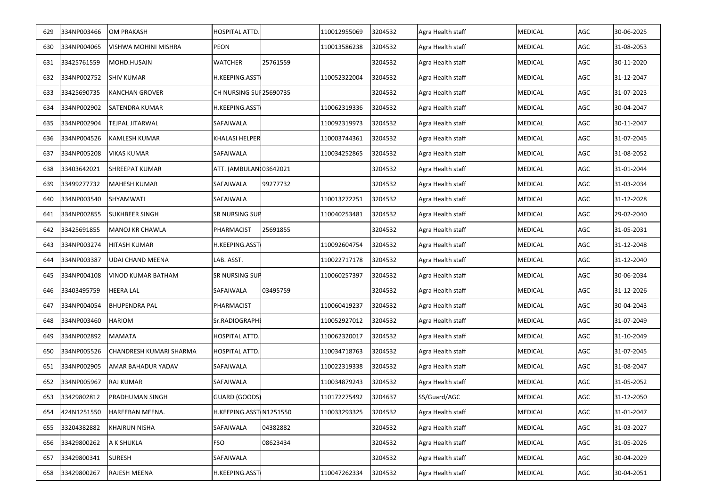| 629 | 334NP003466 | <b>OM PRAKASH</b>       | HOSPITAL ATTD.          |          | 110012955069 | 3204532 | Agra Health staff | <b>MEDICAL</b> | AGC | 30-06-2025 |
|-----|-------------|-------------------------|-------------------------|----------|--------------|---------|-------------------|----------------|-----|------------|
| 630 | 334NP004065 | VISHWA MOHINI MISHRA    | <b>PEON</b>             |          | 110013586238 | 3204532 | Agra Health staff | <b>MEDICAL</b> | AGC | 31-08-2053 |
| 631 | 33425761559 | MOHD.HUSAIN             | <b>WATCHER</b>          | 25761559 |              | 3204532 | Agra Health staff | <b>MEDICAL</b> | AGC | 30-11-2020 |
| 632 | 334NP002752 | <b>SHIV KUMAR</b>       | H.KEEPING.ASST          |          | 110052322004 | 3204532 | Agra Health staff | <b>MEDICAL</b> | AGC | 31-12-2047 |
| 633 | 33425690735 | <b>KANCHAN GROVER</b>   | CH NURSING SUI 25690735 |          |              | 3204532 | Agra Health staff | <b>MEDICAL</b> | AGC | 31-07-2023 |
| 634 | 334NP002902 | <b>SATENDRA KUMAR</b>   | H.KEEPING.ASST          |          | 110062319336 | 3204532 | Agra Health staff | <b>MEDICAL</b> | AGC | 30-04-2047 |
| 635 | 334NP002904 | <b>TEJPAL JITARWAL</b>  | SAFAIWALA               |          | 110092319973 | 3204532 | Agra Health staff | <b>MEDICAL</b> | AGC | 30-11-2047 |
| 636 | 334NP004526 | <b>KAMLESH KUMAR</b>    | KHALASI HELPER          |          | 110003744361 | 3204532 | Agra Health staff | <b>MEDICAL</b> | AGC | 31-07-2045 |
| 637 | 334NP005208 | VIKAS KUMAR             | SAFAIWALA               |          | 110034252865 | 3204532 | Agra Health staff | <b>MEDICAL</b> | AGC | 31-08-2052 |
| 638 | 33403642021 | <b>SHREEPAT KUMAR</b>   | ATT. (AMBULAN 03642021  |          |              | 3204532 | Agra Health staff | <b>MEDICAL</b> | AGC | 31-01-2044 |
| 639 | 33499277732 | MAHESH KUMAR            | SAFAIWALA               | 99277732 |              | 3204532 | Agra Health staff | <b>MEDICAL</b> | AGC | 31-03-2034 |
| 640 | 334NP003540 | SHYAMWATI               | SAFAIWALA               |          | 110013272251 | 3204532 | Agra Health staff | <b>MEDICAL</b> | AGC | 31-12-2028 |
| 641 | 334NP002855 | <b>SUKHBEER SINGH</b>   | <b>SR NURSING SUP</b>   |          | 110040253481 | 3204532 | Agra Health staff | <b>MEDICAL</b> | AGC | 29-02-2040 |
| 642 | 33425691855 | MANOJ KR CHAWLA         | PHARMACIST              | 25691855 |              | 3204532 | Agra Health staff | <b>MEDICAL</b> | AGC | 31-05-2031 |
| 643 | 334NP003274 | HITASH KUMAR            | H.KEEPING.ASST          |          | 110092604754 | 3204532 | Agra Health staff | <b>MEDICAL</b> | AGC | 31-12-2048 |
| 644 | 334NP003387 | <b>UDAI CHAND MEENA</b> | LAB. ASST.              |          | 110022717178 | 3204532 | Agra Health staff | <b>MEDICAL</b> | AGC | 31-12-2040 |
| 645 | 334NP004108 | VINOD KUMAR BATHAM      | SR NURSING SUP          |          | 110060257397 | 3204532 | Agra Health staff | <b>MEDICAL</b> | AGC | 30-06-2034 |
| 646 | 33403495759 | <b>HEERA LAL</b>        | SAFAIWALA               | 03495759 |              | 3204532 | Agra Health staff | <b>MEDICAL</b> | AGC | 31-12-2026 |
| 647 | 334NP004054 | <b>BHUPENDRA PAL</b>    | PHARMACIST              |          | 110060419237 | 3204532 | Agra Health staff | <b>MEDICAL</b> | AGC | 30-04-2043 |
| 648 | 334NP003460 | <b>HARIOM</b>           | Sr.RADIOGRAPHI          |          | 110052927012 | 3204532 | Agra Health staff | <b>MEDICAL</b> | AGC | 31-07-2049 |
| 649 | 334NP002892 | MAMATA                  | HOSPITAL ATTD.          |          | 110062320017 | 3204532 | Agra Health staff | <b>MEDICAL</b> | AGC | 31-10-2049 |
| 650 | 334NP005526 | CHANDRESH KUMARI SHARMA | HOSPITAL ATTD.          |          | 110034718763 | 3204532 | Agra Health staff | <b>MEDICAL</b> | AGC | 31-07-2045 |
| 651 | 334NP002905 | AMAR BAHADUR YADAV      | SAFAIWALA               |          | 110022319338 | 3204532 | Agra Health staff | <b>MEDICAL</b> | AGC | 31-08-2047 |
| 652 | 334NP005967 | <b>RAJ KUMAR</b>        | SAFAIWALA               |          | 110034879243 | 3204532 | Agra Health staff | <b>MEDICAL</b> | AGC | 31-05-2052 |
| 653 | 33429802812 | <b>PRADHUMAN SINGH</b>  | GUARD (GOODS)           |          | 110172275492 | 3204637 | SS/Guard/AGC      | <b>MEDICAL</b> | AGC | 31-12-2050 |
| 654 | 424N1251550 | HAREEBAN MEENA.         | H.KEEPING.ASST N1251550 |          | 110033293325 | 3204532 | Agra Health staff | <b>MEDICAL</b> | AGC | 31-01-2047 |
| 655 | 33204382882 | <b>KHAIRUN NISHA</b>    | SAFAIWALA               | 04382882 |              | 3204532 | Agra Health staff | <b>MEDICAL</b> | AGC | 31-03-2027 |
| 656 | 33429800262 | A K SHUKLA              | <b>FSO</b>              | 08623434 |              | 3204532 | Agra Health staff | <b>MEDICAL</b> | AGC | 31-05-2026 |
| 657 | 33429800341 | <b>SURESH</b>           | SAFAIWALA               |          |              | 3204532 | Agra Health staff | <b>MEDICAL</b> | AGC | 30-04-2029 |
| 658 | 33429800267 | RAJESH MEENA            | H.KEEPING.ASST          |          | 110047262334 | 3204532 | Agra Health staff | <b>MEDICAL</b> | AGC | 30-04-2051 |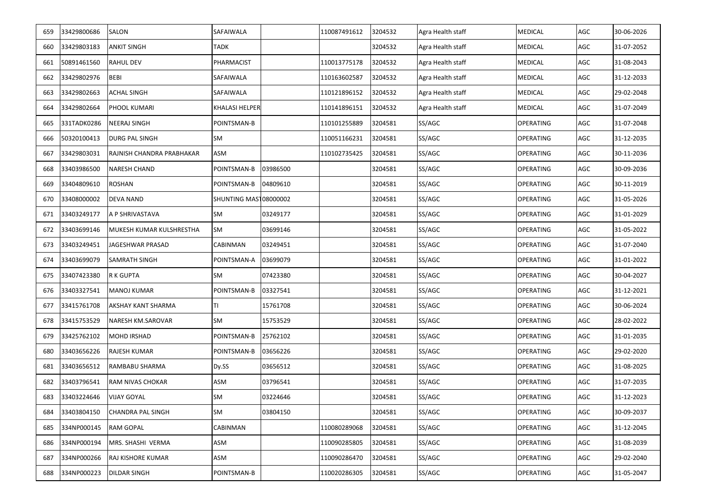| 659 | 33429800686     | <b>SALON</b>              | SAFAIWALA                    |          | 110087491612 | 3204532 | Agra Health staff | <b>MEDICAL</b>   | AGC | 30-06-2026 |
|-----|-----------------|---------------------------|------------------------------|----------|--------------|---------|-------------------|------------------|-----|------------|
| 660 | 33429803183     | <b>ANKIT SINGH</b>        | TADK                         |          |              | 3204532 | Agra Health staff | <b>MEDICAL</b>   | AGC | 31-07-2052 |
| 661 | 50891461560     | <b>RAHUL DEV</b>          | PHARMACIST                   |          | 110013775178 | 3204532 | Agra Health staff | <b>MEDICAL</b>   | AGC | 31-08-2043 |
| 662 | 33429802976     | <b>BEBI</b>               | SAFAIWALA                    |          | 110163602587 | 3204532 | Agra Health staff | <b>MEDICAL</b>   | AGC | 31-12-2033 |
| 663 | 33429802663     | <b>ACHAL SINGH</b>        | SAFAIWALA                    |          | 110121896152 | 3204532 | Agra Health staff | <b>MEDICAL</b>   | AGC | 29-02-2048 |
| 664 | 33429802664     | PHOOL KUMARI              | KHALASI HELPER               |          | 110141896151 | 3204532 | Agra Health staff | <b>MEDICAL</b>   | AGC | 31-07-2049 |
| 665 | 331TADK0286     | <b>NEERAJ SINGH</b>       | POINTSMAN-B                  |          | 110101255889 | 3204581 | SS/AGC            | <b>OPERATING</b> | AGC | 31-07-2048 |
| 666 | 50320100413     | <b>DURG PAL SINGH</b>     | SM                           |          | 110051166231 | 3204581 | SS/AGC            | <b>OPERATING</b> | AGC | 31-12-2035 |
| 667 | 33429803031     | RAJNISH CHANDRA PRABHAKAR | ASM                          |          | 110102735425 | 3204581 | SS/AGC            | <b>OPERATING</b> | AGC | 30-11-2036 |
| 668 | 33403986500     | <b>NARESH CHAND</b>       | POINTSMAN-B                  | 03986500 |              | 3204581 | SS/AGC            | <b>OPERATING</b> | AGC | 30-09-2036 |
| 669 | 33404809610     | <b>ROSHAN</b>             | POINTSMAN-B                  | 04809610 |              | 3204581 | SS/AGC            | OPERATING        | AGC | 30-11-2019 |
| 670 | 33408000002     | <b>DEVA NAND</b>          | <b>SHUNTING MAST08000002</b> |          |              | 3204581 | SS/AGC            | <b>OPERATING</b> | AGC | 31-05-2026 |
| 671 | 33403249177     | A P SHRIVASTAVA           | <b>SM</b>                    | 03249177 |              | 3204581 | SS/AGC            | <b>OPERATING</b> | AGC | 31-01-2029 |
| 672 | 33403699146     | MUKESH KUMAR KULSHRESTHA  | <b>SM</b>                    | 03699146 |              | 3204581 | SS/AGC            | <b>OPERATING</b> | AGC | 31-05-2022 |
| 673 | 33403249451     | JAGESHWAR PRASAD          | <b>CABINMAN</b>              | 03249451 |              | 3204581 | SS/AGC            | <b>OPERATING</b> | AGC | 31-07-2040 |
| 674 | 33403699079     | <b>SAMRATH SINGH</b>      | POINTSMAN-A                  | 03699079 |              | 3204581 | SS/AGC            | <b>OPERATING</b> | AGC | 31-01-2022 |
| 675 | 33407423380     | R K GUPTA                 | SM                           | 07423380 |              | 3204581 | SS/AGC            | <b>OPERATING</b> | AGC | 30-04-2027 |
| 676 | 33403327541     | <b>MANOJ KUMAR</b>        | POINTSMAN-B                  | 03327541 |              | 3204581 | SS/AGC            | <b>OPERATING</b> | AGC | 31-12-2021 |
| 677 | 33415761708     | <b>AKSHAY KANT SHARMA</b> | TI.                          | 15761708 |              | 3204581 | SS/AGC            | <b>OPERATING</b> | AGC | 30-06-2024 |
| 678 | 33415753529     | <b>NARESH KM.SAROVAR</b>  | <b>SM</b>                    | 15753529 |              | 3204581 | SS/AGC            | <b>OPERATING</b> | AGC | 28-02-2022 |
| 679 | 33425762102     | <b>MOHD IRSHAD</b>        | POINTSMAN-B                  | 25762102 |              | 3204581 | SS/AGC            | <b>OPERATING</b> | AGC | 31-01-2035 |
| 680 | 33403656226     | RAJESH KUMAR              | POINTSMAN-B                  | 03656226 |              | 3204581 | SS/AGC            | <b>OPERATING</b> | AGC | 29-02-2020 |
| 681 | 33403656512     | RAMBABU SHARMA            | Dy.SS                        | 03656512 |              | 3204581 | SS/AGC            | OPERATING        | AGC | 31-08-2025 |
| 682 | 33403796541     | <b>RAM NIVAS CHOKAR</b>   | ASM                          | 03796541 |              | 3204581 | SS/AGC            | <b>OPERATING</b> | AGC | 31-07-2035 |
|     | 683 33403224646 | <b>VIJAY GOYAL</b>        | SM                           | 03224646 |              | 3204581 | SS/AGC            | OPERATING        | AGC | 31-12-2023 |
| 684 | 33403804150     | <b>CHANDRA PAL SINGH</b>  | SM                           | 03804150 |              | 3204581 | SS/AGC            | <b>OPERATING</b> | AGC | 30-09-2037 |
| 685 | 334NP000145     | RAM GOPAL                 | CABINMAN                     |          | 110080289068 | 3204581 | SS/AGC            | <b>OPERATING</b> | AGC | 31-12-2045 |
| 686 | 334NP000194     | MRS. SHASHI VERMA         | ASM                          |          | 110090285805 | 3204581 | SS/AGC            | <b>OPERATING</b> | AGC | 31-08-2039 |
| 687 | 334NP000266     | RAJ KISHORE KUMAR         | ASM                          |          | 110090286470 | 3204581 | SS/AGC            | <b>OPERATING</b> | AGC | 29-02-2040 |
| 688 | 334NP000223     | <b>DILDAR SINGH</b>       | POINTSMAN-B                  |          | 110020286305 | 3204581 | SS/AGC            | <b>OPERATING</b> | AGC | 31-05-2047 |
|     |                 |                           |                              |          |              |         |                   |                  |     |            |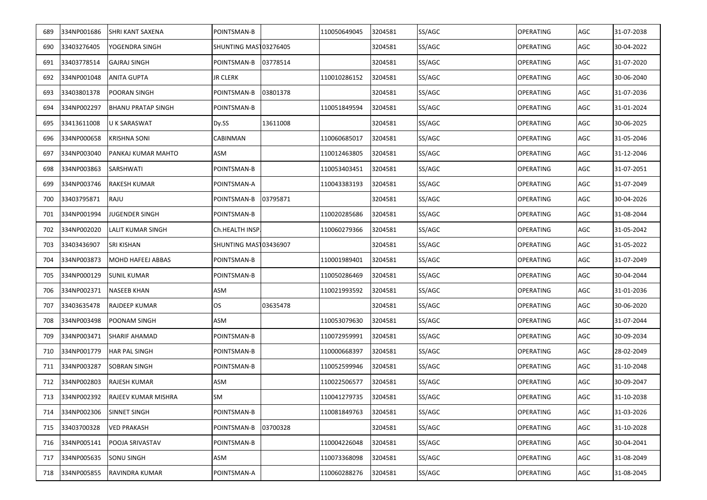| 689 | 334NP001686     | <b>SHRI KANT SAXENA</b>   | POINTSMAN-B           |          | 110050649045 | 3204581 | SS/AGC | <b>OPERATING</b> | AGC | 31-07-2038 |
|-----|-----------------|---------------------------|-----------------------|----------|--------------|---------|--------|------------------|-----|------------|
| 690 | 33403276405     | YOGENDRA SINGH            | SHUNTING MAST03276405 |          |              | 3204581 | SS/AGC | <b>OPERATING</b> | AGC | 30-04-2022 |
| 691 | 33403778514     | <b>GAJRAJ SINGH</b>       | POINTSMAN-B           | 03778514 |              | 3204581 | SS/AGC | <b>OPERATING</b> | AGC | 31-07-2020 |
| 692 | 334NP001048     | <b>ANITA GUPTA</b>        | <b>JR CLERK</b>       |          | 110010286152 | 3204581 | SS/AGC | <b>OPERATING</b> | AGC | 30-06-2040 |
| 693 | 33403801378     | POORAN SINGH              | POINTSMAN-B           | 03801378 |              | 3204581 | SS/AGC | <b>OPERATING</b> | AGC | 31-07-2036 |
| 694 | 334NP002297     | <b>BHANU PRATAP SINGH</b> | POINTSMAN-B           |          | 110051849594 | 3204581 | SS/AGC | <b>OPERATING</b> | AGC | 31-01-2024 |
| 695 | 33413611008     | U K SARASWAT              | Dy.SS                 | 13611008 |              | 3204581 | SS/AGC | OPERATING        | AGC | 30-06-2025 |
| 696 | 334NP000658     | <b>KRISHNA SONI</b>       | CABINMAN              |          | 110060685017 | 3204581 | SS/AGC | <b>OPERATING</b> | AGC | 31-05-2046 |
| 697 | 334NP003040     | PANKAJ KUMAR MAHTO        | ASM                   |          | 110012463805 | 3204581 | SS/AGC | OPERATING        | AGC | 31-12-2046 |
| 698 | 334NP003863     | SARSHWATI                 | POINTSMAN-B           |          | 110053403451 | 3204581 | SS/AGC | <b>OPERATING</b> | AGC | 31-07-2051 |
| 699 | 334NP003746     | <b>RAKESH KUMAR</b>       | POINTSMAN-A           |          | 110043383193 | 3204581 | SS/AGC | OPERATING        | AGC | 31-07-2049 |
| 700 | 33403795871     | RAJU                      | POINTSMAN-B           | 03795871 |              | 3204581 | SS/AGC | OPERATING        | AGC | 30-04-2026 |
| 701 | 334NP001994     | <b>JUGENDER SINGH</b>     | POINTSMAN-B           |          | 110020285686 | 3204581 | SS/AGC | OPERATING        | AGC | 31-08-2044 |
| 702 | 334NP002020     | LALIT KUMAR SINGH         | Ch.HEALTH INSP.       |          | 110060279366 | 3204581 | SS/AGC | <b>OPERATING</b> | AGC | 31-05-2042 |
| 703 | 33403436907     | <b>SRI KISHAN</b>         | SHUNTING MAST03436907 |          |              | 3204581 | SS/AGC | OPERATING        | AGC | 31-05-2022 |
| 704 | 334NP003873     | MOHD HAFEEJ ABBAS         | POINTSMAN-B           |          | 110001989401 | 3204581 | SS/AGC | OPERATING        | AGC | 31-07-2049 |
| 705 | 334NP000129     | <b>SUNIL KUMAR</b>        | POINTSMAN-B           |          | 110050286469 | 3204581 | SS/AGC | <b>OPERATING</b> | AGC | 30-04-2044 |
| 706 | 334NP002371     | <b>NASEEB KHAN</b>        | ASM                   |          | 110021993592 | 3204581 | SS/AGC | <b>OPERATING</b> | AGC | 31-01-2036 |
| 707 | 33403635478     | RAJDEEP KUMAR             | OS.                   | 03635478 |              | 3204581 | SS/AGC | <b>OPERATING</b> | AGC | 30-06-2020 |
| 708 | 334NP003498     | POONAM SINGH              | ASM                   |          | 110053079630 | 3204581 | SS/AGC | OPERATING        | AGC | 31-07-2044 |
| 709 | 334NP003471     | <b>SHARIF AHAMAD</b>      | POINTSMAN-B           |          | 110072959991 | 3204581 | SS/AGC | <b>OPERATING</b> | AGC | 30-09-2034 |
| 710 | 334NP001779     | <b>HAR PAL SINGH</b>      | POINTSMAN-B           |          | 110000668397 | 3204581 | SS/AGC | <b>OPERATING</b> | AGC | 28-02-2049 |
| 711 | 334NP003287     | SOBRAN SINGH              | POINTSMAN-B           |          | 110052599946 | 3204581 | SS/AGC | <b>OPERATING</b> | AGC | 31-10-2048 |
| 712 | 334NP002803     | <b>RAJESH KUMAR</b>       | ASM                   |          | 110022506577 | 3204581 | SS/AGC | <b>OPERATING</b> | AGC | 30-09-2047 |
|     | 713 334NP002392 | RAJEEV KUMAR MISHRA       | SM                    |          | 110041279735 | 3204581 | SS/AGC | <b>OPERATING</b> | AGC | 31-10-2038 |
| 714 | 334NP002306     | <b>SINNET SINGH</b>       | POINTSMAN-B           |          | 110081849763 | 3204581 | SS/AGC | <b>OPERATING</b> | AGC | 31-03-2026 |
| 715 | 33403700328     | VED PRAKASH               | POINTSMAN-B           | 03700328 |              | 3204581 | SS/AGC | <b>OPERATING</b> | AGC | 31-10-2028 |
| 716 | 334NP005141     | POOJA SRIVASTAV           | POINTSMAN-B           |          | 110004226048 | 3204581 | SS/AGC | <b>OPERATING</b> | AGC | 30-04-2041 |
| 717 | 334NP005635     | <b>SONU SINGH</b>         | ASM                   |          | 110073368098 | 3204581 | SS/AGC | <b>OPERATING</b> | AGC | 31-08-2049 |
| 718 | 334NP005855     | RAVINDRA KUMAR            | POINTSMAN-A           |          | 110060288276 | 3204581 | SS/AGC | <b>OPERATING</b> | AGC | 31-08-2045 |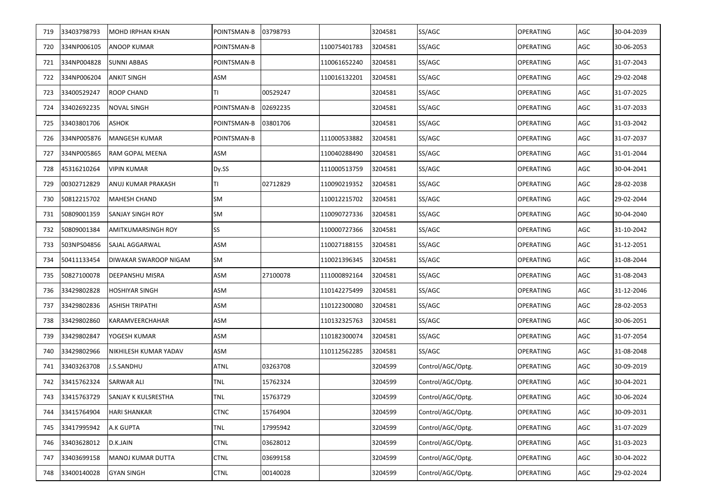| 719 | 33403798793     | <b>MOHD IRPHAN KHAN</b>    | POINTSMAN-B | 03798793 |              | 3204581 | SS/AGC            | <b>OPERATING</b> | AGC | 30-04-2039 |
|-----|-----------------|----------------------------|-------------|----------|--------------|---------|-------------------|------------------|-----|------------|
| 720 | 334NP006105     | ANOOP KUMAR                | POINTSMAN-B |          | 110075401783 | 3204581 | SS/AGC            | <b>OPERATING</b> | AGC | 30-06-2053 |
| 721 | 334NP004828     | <b>SUNNI ABBAS</b>         | POINTSMAN-B |          | 110061652240 | 3204581 | SS/AGC            | <b>OPERATING</b> | AGC | 31-07-2043 |
| 722 | 334NP006204     | <b>ANKIT SINGH</b>         | ASM         |          | 110016132201 | 3204581 | SS/AGC            | <b>OPERATING</b> | AGC | 29-02-2048 |
| 723 | 33400529247     | ROOP CHAND                 |             | 00529247 |              | 3204581 | SS/AGC            | <b>OPERATING</b> | AGC | 31-07-2025 |
| 724 | 33402692235     | <b>NOVAL SINGH</b>         | POINTSMAN-B | 02692235 |              | 3204581 | SS/AGC            | <b>OPERATING</b> | AGC | 31-07-2033 |
| 725 | 33403801706     | <b>ASHOK</b>               | POINTSMAN-B | 03801706 |              | 3204581 | SS/AGC            | <b>OPERATING</b> | AGC | 31-03-2042 |
| 726 | 334NP005876     | <b>MANGESH KUMAR</b>       | POINTSMAN-B |          | 111000533882 | 3204581 | SS/AGC            | <b>OPERATING</b> | AGC | 31-07-2037 |
| 727 | 334NP005865     | RAM GOPAL MEENA            | ASM         |          | 110040288490 | 3204581 | SS/AGC            | <b>OPERATING</b> | AGC | 31-01-2044 |
| 728 | 45316210264     | <b>VIPIN KUMAR</b>         | Dy.SS       |          | 111000513759 | 3204581 | SS/AGC            | <b>OPERATING</b> | AGC | 30-04-2041 |
| 729 | 00302712829     | ANUJ KUMAR PRAKASH         | ΤI          | 02712829 | 110090219352 | 3204581 | SS/AGC            | OPERATING        | AGC | 28-02-2038 |
| 730 | 50812215702     | <b>MAHESH CHAND</b>        | SM          |          | 110012215702 | 3204581 | SS/AGC            | <b>OPERATING</b> | AGC | 29-02-2044 |
| 731 | 50809001359     | <b>SANJAY SINGH ROY</b>    | SM          |          | 110090727336 | 3204581 | SS/AGC            | OPERATING        | AGC | 30-04-2040 |
| 732 | 50809001384     | AMITKUMARSINGH ROY         | SS          |          | 110000727366 | 3204581 | SS/AGC            | <b>OPERATING</b> | AGC | 31-10-2042 |
| 733 | 503NPS04856     | SAJAL AGGARWAL             | ASM         |          | 110027188155 | 3204581 | SS/AGC            | OPERATING        | AGC | 31-12-2051 |
| 734 | 50411133454     | DIWAKAR SWAROOP NIGAM      | SM          |          | 110021396345 | 3204581 | SS/AGC            | OPERATING        | AGC | 31-08-2044 |
| 735 | 50827100078     | DEEPANSHU MISRA            | ASM         | 27100078 | 111000892164 | 3204581 | SS/AGC            | OPERATING        | AGC | 31-08-2043 |
| 736 | 33429802828     | <b>HOSHIYAR SINGH</b>      | ASM         |          | 110142275499 | 3204581 | SS/AGC            | OPERATING        | AGC | 31-12-2046 |
| 737 | 33429802836     | ASHISH TRIPATHI            | ASM         |          | 110122300080 | 3204581 | SS/AGC            | <b>OPERATING</b> | AGC | 28-02-2053 |
| 738 | 33429802860     | KARAMVEERCHAHAR            | ASM         |          | 110132325763 | 3204581 | SS/AGC            | <b>OPERATING</b> | AGC | 30-06-2051 |
| 739 | 33429802847     | YOGESH KUMAR               | ASM         |          | 110182300074 | 3204581 | SS/AGC            | OPERATING        | AGC | 31-07-2054 |
| 740 | 33429802966     | NIKHILESH KUMAR YADAV      | ASM         |          | 110112562285 | 3204581 | SS/AGC            | OPERATING        | AGC | 31-08-2048 |
| 741 | 33403263708     | J.S.SANDHU                 | <b>ATNL</b> | 03263708 |              | 3204599 | Control/AGC/Optg. | <b>OPERATING</b> | AGC | 30-09-2019 |
| 742 | 33415762324     | <b>SARWAR ALI</b>          | <b>TNL</b>  | 15762324 |              | 3204599 | Control/AGC/Optg. | <b>OPERATING</b> | AGC | 30-04-2021 |
|     | 743 33415763729 | <b>SANJAY K KULSRESTHA</b> | <b>TNL</b>  | 15763729 |              | 3204599 | Control/AGC/Optg. | <b>OPERATING</b> | AGC | 30-06-2024 |
| 744 | 33415764904     | <b>HARI SHANKAR</b>        | <b>CTNC</b> | 15764904 |              | 3204599 | Control/AGC/Optg. | <b>OPERATING</b> | AGC | 30-09-2031 |
| 745 | 33417995942     | A.K GUPTA                  | <b>TNL</b>  | 17995942 |              | 3204599 | Control/AGC/Optg. | <b>OPERATING</b> | AGC | 31-07-2029 |
| 746 | 33403628012     | D.K.JAIN                   | <b>CTNL</b> | 03628012 |              | 3204599 | Control/AGC/Optg. | <b>OPERATING</b> | AGC | 31-03-2023 |
| 747 | 33403699158     | MANOJ KUMAR DUTTA          | <b>CTNL</b> | 03699158 |              | 3204599 | Control/AGC/Optg. | <b>OPERATING</b> | AGC | 30-04-2022 |
| 748 | 33400140028     | <b>GYAN SINGH</b>          | <b>CTNL</b> | 00140028 |              | 3204599 | Control/AGC/Optg. | <b>OPERATING</b> | AGC | 29-02-2024 |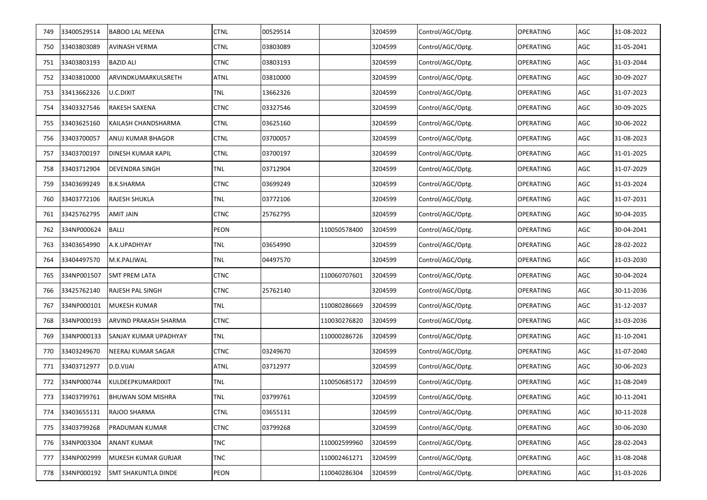| 749 | 33400529514 | <b>BABOO LAL MEENA</b>    | <b>CTNL</b> | 00529514 |              | 3204599 | Control/AGC/Optg. | <b>OPERATING</b> | AGC | 31-08-2022 |
|-----|-------------|---------------------------|-------------|----------|--------------|---------|-------------------|------------------|-----|------------|
| 750 | 33403803089 | <b>AVINASH VERMA</b>      | <b>CTNL</b> | 03803089 |              | 3204599 | Control/AGC/Optg. | <b>OPERATING</b> | AGC | 31-05-2041 |
| 751 | 33403803193 | <b>BAZID ALI</b>          | <b>CTNC</b> | 03803193 |              | 3204599 | Control/AGC/Optg. | OPERATING        | AGC | 31-03-2044 |
| 752 | 33403810000 | ARVINDKUMARKULSRETH       | <b>ATNL</b> | 03810000 |              | 3204599 | Control/AGC/Optg. | <b>OPERATING</b> | AGC | 30-09-2027 |
| 753 | 33413662326 | U.C.DIXIT                 | TNL         | 13662326 |              | 3204599 | Control/AGC/Optg. | OPERATING        | AGC | 31-07-2023 |
| 754 | 33403327546 | RAKESH SAXENA             | CTNC        | 03327546 |              | 3204599 | Control/AGC/Optg. | <b>OPERATING</b> | AGC | 30-09-2025 |
| 755 | 33403625160 | KAILASH CHANDSHARMA       | <b>CTNL</b> | 03625160 |              | 3204599 | Control/AGC/Optg. | OPERATING        | AGC | 30-06-2022 |
| 756 | 33403700057 | ANUJ KUMAR BHAGOR         | <b>CTNL</b> | 03700057 |              | 3204599 | Control/AGC/Optg. | OPERATING        | AGC | 31-08-2023 |
| 757 | 33403700197 | <b>DINESH KUMAR KAPIL</b> | <b>CTNL</b> | 03700197 |              | 3204599 | Control/AGC/Optg. | OPERATING        | AGC | 31-01-2025 |
| 758 | 33403712904 | DEVENDRA SINGH            | TNL         | 03712904 |              | 3204599 | Control/AGC/Optg. | OPERATING        | AGC | 31-07-2029 |
| 759 | 33403699249 | <b>B.K.SHARMA</b>         | <b>CTNC</b> | 03699249 |              | 3204599 | Control/AGC/Optg. | OPERATING        | AGC | 31-03-2024 |
| 760 | 33403772106 | RAJESH SHUKLA             | TNL         | 03772106 |              | 3204599 | Control/AGC/Optg. | OPERATING        | AGC | 31-07-2031 |
| 761 | 33425762795 | AMIT JAIN                 | <b>CTNC</b> | 25762795 |              | 3204599 | Control/AGC/Optg. | OPERATING        | AGC | 30-04-2035 |
| 762 | 334NP000624 | <b>BALLI</b>              | PEON        |          | 110050578400 | 3204599 | Control/AGC/Optg. | OPERATING        | AGC | 30-04-2041 |
| 763 | 33403654990 | A.K.UPADHYAY              | TNL         | 03654990 |              | 3204599 | Control/AGC/Optg. | OPERATING        | AGC | 28-02-2022 |
| 764 | 33404497570 | M.K.PALIWAL               | TNL         | 04497570 |              | 3204599 | Control/AGC/Optg. | OPERATING        | AGC | 31-03-2030 |
| 765 | 334NP001507 | SMT PREM LATA             | <b>CTNC</b> |          | 110060707601 | 3204599 | Control/AGC/Optg. | OPERATING        | AGC | 30-04-2024 |
| 766 | 33425762140 | RAJESH PAL SINGH          | CTNC        | 25762140 |              | 3204599 | Control/AGC/Optg. | OPERATING        | AGC | 30-11-2036 |
| 767 | 334NP000101 | <b>MUKESH KUMAR</b>       | TNL         |          | 110080286669 | 3204599 | Control/AGC/Optg. | OPERATING        | AGC | 31-12-2037 |
| 768 | 334NP000193 | ARVIND PRAKASH SHARMA     | CTNC        |          | 110030276820 | 3204599 | Control/AGC/Optg. | OPERATING        | AGC | 31-03-2036 |
| 769 | 334NP000133 | SANJAY KUMAR UPADHYAY     | TNL         |          | 110000286726 | 3204599 | Control/AGC/Optg. | OPERATING        | AGC | 31-10-2041 |
| 770 | 33403249670 | NEERAJ KUMAR SAGAR        | CTNC        | 03249670 |              | 3204599 | Control/AGC/Optg. | OPERATING        | AGC | 31-07-2040 |
| 771 | 33403712977 | D.D.VIJAI                 | <b>ATNL</b> | 03712977 |              | 3204599 | Control/AGC/Optg. | OPERATING        | AGC | 30-06-2023 |
| 772 | 334NP000744 | KULDEEPKUMARDIXIT         | TNL         |          | 110050685172 | 3204599 | Control/AGC/Optg. | OPERATING        | AGC | 31-08-2049 |
| 773 | 33403799761 | <b>BHUWAN SOM MISHRA</b>  | TNL         | 03799761 |              | 3204599 | Control/AGC/Optg. | <b>OPERATING</b> | AGC | 30-11-2041 |
| 774 | 33403655131 | RAJOO SHARMA              | <b>CTNL</b> | 03655131 |              | 3204599 | Control/AGC/Optg. | OPERATING        | AGC | 30-11-2028 |
| 775 | 33403799268 | PRADUMAN KUMAR            | <b>CTNC</b> | 03799268 |              | 3204599 | Control/AGC/Optg. | OPERATING        | AGC | 30-06-2030 |
| 776 | 334NP003304 | <b>ANANT KUMAR</b>        | TNC         |          | 110002599960 | 3204599 | Control/AGC/Optg. | <b>OPERATING</b> | AGC | 28-02-2043 |
| 777 | 334NP002999 | MUKESH KUMAR GURJAR       | TNC         |          | 110002461271 | 3204599 | Control/AGC/Optg. | <b>OPERATING</b> | AGC | 31-08-2048 |
| 778 | 334NP000192 | SMT SHAKUNTLA DINDE       | PEON        |          | 110040286304 | 3204599 | Control/AGC/Optg. | <b>OPERATING</b> | AGC | 31-03-2026 |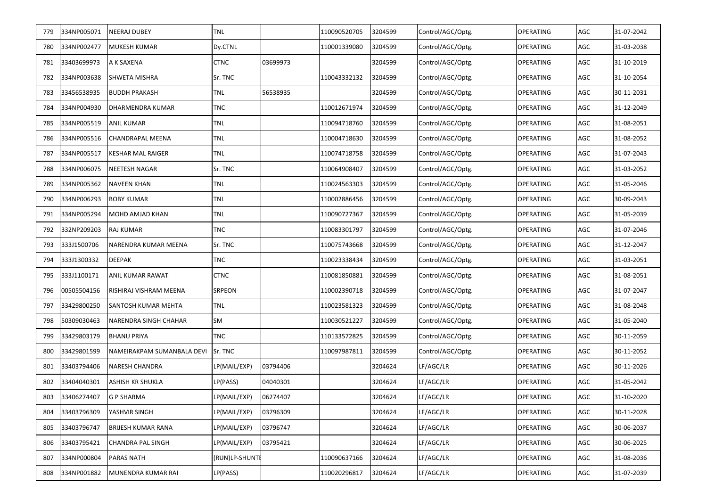| 779 | 334NP005071 | <b>NEERAJ DUBEY</b>        | <b>TNL</b>     |          | 110090520705 | 3204599 | Control/AGC/Optg. | <b>OPERATING</b> | AGC | 31-07-2042 |
|-----|-------------|----------------------------|----------------|----------|--------------|---------|-------------------|------------------|-----|------------|
| 780 | 334NP002477 | <b>MUKESH KUMAR</b>        | Dy.CTNL        |          | 110001339080 | 3204599 | Control/AGC/Optg. | <b>OPERATING</b> | AGC | 31-03-2038 |
| 781 | 33403699973 | A K SAXENA                 | <b>CTNC</b>    | 03699973 |              | 3204599 | Control/AGC/Optg. | <b>OPERATING</b> | AGC | 31-10-2019 |
| 782 | 334NP003638 | <b>SHWETA MISHRA</b>       | Sr. TNC        |          | 110043332132 | 3204599 | Control/AGC/Optg. | <b>OPERATING</b> | AGC | 31-10-2054 |
| 783 | 33456538935 | <b>BUDDH PRAKASH</b>       | TNL            | 56538935 |              | 3204599 | Control/AGC/Optg. | <b>OPERATING</b> | AGC | 30-11-2031 |
| 784 | 334NP004930 | DHARMENDRA KUMAR           | <b>TNC</b>     |          | 110012671974 | 3204599 | Control/AGC/Optg. | <b>OPERATING</b> | AGC | 31-12-2049 |
| 785 | 334NP005519 | <b>ANIL KUMAR</b>          | <b>TNL</b>     |          | 110094718760 | 3204599 | Control/AGC/Optg. | <b>OPERATING</b> | AGC | 31-08-2051 |
| 786 | 334NP005516 | <b>CHANDRAPAL MEENA</b>    | <b>TNL</b>     |          | 110004718630 | 3204599 | Control/AGC/Optg. | <b>OPERATING</b> | AGC | 31-08-2052 |
| 787 | 334NP005517 | <b>KESHAR MAL RAIGER</b>   | <b>TNL</b>     |          | 110074718758 | 3204599 | Control/AGC/Optg. | <b>OPERATING</b> | AGC | 31-07-2043 |
| 788 | 334NP006075 | NEETESH NAGAR              | Sr. TNC        |          | 110064908407 | 3204599 | Control/AGC/Optg. | OPERATING        | AGC | 31-03-2052 |
| 789 | 334NP005362 | <b>NAVEEN KHAN</b>         | TNL            |          | 110024563303 | 3204599 | Control/AGC/Optg. | OPERATING        | AGC | 31-05-2046 |
| 790 | 334NP006293 | <b>BOBY KUMAR</b>          | TNL            |          | 110002886456 | 3204599 | Control/AGC/Optg. | <b>OPERATING</b> | AGC | 30-09-2043 |
| 791 | 334NP005294 | MOHD AMJAD KHAN            | TNL            |          | 110090727367 | 3204599 | Control/AGC/Optg. | <b>OPERATING</b> | AGC | 31-05-2039 |
| 792 | 332NP209203 | RAJ KUMAR                  | <b>TNC</b>     |          | 110083301797 | 3204599 | Control/AGC/Optg. | OPERATING        | AGC | 31-07-2046 |
| 793 | 333J1500706 | NARENDRA KUMAR MEENA       | Sr. TNC        |          | 110075743668 | 3204599 | Control/AGC/Optg. | <b>OPERATING</b> | AGC | 31-12-2047 |
| 794 | 333J1300332 | DEEPAK                     | <b>TNC</b>     |          | 110023338434 | 3204599 | Control/AGC/Optg. | OPERATING        | AGC | 31-03-2051 |
| 795 | 333J1100171 | ANIL KUMAR RAWAT           | <b>CTNC</b>    |          | 110081850881 | 3204599 | Control/AGC/Optg. | <b>OPERATING</b> | AGC | 31-08-2051 |
| 796 | 00505504156 | RISHIRAJ VISHRAM MEENA     | SRPEON         |          | 110002390718 | 3204599 | Control/AGC/Optg. | OPERATING        | AGC | 31-07-2047 |
| 797 | 33429800250 | SANTOSH KUMAR MEHTA        | <b>TNL</b>     |          | 110023581323 | 3204599 | Control/AGC/Optg. | <b>OPERATING</b> | AGC | 31-08-2048 |
| 798 | 50309030463 | NARENDRA SINGH CHAHAR      | SM             |          | 110030521227 | 3204599 | Control/AGC/Optg. | <b>OPERATING</b> | AGC | 31-05-2040 |
| 799 | 33429803179 | <b>BHANU PRIYA</b>         | <b>TNC</b>     |          | 110133572825 | 3204599 | Control/AGC/Optg. | <b>OPERATING</b> | AGC | 30-11-2059 |
| 800 | 33429801599 | NAMEIRAKPAM SUMANBALA DEVI | Sr. TNC        |          | 110097987811 | 3204599 | Control/AGC/Optg. | <b>OPERATING</b> | AGC | 30-11-2052 |
| 801 | 33403794406 | NARESH CHANDRA             | LP(MAIL/EXP)   | 03794406 |              | 3204624 | LF/AGC/LR         | <b>OPERATING</b> | AGC | 30-11-2026 |
| 802 | 33404040301 | ASHISH KR SHUKLA           | LP(PASS)       | 04040301 |              | 3204624 | LF/AGC/LR         | <b>OPERATING</b> | AGC | 31-05-2042 |
| 803 | 33406274407 | <b>G P SHARMA</b>          | LP(MAIL/EXP)   | 06274407 |              | 3204624 | LF/AGC/LR         | <b>OPERATING</b> | AGC | 31-10-2020 |
| 804 | 33403796309 | YASHVIR SINGH              | LP(MAIL/EXP)   | 03796309 |              | 3204624 | LF/AGC/LR         | <b>OPERATING</b> | AGC | 30-11-2028 |
| 805 | 33403796747 | <b>BRIJESH KUMAR RANA</b>  | LP(MAIL/EXP)   | 03796747 |              | 3204624 | LF/AGC/LR         | <b>OPERATING</b> | AGC | 30-06-2037 |
| 806 | 33403795421 | <b>CHANDRA PAL SINGH</b>   | LP(MAIL/EXP)   | 03795421 |              | 3204624 | LF/AGC/LR         | <b>OPERATING</b> | AGC | 30-06-2025 |
| 807 | 334NP000804 | <b>PARAS NATH</b>          | (RUN)LP-SHUNTE |          | 110090637166 | 3204624 | LF/AGC/LR         | <b>OPERATING</b> | AGC | 31-08-2036 |
| 808 | 334NP001882 | MUNENDRA KUMAR RAI         | LP(PASS)       |          | 110020296817 | 3204624 | LF/AGC/LR         | <b>OPERATING</b> | AGC | 31-07-2039 |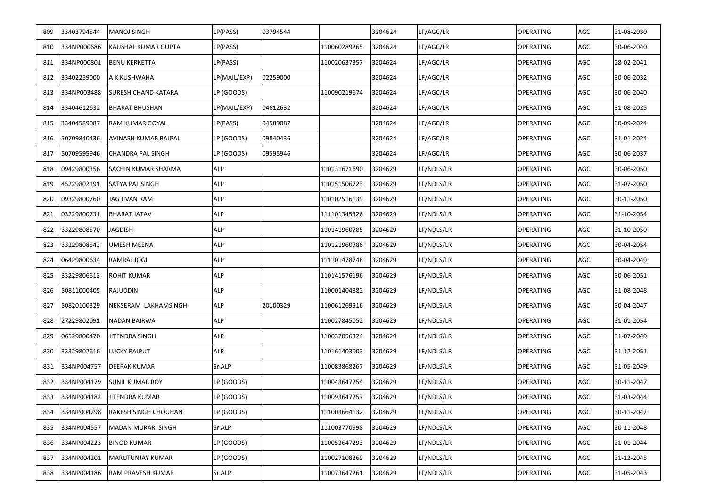| 809 | 33403794544 | MANOJ SINGH           | LP(PASS)     | 03794544 |              | 3204624 | LF/AGC/LR  | OPERATING        | AGC | 31-08-2030 |
|-----|-------------|-----------------------|--------------|----------|--------------|---------|------------|------------------|-----|------------|
| 810 | 334NP000686 | KAUSHAL KUMAR GUPTA   | LP(PASS)     |          | 110060289265 | 3204624 | LF/AGC/LR  | OPERATING        | AGC | 30-06-2040 |
| 811 | 334NP000801 | BENU KERKETTA         | LP(PASS)     |          | 110020637357 | 3204624 | LF/AGC/LR  | OPERATING        | AGC | 28-02-2041 |
| 812 | 33402259000 | A K KUSHWAHA          | LP(MAIL/EXP) | 02259000 |              | 3204624 | LF/AGC/LR  | OPERATING        | AGC | 30-06-2032 |
| 813 | 334NP003488 | SURESH CHAND KATARA   | LP (GOODS)   |          | 110090219674 | 3204624 | LF/AGC/LR  | OPERATING        | AGC | 30-06-2040 |
| 814 | 33404612632 | BHARAT BHUSHAN        | LP(MAIL/EXP) | 04612632 |              | 3204624 | LF/AGC/LR  | OPERATING        | AGC | 31-08-2025 |
| 815 | 33404589087 | RAM KUMAR GOYAL       | LP(PASS)     | 04589087 |              | 3204624 | LF/AGC/LR  | OPERATING        | AGC | 30-09-2024 |
| 816 | 50709840436 | AVINASH KUMAR BAJPAI  | LP (GOODS)   | 09840436 |              | 3204624 | LF/AGC/LR  | OPERATING        | AGC | 31-01-2024 |
| 817 | 50709595946 | CHANDRA PAL SINGH     | LP (GOODS)   | 09595946 |              | 3204624 | LF/AGC/LR  | OPERATING        | AGC | 30-06-2037 |
| 818 | 09429800356 | SACHIN KUMAR SHARMA   | <b>ALP</b>   |          | 110131671690 | 3204629 | LF/NDLS/LR | OPERATING        | AGC | 30-06-2050 |
| 819 | 45229802191 | SATYA PAL SINGH       | <b>ALP</b>   |          | 110151506723 | 3204629 | LF/NDLS/LR | OPERATING        | AGC | 31-07-2050 |
| 820 | 09329800760 | JAG JIVAN RAM         | <b>ALP</b>   |          | 110102516139 | 3204629 | LF/NDLS/LR | OPERATING        | AGC | 30-11-2050 |
| 821 | 03229800731 | BHARAT JATAV          | <b>ALP</b>   |          | 111101345326 | 3204629 | LF/NDLS/LR | OPERATING        | AGC | 31-10-2054 |
| 822 | 33229808570 | JAGDISH               | <b>ALP</b>   |          | 110141960785 | 3204629 | LF/NDLS/LR | OPERATING        | AGC | 31-10-2050 |
| 823 | 33229808543 | UMESH MEENA           | <b>ALP</b>   |          | 110121960786 | 3204629 | LF/NDLS/LR | OPERATING        | AGC | 30-04-2054 |
| 824 | 06429800634 | RAMRAJ JOGI           | ALP          |          | 111101478748 | 3204629 | LF/NDLS/LR | OPERATING        | AGC | 30-04-2049 |
| 825 | 33229806613 | ROHIT KUMAR           | <b>ALP</b>   |          | 110141576196 | 3204629 | LF/NDLS/LR | OPERATING        | AGC | 30-06-2051 |
| 826 | 50811000405 | RAJUDDIN              | <b>ALP</b>   |          | 110001404882 | 3204629 | LF/NDLS/LR | OPERATING        | AGC | 31-08-2048 |
| 827 | 50820100329 | NEKSERAM LAKHAMSINGH  | <b>ALP</b>   | 20100329 | 110061269916 | 3204629 | LF/NDLS/LR | OPERATING        | AGC | 30-04-2047 |
| 828 | 27229802091 | NADAN BAIRWA          | <b>ALP</b>   |          | 110027845052 | 3204629 | LF/NDLS/LR | OPERATING        | AGC | 31-01-2054 |
| 829 | 06529800470 | JITENDRA SINGH        | <b>ALP</b>   |          | 110032056324 | 3204629 | LF/NDLS/LR | OPERATING        | AGC | 31-07-2049 |
| 830 | 33329802616 | LUCKY RAJPUT          | <b>ALP</b>   |          | 110161403003 | 3204629 | LF/NDLS/LR | OPERATING        | AGC | 31-12-2051 |
| 831 | 334NP004757 | DEEPAK KUMAR          | Sr.ALP       |          | 110083868267 | 3204629 | LF/NDLS/LR | OPERATING        | AGC | 31-05-2049 |
| 832 | 334NP004179 | SUNIL KUMAR ROY       | LP (GOODS)   |          | 110043647254 | 3204629 | LF/NDLS/LR | OPERATING        | AGC | 30-11-2047 |
| 833 | 334NP004182 | <b>JITENDRA KUMAR</b> | LP (GOODS)   |          | 110093647257 | 3204629 | LF/NDLS/LR | <b>OPERATING</b> | AGC | 31-03-2044 |
| 834 | 334NP004298 | RAKESH SINGH CHOUHAN  | LP (GOODS)   |          | 111003664132 | 3204629 | LF/NDLS/LR | <b>OPERATING</b> | AGC | 30-11-2042 |
| 835 | 334NP004557 | MADAN MURARI SINGH    | Sr.ALP       |          | 111003770998 | 3204629 | LF/NDLS/LR | <b>OPERATING</b> | AGC | 30-11-2048 |
| 836 | 334NP004223 | BINOD KUMAR           | LP (GOODS)   |          | 110053647293 | 3204629 | LF/NDLS/LR | OPERATING        | AGC | 31-01-2044 |
| 837 | 334NP004201 | MARUTUNJAY KUMAR      | LP (GOODS)   |          | 110027108269 | 3204629 | LF/NDLS/LR | OPERATING        | AGC | 31-12-2045 |
| 838 | 334NP004186 | RAM PRAVESH KUMAR     | Sr.ALP       |          | 110073647261 | 3204629 | LF/NDLS/LR | OPERATING        | AGC | 31-05-2043 |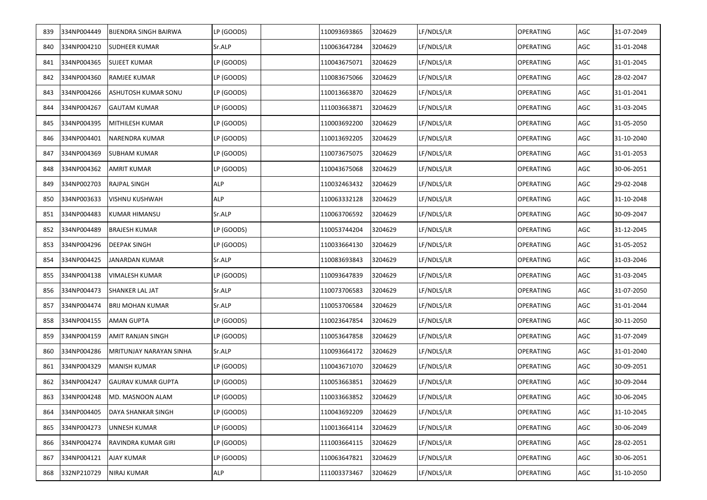| 839 | 334NP004449 | <b>BIJENDRA SINGH BAIRWA</b> | LP (GOODS) | 110093693865 | 3204629 | LF/NDLS/LR | <b>OPERATING</b> | AGC | 31-07-2049 |
|-----|-------------|------------------------------|------------|--------------|---------|------------|------------------|-----|------------|
| 840 | 334NP004210 | <b>SUDHEER KUMAR</b>         | Sr.ALP     | 110063647284 | 3204629 | LF/NDLS/LR | <b>OPERATING</b> | AGC | 31-01-2048 |
| 841 | 334NP004365 | <b>SUJEET KUMAR</b>          | LP (GOODS) | 110043675071 | 3204629 | LF/NDLS/LR | <b>OPERATING</b> | AGC | 31-01-2045 |
| 842 | 334NP004360 | <b>RAMJEE KUMAR</b>          | LP (GOODS) | 110083675066 | 3204629 | LF/NDLS/LR | <b>OPERATING</b> | AGC | 28-02-2047 |
| 843 | 334NP004266 | ASHUTOSH KUMAR SONU          | LP (GOODS) | 110013663870 | 3204629 | LF/NDLS/LR | OPERATING        | AGC | 31-01-2041 |
| 844 | 334NP004267 | <b>GAUTAM KUMAR</b>          | LP (GOODS) | 111003663871 | 3204629 | LF/NDLS/LR | <b>OPERATING</b> | AGC | 31-03-2045 |
| 845 | 334NP004395 | MITHILESH KUMAR              | LP (GOODS) | 110003692200 | 3204629 | LF/NDLS/LR | OPERATING        | AGC | 31-05-2050 |
| 846 | 334NP004401 | NARENDRA KUMAR               | LP (GOODS) | 110013692205 | 3204629 | LF/NDLS/LR | <b>OPERATING</b> | AGC | 31-10-2040 |
| 847 | 334NP004369 | <b>SUBHAM KUMAR</b>          | LP (GOODS) | 110073675075 | 3204629 | LF/NDLS/LR | <b>OPERATING</b> | AGC | 31-01-2053 |
| 848 | 334NP004362 | AMRIT KUMAR                  | LP (GOODS) | 110043675068 | 3204629 | LF/NDLS/LR | OPERATING        | AGC | 30-06-2051 |
| 849 | 334NP002703 | RAJPAL SINGH                 | <b>ALP</b> | 110032463432 | 3204629 | LF/NDLS/LR | OPERATING        | AGC | 29-02-2048 |
| 850 | 334NP003633 | VISHNU KUSHWAH               | <b>ALP</b> | 110063332128 | 3204629 | LF/NDLS/LR | OPERATING        | AGC | 31-10-2048 |
| 851 | 334NP004483 | <b>KUMAR HIMANSU</b>         | Sr.ALP     | 110063706592 | 3204629 | LF/NDLS/LR | <b>OPERATING</b> | AGC | 30-09-2047 |
| 852 | 334NP004489 | <b>BRAJESH KUMAR</b>         | LP (GOODS) | 110053744204 | 3204629 | LF/NDLS/LR | <b>OPERATING</b> | AGC | 31-12-2045 |
| 853 | 334NP004296 | <b>DEEPAK SINGH</b>          | LP (GOODS) | 110033664130 | 3204629 | LF/NDLS/LR | OPERATING        | AGC | 31-05-2052 |
| 854 | 334NP004425 | JANARDAN KUMAR               | Sr.ALP     | 110083693843 | 3204629 | LF/NDLS/LR | <b>OPERATING</b> | AGC | 31-03-2046 |
| 855 | 334NP004138 | VIMALESH KUMAR               | LP (GOODS) | 110093647839 | 3204629 | LF/NDLS/LR | <b>OPERATING</b> | AGC | 31-03-2045 |
| 856 | 334NP004473 | <b>SHANKER LAL JAT</b>       | Sr.ALP     | 110073706583 | 3204629 | LF/NDLS/LR | OPERATING        | AGC | 31-07-2050 |
| 857 | 334NP004474 | <b>BRIJ MOHAN KUMAR</b>      | Sr.ALP     | 110053706584 | 3204629 | LF/NDLS/LR | <b>OPERATING</b> | AGC | 31-01-2044 |
| 858 | 334NP004155 | AMAN GUPTA                   | LP (GOODS) | 110023647854 | 3204629 | LF/NDLS/LR | <b>OPERATING</b> | AGC | 30-11-2050 |
| 859 | 334NP004159 | AMIT RANJAN SINGH            | LP (GOODS) | 110053647858 | 3204629 | LF/NDLS/LR | <b>OPERATING</b> | AGC | 31-07-2049 |
| 860 | 334NP004286 | MRITUNJAY NARAYAN SINHA      | Sr.ALP     | 110093664172 | 3204629 | LF/NDLS/LR | OPERATING        | AGC | 31-01-2040 |
| 861 | 334NP004329 | MANISH KUMAR                 | LP (GOODS) | 110043671070 | 3204629 | LF/NDLS/LR | <b>OPERATING</b> | AGC | 30-09-2051 |
| 862 | 334NP004247 | <b>GAURAV KUMAR GUPTA</b>    | LP (GOODS) | 110053663851 | 3204629 | LF/NDLS/LR | <b>OPERATING</b> | AGC | 30-09-2044 |
| 863 | 334NP004248 | MD. MASNOON ALAM             | LP (GOODS) | 110033663852 | 3204629 | LF/NDLS/LR | <b>OPERATING</b> | AGC | 30-06-2045 |
| 864 | 334NP004405 | DAYA SHANKAR SINGH           | LP (GOODS) | 110043692209 | 3204629 | LF/NDLS/LR | <b>OPERATING</b> | AGC | 31-10-2045 |
| 865 | 334NP004273 | UNNESH KUMAR                 | LP (GOODS) | 110013664114 | 3204629 | LF/NDLS/LR | <b>OPERATING</b> | AGC | 30-06-2049 |
| 866 | 334NP004274 | RAVINDRA KUMAR GIRI          | LP (GOODS) | 111003664115 | 3204629 | LF/NDLS/LR | <b>OPERATING</b> | AGC | 28-02-2051 |
| 867 | 334NP004121 | AJAY KUMAR                   | LP (GOODS) | 110063647821 | 3204629 | LF/NDLS/LR | <b>OPERATING</b> | AGC | 30-06-2051 |
| 868 | 332NP210729 | NIRAJ KUMAR                  | ALP        | 111003373467 | 3204629 | LF/NDLS/LR | <b>OPERATING</b> | AGC | 31-10-2050 |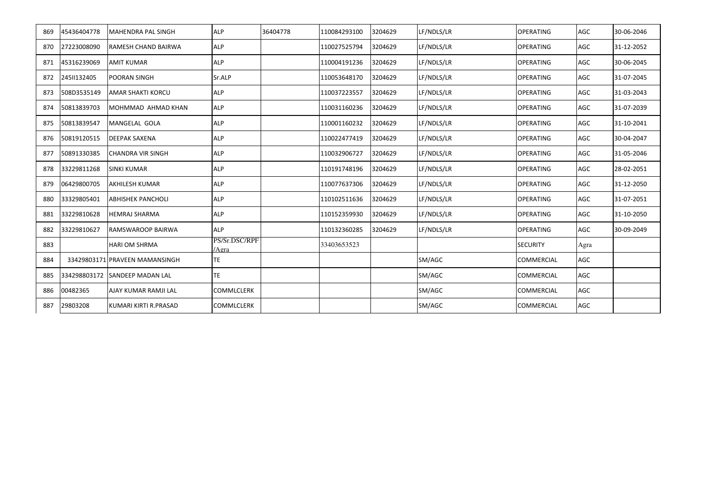| 869 | 45436404778 | <b>MAHENDRA PAL SINGH</b>      | <b>ALP</b>             | 36404778 | 110084293100 | 3204629 | LF/NDLS/LR | <b>OPERATING</b>  | AGC  | 30-06-2046 |
|-----|-------------|--------------------------------|------------------------|----------|--------------|---------|------------|-------------------|------|------------|
| 870 | 27223008090 | <b>RAMESH CHAND BAIRWA</b>     | <b>ALP</b>             |          | 110027525794 | 3204629 | LF/NDLS/LR | <b>OPERATING</b>  | AGC  | 31-12-2052 |
| 871 | 45316239069 | <b>AMIT KUMAR</b>              | <b>ALP</b>             |          | 110004191236 | 3204629 | LF/NDLS/LR | <b>OPERATING</b>  | AGC  | 30-06-2045 |
| 872 | 2451132405  | <b>POORAN SINGH</b>            | Sr.ALP                 |          | 110053648170 | 3204629 | LF/NDLS/LR | <b>OPERATING</b>  | AGC  | 31-07-2045 |
| 873 | 508D3535149 | <b>AMAR SHAKTI KORCU</b>       | <b>ALP</b>             |          | 110037223557 | 3204629 | LF/NDLS/LR | <b>OPERATING</b>  | AGC  | 31-03-2043 |
| 874 | 50813839703 | MOHMMAD AHMAD KHAN             | <b>ALP</b>             |          | 110031160236 | 3204629 | LF/NDLS/LR | <b>OPERATING</b>  | AGC  | 31-07-2039 |
| 875 | 50813839547 | MANGELAL GOLA                  | <b>ALP</b>             |          | 110001160232 | 3204629 | LF/NDLS/LR | <b>OPERATING</b>  | AGC  | 31-10-2041 |
| 876 | 50819120515 | <b>DEEPAK SAXENA</b>           | <b>ALP</b>             |          | 110022477419 | 3204629 | LF/NDLS/LR | <b>OPERATING</b>  | AGC  | 30-04-2047 |
| 877 | 50891330385 | <b>CHANDRA VIR SINGH</b>       | <b>ALP</b>             |          | 110032906727 | 3204629 | LF/NDLS/LR | <b>OPERATING</b>  | AGC  | 31-05-2046 |
| 878 | 33229811268 | <b>SINKI KUMAR</b>             | <b>ALP</b>             |          | 110191748196 | 3204629 | LF/NDLS/LR | <b>OPERATING</b>  | AGC  | 28-02-2051 |
| 879 | 06429800705 | <b>AKHILESH KUMAR</b>          | <b>ALP</b>             |          | 110077637306 | 3204629 | LF/NDLS/LR | <b>OPERATING</b>  | AGC  | 31-12-2050 |
| 880 | 33329805401 | <b>ABHISHEK PANCHOLI</b>       | <b>ALP</b>             |          | 110102511636 | 3204629 | LF/NDLS/LR | <b>OPERATING</b>  | AGC  | 31-07-2051 |
| 881 | 33229810628 | <b>HEMRAJ SHARMA</b>           | <b>ALP</b>             |          | 110152359930 | 3204629 | LF/NDLS/LR | <b>OPERATING</b>  | AGC  | 31-10-2050 |
| 882 | 33229810627 | <b>RAMSWAROOP BAIRWA</b>       | <b>ALP</b>             |          | 110132360285 | 3204629 | LF/NDLS/LR | <b>OPERATING</b>  | AGC  | 30-09-2049 |
| 883 |             | <b>HARI OM SHRMA</b>           | PS/Sr.DSC/RPF<br>/Agra |          | 33403653523  |         |            | <b>SECURITY</b>   | Agra |            |
| 884 |             | 33429803171 PRAVEEN MAMANSINGH | <b>TE</b>              |          |              |         | SM/AGC     | <b>COMMERCIAL</b> | AGC  |            |
| 885 |             | 334298803172 SANDEEP MADAN LAL | TE                     |          |              |         | SM/AGC     | <b>COMMERCIAL</b> | AGC  |            |
| 886 | 00482365    | AJAY KUMAR RAMJI LAL           | COMMLCLERK             |          |              |         | SM/AGC     | <b>COMMERCIAL</b> | AGC  |            |
| 887 | 29803208    | KUMARI KIRTI R.PRASAD          | COMMLCLERK             |          |              |         | SM/AGC     | COMMERCIAL        | AGC  |            |